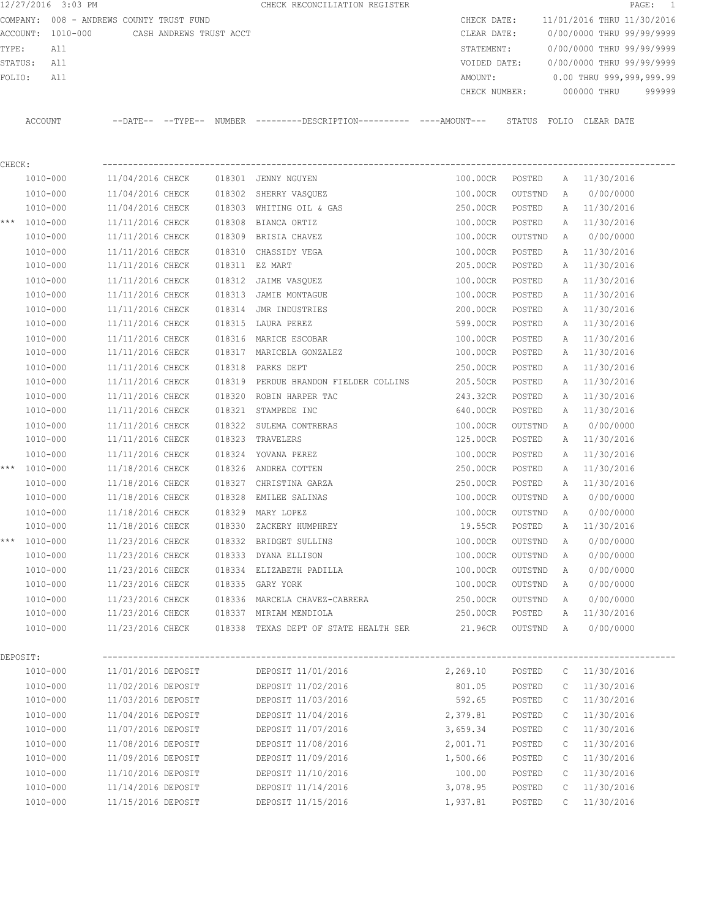|          | 12/27/2016 3:03 PM   |          |                                          |                         |                  | CHECK RECONCILIATION REGISTER                                       |          |                      |                  |              |                            | PAGE:<br>$\overline{1}$ |
|----------|----------------------|----------|------------------------------------------|-------------------------|------------------|---------------------------------------------------------------------|----------|----------------------|------------------|--------------|----------------------------|-------------------------|
|          |                      |          | COMPANY: 008 - ANDREWS COUNTY TRUST FUND |                         |                  |                                                                     |          | CHECK DATE:          |                  |              | 11/01/2016 THRU 11/30/2016 |                         |
| ACCOUNT: |                      | 1010-000 |                                          | CASH ANDREWS TRUST ACCT |                  |                                                                     |          | CLEAR DATE:          |                  |              | 0/00/0000 THRU 99/99/9999  |                         |
| TYPE:    | All                  |          |                                          |                         |                  |                                                                     |          | STATEMENT:           |                  |              | 0/00/0000 THRU 99/99/9999  |                         |
| STATUS:  | All                  |          |                                          |                         |                  |                                                                     |          | VOIDED DATE:         |                  |              | 0/00/0000 THRU 99/99/9999  |                         |
| FOLIO:   | All                  |          |                                          |                         |                  |                                                                     |          | AMOUNT:              |                  |              | 0.00 THRU 999,999,999.99   |                         |
|          |                      |          |                                          |                         |                  |                                                                     |          | CHECK NUMBER:        |                  |              | 000000 THRU                | 999999                  |
|          | ACCOUNT              |          |                                          |                         |                  | --DATE-- --TYPE-- NUMBER --------DESCRIPTION--------- ----AMOUNT--- |          |                      |                  |              | STATUS FOLIO CLEAR DATE    |                         |
| CHECK:   |                      |          |                                          |                         |                  |                                                                     |          |                      |                  |              |                            |                         |
|          | 1010-000             |          | 11/04/2016 CHECK                         |                         |                  | 018301 JENNY NGUYEN                                                 |          | 100.00CR             | POSTED           | A            | 11/30/2016                 |                         |
|          | 1010-000             |          | 11/04/2016 CHECK                         |                         | 018302           | SHERRY VASQUEZ                                                      |          | 100.00CR             | OUTSTND          | Α            | 0/00/0000                  |                         |
|          | 1010-000             |          | 11/04/2016 CHECK                         |                         | 018303           | WHITING OIL & GAS                                                   |          | 250.00CR             | POSTED           | A            | 11/30/2016                 |                         |
|          | *** 1010-000         |          | 11/11/2016 CHECK                         |                         | 018308           | BIANCA ORTIZ                                                        |          | 100.00CR             | POSTED           | Α            | 11/30/2016                 |                         |
|          | 1010-000             |          | 11/11/2016 CHECK                         |                         | 018309           | BRISIA CHAVEZ                                                       |          | 100.00CR             | OUTSTND          | Α            | 0/00/0000                  |                         |
|          | 1010-000             |          | 11/11/2016 CHECK                         |                         | 018310           | CHASSIDY VEGA                                                       |          | 100.00CR             | POSTED           | Α            | 11/30/2016                 |                         |
|          | 1010-000             |          | 11/11/2016 CHECK                         |                         |                  | 018311 EZ MART                                                      |          | 205.00CR             | POSTED           | Α            | 11/30/2016                 |                         |
|          | 1010-000             |          | 11/11/2016 CHECK                         |                         | 018312           | JAIME VASQUEZ                                                       |          | 100.00CR             | POSTED           | A            | 11/30/2016                 |                         |
|          | 1010-000             |          | 11/11/2016 CHECK                         |                         | 018313           | JAMIE MONTAGUE                                                      |          | 100.00CR             | POSTED           | A            | 11/30/2016                 |                         |
|          | 1010-000             |          | 11/11/2016 CHECK                         |                         | 018314           | JMR INDUSTRIES                                                      |          | 200.00CR             | POSTED           | Α            | 11/30/2016                 |                         |
|          | 1010-000             |          | 11/11/2016 CHECK                         |                         | 018315           | LAURA PEREZ                                                         |          | 599.00CR             | POSTED           | A            | 11/30/2016                 |                         |
|          |                      |          |                                          |                         |                  |                                                                     |          |                      |                  |              |                            |                         |
|          | 1010-000<br>1010-000 |          | 11/11/2016 CHECK<br>11/11/2016 CHECK     |                         | 018316<br>018317 | MARICE ESCOBAR<br>MARICELA GONZALEZ                                 |          | 100.00CR<br>100.00CR | POSTED<br>POSTED | Α<br>Α       | 11/30/2016<br>11/30/2016   |                         |
|          |                      |          | 11/11/2016 CHECK                         |                         | 018318           | PARKS DEPT                                                          |          | 250.00CR             |                  |              | 11/30/2016                 |                         |
|          | 1010-000<br>1010-000 |          | 11/11/2016 CHECK                         |                         | 018319           | PERDUE BRANDON FIELDER COLLINS                                      |          | 205.50CR             | POSTED           | Α            | 11/30/2016                 |                         |
|          |                      |          |                                          |                         |                  |                                                                     |          |                      | POSTED           | Α            |                            |                         |
|          | 1010-000             |          | 11/11/2016 CHECK                         |                         | 018320           | ROBIN HARPER TAC                                                    |          | 243.32CR             | POSTED           | Α            | 11/30/2016                 |                         |
|          | 1010-000             |          | 11/11/2016 CHECK                         |                         | 018321           | STAMPEDE INC                                                        |          | 640.00CR             | POSTED           | Α            | 11/30/2016                 |                         |
|          | 1010-000             |          | 11/11/2016 CHECK                         |                         | 018322           | SULEMA CONTRERAS                                                    |          | 100.00CR             | OUTSTND          | Α            | 0/00/0000                  |                         |
|          | 1010-000             |          | 11/11/2016 CHECK                         |                         | 018323           | TRAVELERS                                                           |          | 125.00CR             | POSTED           | Α            | 11/30/2016                 |                         |
|          | 1010-000             |          | 11/11/2016 CHECK                         |                         | 018324           | YOVANA PEREZ                                                        |          | 100.00CR             | POSTED           | Α            | 11/30/2016                 |                         |
|          | *** 1010-000         |          | 11/18/2016 CHECK                         |                         | 018326           | ANDREA COTTEN                                                       |          | 250.00CR             | POSTED           | Α            | 11/30/2016                 |                         |
|          | 1010-000             |          | 11/18/2016 CHECK                         |                         | 018327           | CHRISTINA GARZA                                                     |          | 250.00CR             | POSTED           | Α            | 11/30/2016                 |                         |
|          | 1010-000             |          | 11/18/2016 CHECK                         |                         | 018328           | EMILEE SALINAS                                                      |          | 100.00CR             | OUTSTND          | Α            | 0/00/0000                  |                         |
|          | 1010-000             |          | 11/18/2016 CHECK                         |                         |                  | 018329 MARY LOPEZ                                                   |          | 100.00CR             | OUTSTND          | Α            | 0/00/0000                  |                         |
|          | 1010-000             |          | 11/18/2016 CHECK                         |                         | 018330           | ZACKERY HUMPHREY                                                    |          | 19.55CR              | POSTED           | Α            | 11/30/2016                 |                         |
| ***      | 1010-000             |          | 11/23/2016 CHECK                         |                         |                  | 018332 BRIDGET SULLINS                                              |          | 100.00CR             | OUTSTND          | Α            | 0/00/0000                  |                         |
|          | 1010-000             |          | 11/23/2016 CHECK                         |                         |                  | 018333 DYANA ELLISON                                                |          | 100.00CR             | OUTSTND          | Α            | 0/00/0000                  |                         |
|          | 1010-000             |          | 11/23/2016 CHECK                         |                         |                  | 018334 ELIZABETH PADILLA                                            |          | 100.00CR             | OUTSTND          | Α            | 0/00/0000                  |                         |
|          | 1010-000             |          | 11/23/2016 CHECK                         |                         |                  | 018335 GARY YORK                                                    |          | 100.00CR             | OUTSTND          | A            | 0/00/0000                  |                         |
|          | 1010-000             |          | 11/23/2016 CHECK                         |                         |                  | 018336 MARCELA CHAVEZ-CABRERA                                       |          | 250.00CR             | OUTSTND          | A            | 0/00/0000                  |                         |
|          | 1010-000             |          | 11/23/2016 CHECK                         |                         |                  | 018337 MIRIAM MENDIOLA                                              |          | 250.00CR             | POSTED           | Α            | 11/30/2016                 |                         |
|          | 1010-000             |          | 11/23/2016 CHECK                         |                         |                  | 018338 TEXAS DEPT OF STATE HEALTH SER                               |          | 21.96CR              | OUTSTND          | A            | 0/00/0000                  |                         |
| DEPOSIT: |                      |          |                                          |                         |                  |                                                                     |          |                      |                  |              |                            |                         |
|          | 1010-000             |          | 11/01/2016 DEPOSIT                       |                         |                  | DEPOSIT 11/01/2016                                                  | 2,269.10 |                      | POSTED           | $\mathbb{C}$ | 11/30/2016                 |                         |
|          | 1010-000             |          | 11/02/2016 DEPOSIT                       |                         |                  | DEPOSIT 11/02/2016                                                  |          | 801.05               | POSTED           | $\mathbb C$  | 11/30/2016                 |                         |
|          | 1010-000             |          | 11/03/2016 DEPOSIT                       |                         |                  | DEPOSIT 11/03/2016                                                  |          | 592.65               | POSTED           | $\mathbb C$  | 11/30/2016                 |                         |
|          | 1010-000             |          | 11/04/2016 DEPOSIT                       |                         |                  | DEPOSIT 11/04/2016                                                  | 2,379.81 |                      | POSTED           | C            | 11/30/2016                 |                         |
|          | 1010-000             |          | 11/07/2016 DEPOSIT                       |                         |                  | DEPOSIT 11/07/2016                                                  | 3,659.34 |                      | POSTED           | C            | 11/30/2016                 |                         |
|          | 1010-000             |          | 11/08/2016 DEPOSIT                       |                         |                  | DEPOSIT 11/08/2016                                                  | 2,001.71 |                      | POSTED           | $\mathbb{C}$ | 11/30/2016                 |                         |
|          | 1010-000             |          | 11/09/2016 DEPOSIT                       |                         |                  | DEPOSIT 11/09/2016                                                  | 1,500.66 |                      | POSTED           | $\mathbb C$  | 11/30/2016                 |                         |
|          | 1010-000             |          | 11/10/2016 DEPOSIT                       |                         |                  | DEPOSIT 11/10/2016                                                  | 100.00   |                      | POSTED           | C            | 11/30/2016                 |                         |
|          | 1010-000             |          | 11/14/2016 DEPOSIT                       |                         |                  | DEPOSIT 11/14/2016                                                  | 3,078.95 |                      | POSTED           | C            | 11/30/2016                 |                         |
|          | 1010-000             |          | 11/15/2016 DEPOSIT                       |                         |                  | DEPOSIT 11/15/2016                                                  | 1,937.81 |                      | POSTED           | C            | 11/30/2016                 |                         |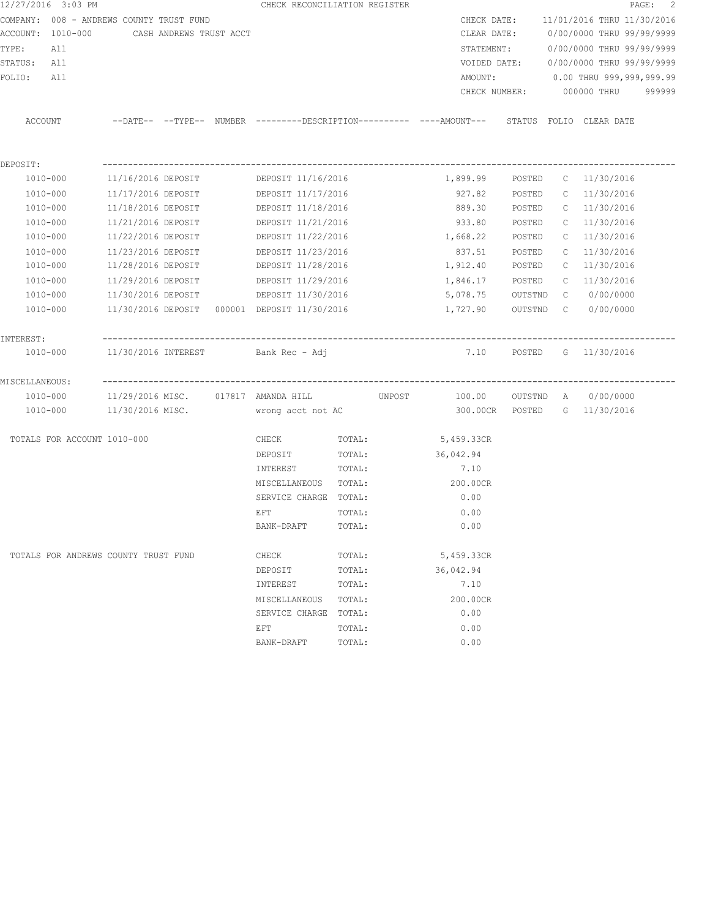| 12/27/2016 3:03 PM                       |                         |  | CHECK RECONCILIATION REGISTER                    |        |                                                                                            |         |              |                                        | PAGE: 2 |
|------------------------------------------|-------------------------|--|--------------------------------------------------|--------|--------------------------------------------------------------------------------------------|---------|--------------|----------------------------------------|---------|
| COMPANY: 008 - ANDREWS COUNTY TRUST FUND |                         |  |                                                  |        |                                                                                            |         |              | CHECK DATE: 11/01/2016 THRU 11/30/2016 |         |
| ACCOUNT: 1010-000                        | CASH ANDREWS TRUST ACCT |  |                                                  |        |                                                                                            |         |              | CLEAR DATE: 0/00/0000 THRU 99/99/9999  |         |
| TYPE:<br>All                             |                         |  |                                                  |        | STATEMENT:                                                                                 |         |              | 0/00/0000 THRU 99/99/9999              |         |
| STATUS: All                              |                         |  |                                                  |        |                                                                                            |         |              | VOIDED DATE: 0/00/0000 THRU 99/99/9999 |         |
| FOLIO:<br>All                            |                         |  |                                                  |        | AMOUNT:                                                                                    |         |              | 0.00 THRU 999,999,999.99               |         |
|                                          |                         |  |                                                  |        | CHECK NUMBER:                                                                              |         |              | 000000 THRU                            | 999999  |
| ACCOUNT                                  |                         |  |                                                  |        | --DATE-- --TYPE-- NUMBER --------DESCRIPTION---------- ---AMOUNT--- STATUS FOLIO CLEARDATE |         |              |                                        |         |
| DEPOSIT:                                 |                         |  |                                                  |        |                                                                                            |         |              |                                        |         |
| 1010-000                                 |                         |  | 11/16/2016 DEPOSIT   DEPOSIT 11/16/2016          |        | 1,899.99                                                                                   | POSTED  |              | $C = 11/30/2016$                       |         |
| 1010-000                                 |                         |  | 11/17/2016 DEPOSIT DEPOSIT 11/17/2016            |        | 927.82                                                                                     | POSTED  |              | $C = 11/30/2016$                       |         |
| 1010-000                                 |                         |  | 11/18/2016 DEPOSIT DEPOSIT 11/18/2016            |        | 889.30                                                                                     | POSTED  |              | $C = 11/30/2016$                       |         |
| 1010-000                                 | 11/21/2016 DEPOSIT      |  | DEPOSIT 11/21/2016                               |        | 933.80                                                                                     | POSTED  |              | $C = 11/30/2016$                       |         |
| 1010-000                                 | 11/22/2016 DEPOSIT      |  | DEPOSIT 11/22/2016                               |        | 1,668.22                                                                                   | POSTED  | $\mathbb{C}$ | 11/30/2016                             |         |
| 1010-000                                 | 11/23/2016 DEPOSIT      |  | DEPOSIT 11/23/2016                               |        | 837.51                                                                                     | POSTED  | $\mathbb{C}$ | 11/30/2016                             |         |
| 1010-000                                 | 11/28/2016 DEPOSIT      |  | DEPOSIT 11/28/2016                               |        | 1,912.40                                                                                   | POSTED  | $\mathbb{C}$ | 11/30/2016                             |         |
| 1010-000                                 | 11/29/2016 DEPOSIT      |  | DEPOSIT 11/29/2016                               |        | 1,846.17                                                                                   | POSTED  | $\mathbb{C}$ | 11/30/2016                             |         |
| 1010-000                                 | 11/30/2016 DEPOSIT      |  | DEPOSIT 11/30/2016                               |        | 5,078.75                                                                                   | OUTSTND |              | C 0/00/0000                            |         |
| 1010-000                                 |                         |  |                                                  |        | 1,727.90                                                                                   |         |              | OUTSTND C 0/00/0000                    |         |
| INTEREST:                                |                         |  |                                                  |        |                                                                                            |         |              |                                        |         |
| 1010-000                                 |                         |  | 11/30/2016 INTEREST               Bank Rec - Adj |        | 7.10 POSTED G 11/30/2016                                                                   |         |              |                                        |         |
| MISCELLANEOUS:                           |                         |  |                                                  |        |                                                                                            |         |              |                                        |         |
| 1010-000                                 |                         |  | 11/29/2016 MISC. 017817 AMANDA HILL UNPOST       |        |                                                                                            |         |              | 100.00 OUTSTND A 0/00/0000             |         |
| 1010-000                                 | 11/30/2016 MISC.        |  | wrong acct not AC                                |        |                                                                                            |         |              | 300.00CR POSTED G 11/30/2016           |         |
| TOTALS FOR ACCOUNT 1010-000              |                         |  | CHECK                                            | TOTAL: | 5,459.33CR                                                                                 |         |              |                                        |         |
|                                          |                         |  | DEPOSIT                                          | TOTAL: | 36,042.94                                                                                  |         |              |                                        |         |
|                                          |                         |  | INTEREST                                         | TOTAL: | 7.10                                                                                       |         |              |                                        |         |
|                                          |                         |  | MISCELLANEOUS TOTAL:                             |        | 200.00CR                                                                                   |         |              |                                        |         |
|                                          |                         |  | SERVICE CHARGE TOTAL:                            |        | 0.00                                                                                       |         |              |                                        |         |
|                                          |                         |  | EFT                                              | TOTAL: | 0.00                                                                                       |         |              |                                        |         |
|                                          |                         |  | BANK-DRAFT                                       | TOTAL: | 0.00                                                                                       |         |              |                                        |         |
| TOTALS FOR ANDREWS COUNTY TRUST FUND     |                         |  | CHECK                                            | TOTAL: | 5,459.33CR                                                                                 |         |              |                                        |         |
|                                          |                         |  | DEPOSIT                                          | TOTAL: | 36,042.94                                                                                  |         |              |                                        |         |
|                                          |                         |  | INTEREST                                         | TOTAL: | 7.10                                                                                       |         |              |                                        |         |
|                                          |                         |  | MISCELLANEOUS                                    | TOTAL: | 200.00CR                                                                                   |         |              |                                        |         |
|                                          |                         |  | SERVICE CHARGE                                   | TOTAL: | 0.00                                                                                       |         |              |                                        |         |
|                                          |                         |  | EFT                                              | TOTAL: | 0.00                                                                                       |         |              |                                        |         |
|                                          |                         |  | BANK-DRAFT                                       | TOTAL: | 0.00                                                                                       |         |              |                                        |         |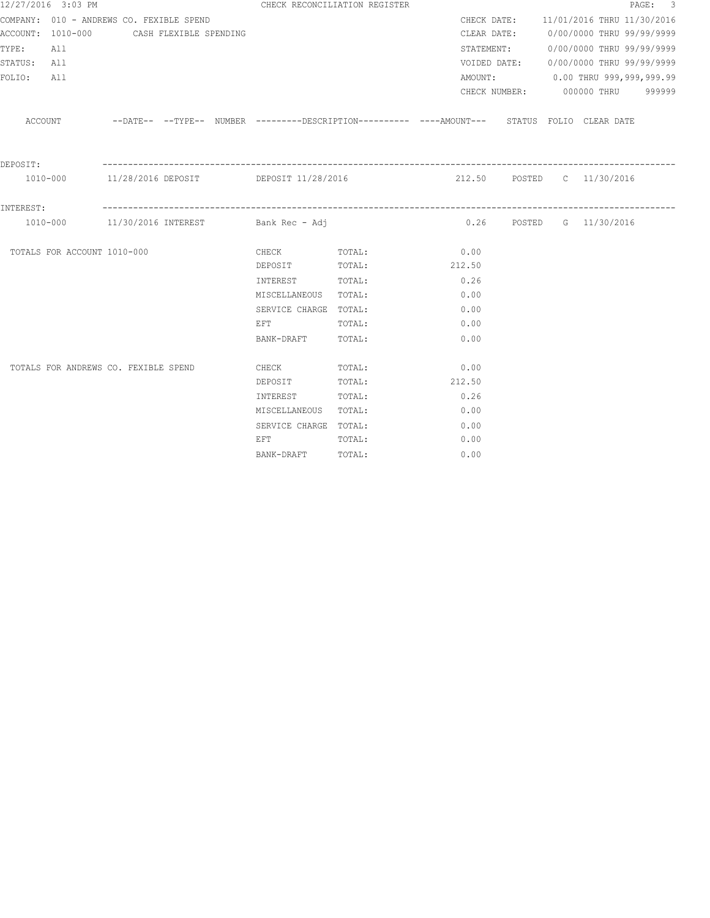|             | 12/27/2016 3:03 PM                       |                        |  | CHECK RECONCILIATION REGISTER                 |                                                                                              |                              |  |                                        | PAGE: 3 |
|-------------|------------------------------------------|------------------------|--|-----------------------------------------------|----------------------------------------------------------------------------------------------|------------------------------|--|----------------------------------------|---------|
|             | COMPANY: 010 - ANDREWS CO. FEXIBLE SPEND |                        |  |                                               |                                                                                              |                              |  | CHECK DATE: 11/01/2016 THRU 11/30/2016 |         |
|             | ACCOUNT: 1010-000                        | CASH FLEXIBLE SPENDING |  |                                               |                                                                                              |                              |  | CLEAR DATE: 0/00/0000 THRU 99/99/9999  |         |
| TYPE: All   |                                          |                        |  |                                               |                                                                                              |                              |  | STATEMENT: 0/00/0000 THRU 99/99/9999   |         |
| STATUS: All |                                          |                        |  |                                               |                                                                                              |                              |  | VOIDED DATE: 0/00/0000 THRU 99/99/9999 |         |
| FOLIO:      | All                                      |                        |  |                                               |                                                                                              |                              |  | AMOUNT: 0.00 THRU 999,999,999.99       |         |
|             |                                          |                        |  |                                               |                                                                                              |                              |  | CHECK NUMBER: 000000 THRU 999999       |         |
|             | ACCOUNT                                  |                        |  |                                               | --DATE-- --TYPE-- NUMBER ---------DESCRIPTION---------- ---AMOUNT--- STATUS FOLIO CLEAR-DATE |                              |  |                                        |         |
| DEPOSIT:    |                                          |                        |  |                                               |                                                                                              |                              |  |                                        |         |
|             |                                          |                        |  |                                               | 1010-000 11/28/2016 DEPOSIT DEPOSIT 11/28/2016 212.50 POSTED C 11/30/2016                    |                              |  |                                        |         |
| INTEREST:   |                                          |                        |  |                                               |                                                                                              |                              |  |                                        |         |
|             |                                          |                        |  | $1010-000$ 11/30/2016 INTEREST Bank Rec - Adj |                                                                                              | $0.26$ POSTED G $11/30/2016$ |  |                                        |         |
|             | TOTALS FOR ACCOUNT 1010-000              |                        |  | CHECK TOTAL:                                  |                                                                                              | 0.00                         |  |                                        |         |
|             |                                          |                        |  | DEPOSIT TOTAL:                                |                                                                                              | 212.50                       |  |                                        |         |
|             |                                          |                        |  | INTEREST TOTAL:                               |                                                                                              | 0.26                         |  |                                        |         |
|             |                                          |                        |  | MISCELLANEOUS TOTAL:                          |                                                                                              | 0.00                         |  |                                        |         |
|             |                                          |                        |  | SERVICE CHARGE TOTAL:                         |                                                                                              | 0.00                         |  |                                        |         |
|             |                                          |                        |  | EFT                                           | TOTAL:                                                                                       | 0.00                         |  |                                        |         |
|             |                                          |                        |  | BANK-DRAFT TOTAL:                             |                                                                                              | 0.00                         |  |                                        |         |
|             | TOTALS FOR ANDREWS CO. FEXIBLE SPEND     |                        |  | CHECK                                         | TOTAL:                                                                                       | 0.00                         |  |                                        |         |
|             |                                          |                        |  | DEPOSIT                                       | TOTAL:                                                                                       | 212.50                       |  |                                        |         |
|             |                                          |                        |  | INTEREST                                      | TOTAL:                                                                                       | 0.26                         |  |                                        |         |
|             |                                          |                        |  | MISCELLANEOUS TOTAL:                          |                                                                                              | 0.00                         |  |                                        |         |
|             |                                          |                        |  | SERVICE CHARGE TOTAL:                         |                                                                                              | 0.00                         |  |                                        |         |
|             |                                          |                        |  | EFT                                           | TOTAL:                                                                                       | 0.00                         |  |                                        |         |
|             |                                          |                        |  | BANK-DRAFT                                    | TOTAL:                                                                                       | 0.00                         |  |                                        |         |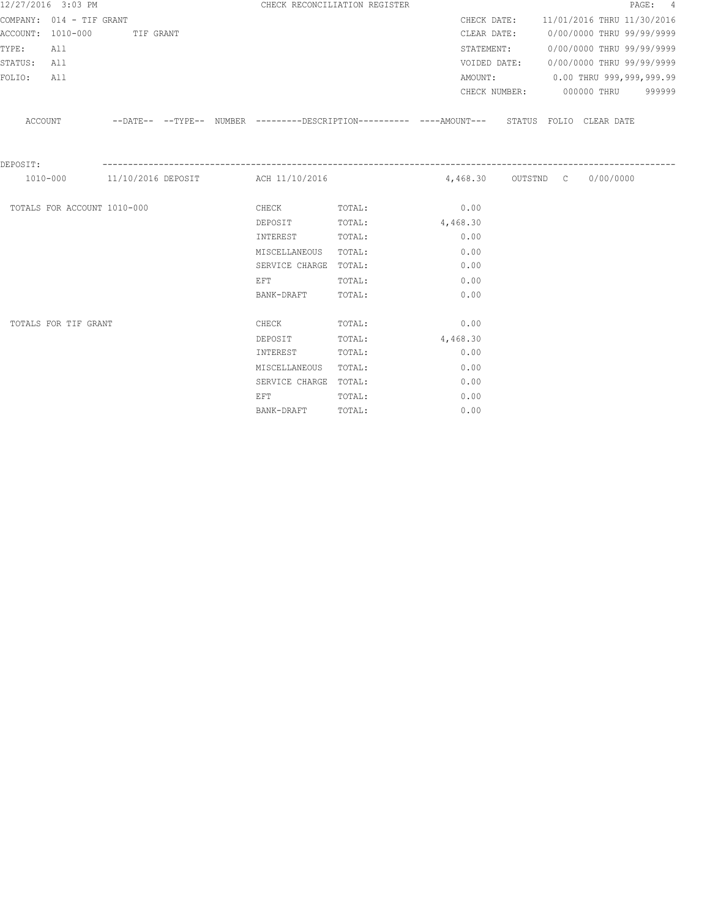|             | 12/27/2016 3:03 PM          |           |  |                                                                                                                | CHECK RECONCILIATION REGISTER                                                                    |          |            |                                        | PAGE: 4 |
|-------------|-----------------------------|-----------|--|----------------------------------------------------------------------------------------------------------------|--------------------------------------------------------------------------------------------------|----------|------------|----------------------------------------|---------|
|             | COMPANY: 014 - TIF GRANT    |           |  |                                                                                                                |                                                                                                  |          |            | CHECK DATE: 11/01/2016 THRU 11/30/2016 |         |
|             | ACCOUNT: 1010-000           | TIF GRANT |  |                                                                                                                |                                                                                                  |          |            | CLEAR DATE: 0/00/0000 THRU 99/99/9999  |         |
| TYPE:       | All                         |           |  |                                                                                                                |                                                                                                  |          | STATEMENT: | 0/00/0000 THRU 99/99/9999              |         |
| STATUS: All |                             |           |  |                                                                                                                |                                                                                                  |          |            | VOIDED DATE: 0/00/0000 THRU 99/99/9999 |         |
| FOLIO:      | All                         |           |  |                                                                                                                |                                                                                                  |          |            | AMOUNT: 0.00 THRU 999,999,999.99       |         |
|             |                             |           |  |                                                                                                                |                                                                                                  |          |            | CHECK NUMBER: 000000 THRU 999999       |         |
|             |                             |           |  |                                                                                                                | ACCOUNT -DATE---TYPE-- NUMBER --------DESCRIPTION---------- ---AMOUNT--- STATUS FOLIO CLEAR DATE |          |            |                                        |         |
| DEPOSIT:    |                             |           |  |                                                                                                                |                                                                                                  |          |            |                                        |         |
|             |                             |           |  | 1010-000 11/10/2016 DEPOSIT ACH 11/10/2016                                                                     |                                                                                                  |          |            |                                        |         |
|             | TOTALS FOR ACCOUNT 1010-000 |           |  |                                                                                                                | CHECK TOTAL: 0.00                                                                                |          |            |                                        |         |
|             |                             |           |  | DEPOSIT TOTAL:                                                                                                 |                                                                                                  | 4,468.30 |            |                                        |         |
|             |                             |           |  | INTEREST                                                                                                       | TOTAL:                                                                                           | 0.00     |            |                                        |         |
|             |                             |           |  | MISCELLANEOUS                                                                                                  | TOTAL:                                                                                           | 0.00     |            |                                        |         |
|             |                             |           |  | SERVICE CHARGE TOTAL:                                                                                          |                                                                                                  | 0.00     |            |                                        |         |
|             |                             |           |  | EFT FOR THE STATE OF THE STATE OF THE STATE OF THE STATE OF THE STATE OF THE STATE OF THE STATE OF THE STATE O | TOTAL:                                                                                           | 0.00     |            |                                        |         |
|             |                             |           |  | BANK-DRAFT                                                                                                     | TOTAL:                                                                                           | 0.00     |            |                                        |         |
|             | TOTALS FOR TIF GRANT        |           |  | <b>CHECK</b>                                                                                                   | TOTAL:                                                                                           | 0.00     |            |                                        |         |
|             |                             |           |  | DEPOSIT                                                                                                        | TOTAL:                                                                                           | 4,468.30 |            |                                        |         |
|             |                             |           |  | INTEREST                                                                                                       | TOTAL:                                                                                           | 0.00     |            |                                        |         |
|             |                             |           |  | MISCELLANEOUS TOTAL:                                                                                           |                                                                                                  | 0.00     |            |                                        |         |
|             |                             |           |  | SERVICE CHARGE TOTAL:                                                                                          |                                                                                                  | 0.00     |            |                                        |         |
|             |                             |           |  | EFT FOR THE STATE OF THE STATE OF THE STATE OF THE STATE OF THE STATE OF THE STATE OF THE STATE OF THE STATE O | TOTAL:                                                                                           | 0.00     |            |                                        |         |
|             |                             |           |  | BANK-DRAFT                                                                                                     | TOTAL:                                                                                           | 0.00     |            |                                        |         |
|             |                             |           |  |                                                                                                                |                                                                                                  |          |            |                                        |         |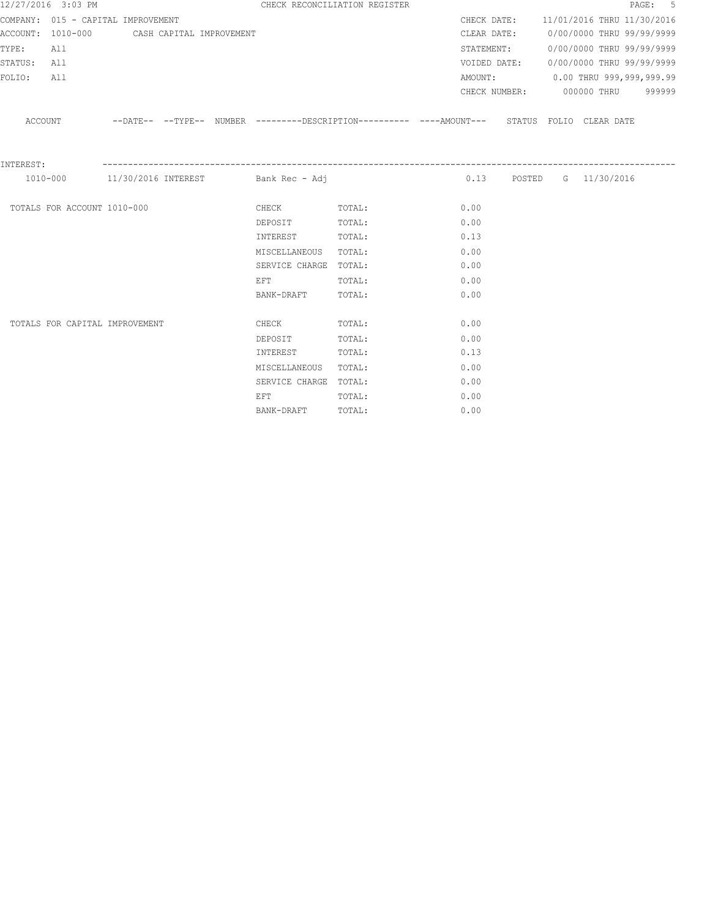|             | 12/27/2016 3:03 PM                         |  |                                                                                                                | CHECK RECONCILIATION REGISTER                                                                    |      |  |                              | PAGE: 5                                |
|-------------|--------------------------------------------|--|----------------------------------------------------------------------------------------------------------------|--------------------------------------------------------------------------------------------------|------|--|------------------------------|----------------------------------------|
|             | COMPANY: 015 - CAPITAL IMPROVEMENT         |  |                                                                                                                |                                                                                                  |      |  |                              | CHECK DATE: 11/01/2016 THRU 11/30/2016 |
|             | ACCOUNT: 1010-000 CASH CAPITAL IMPROVEMENT |  |                                                                                                                |                                                                                                  |      |  |                              | CLEAR DATE: 0/00/0000 THRU 99/99/9999  |
| TYPE:       | All                                        |  |                                                                                                                |                                                                                                  |      |  |                              | STATEMENT: 0/00/0000 THRU 99/99/9999   |
| STATUS: All |                                            |  |                                                                                                                |                                                                                                  |      |  |                              | VOIDED DATE: 0/00/0000 THRU 99/99/9999 |
| FOLIO:      | All                                        |  |                                                                                                                |                                                                                                  |      |  |                              | AMOUNT: 0.00 THRU 999,999,999.99       |
|             |                                            |  |                                                                                                                |                                                                                                  |      |  |                              | CHECK NUMBER: 000000 THRU 999999       |
|             |                                            |  |                                                                                                                | ACCOUNT -DATE---TYPE-- NUMBER --------DESCRIPTION---------- ---AMOUNT--- STATUS FOLIO CLEAR DATE |      |  |                              |                                        |
| INTEREST:   |                                            |  |                                                                                                                |                                                                                                  |      |  |                              |                                        |
|             |                                            |  | $1010-000$ 11/30/2016 INTEREST Bank Rec - Adj                                                                  |                                                                                                  |      |  | $0.13$ POSTED G $11/30/2016$ |                                        |
|             | TOTALS FOR ACCOUNT 1010-000                |  |                                                                                                                | CHECK TOTAL: 0.00                                                                                |      |  |                              |                                        |
|             |                                            |  | DEPOSIT                                                                                                        | TOTAL:                                                                                           | 0.00 |  |                              |                                        |
|             |                                            |  | INTEREST                                                                                                       | TOTAL:                                                                                           | 0.13 |  |                              |                                        |
|             |                                            |  | MISCELLANEOUS TOTAL:                                                                                           |                                                                                                  | 0.00 |  |                              |                                        |
|             |                                            |  | SERVICE CHARGE TOTAL:                                                                                          |                                                                                                  | 0.00 |  |                              |                                        |
|             |                                            |  | EFT FOR THE STATE OF THE STATE OF THE STATE OF THE STATE OF THE STATE OF THE STATE OF THE STATE OF THE STATE O | TOTAL:                                                                                           | 0.00 |  |                              |                                        |
|             |                                            |  | BANK-DRAFT                                                                                                     | TOTAL:                                                                                           | 0.00 |  |                              |                                        |
|             | TOTALS FOR CAPITAL IMPROVEMENT             |  | <b>CHECK</b>                                                                                                   | TOTAL:                                                                                           | 0.00 |  |                              |                                        |
|             |                                            |  | DEPOSIT                                                                                                        | TOTAL:                                                                                           | 0.00 |  |                              |                                        |
|             |                                            |  | INTEREST                                                                                                       | TOTAL:                                                                                           | 0.13 |  |                              |                                        |
|             |                                            |  | MISCELLANEOUS TOTAL:                                                                                           |                                                                                                  | 0.00 |  |                              |                                        |
|             |                                            |  | SERVICE CHARGE TOTAL:                                                                                          |                                                                                                  | 0.00 |  |                              |                                        |
|             |                                            |  | EFT                                                                                                            | TOTAL:                                                                                           | 0.00 |  |                              |                                        |
|             |                                            |  | BANK-DRAFT                                                                                                     | TOTAL:                                                                                           | 0.00 |  |                              |                                        |
|             |                                            |  |                                                                                                                |                                                                                                  |      |  |                              |                                        |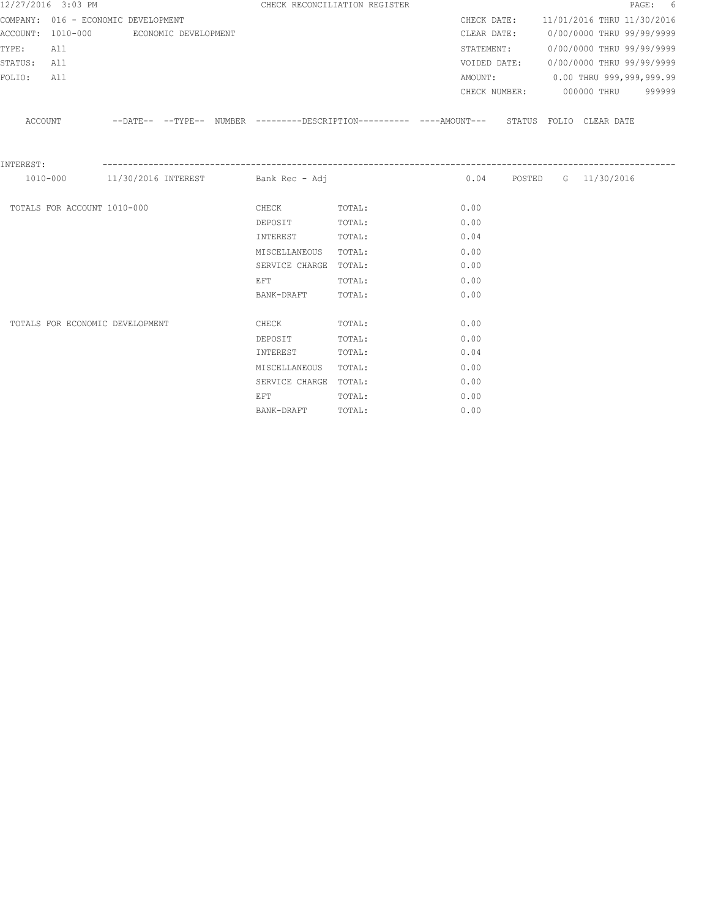|             | 12/27/2016 3:03 PM                     |  |                                                                                                                | CHECK RECONCILIATION REGISTER                                                                       |      |  |                                        | PAGE: 6 |
|-------------|----------------------------------------|--|----------------------------------------------------------------------------------------------------------------|-----------------------------------------------------------------------------------------------------|------|--|----------------------------------------|---------|
|             | COMPANY: 016 - ECONOMIC DEVELOPMENT    |  |                                                                                                                |                                                                                                     |      |  | CHECK DATE: 11/01/2016 THRU 11/30/2016 |         |
|             | ACCOUNT: 1010-000 ECONOMIC DEVELOPMENT |  |                                                                                                                |                                                                                                     |      |  | CLEAR DATE: 0/00/0000 THRU 99/99/9999  |         |
| TYPE:       | All                                    |  |                                                                                                                |                                                                                                     |      |  | STATEMENT: 0/00/0000 THRU 99/99/9999   |         |
| STATUS: All |                                        |  |                                                                                                                |                                                                                                     |      |  | VOIDED DATE: 0/00/0000 THRU 99/99/9999 |         |
| FOLIO:      | All                                    |  |                                                                                                                |                                                                                                     |      |  | AMOUNT: 0.00 THRU 999,999,999.99       |         |
|             |                                        |  |                                                                                                                |                                                                                                     |      |  | CHECK NUMBER: 000000 THRU 999999       |         |
|             |                                        |  |                                                                                                                | ACCOUNT --DATE-- --TYPE-- NUMBER --------DESCRIPTION---------- ---AMOUNT--- STATUS FOLIO CLEAR DATE |      |  |                                        |         |
| INTEREST:   |                                        |  |                                                                                                                |                                                                                                     |      |  |                                        |         |
|             |                                        |  | 1010-000 11/30/2016 INTEREST Bank Rec - Adj                                                                    |                                                                                                     |      |  | 0.04 POSTED G 11/30/2016               |         |
|             | TOTALS FOR ACCOUNT 1010-000            |  | CHECK TOTAL:                                                                                                   |                                                                                                     | 0.00 |  |                                        |         |
|             |                                        |  | DEPOSIT                                                                                                        | TOTAL:                                                                                              | 0.00 |  |                                        |         |
|             |                                        |  | INTEREST                                                                                                       | TOTAL:                                                                                              | 0.04 |  |                                        |         |
|             |                                        |  | MISCELLANEOUS TOTAL:                                                                                           |                                                                                                     | 0.00 |  |                                        |         |
|             |                                        |  | SERVICE CHARGE TOTAL:                                                                                          |                                                                                                     | 0.00 |  |                                        |         |
|             |                                        |  | EFT FOR THE STATE OF THE STATE OF THE STATE OF THE STATE OF THE STATE OF THE STATE OF THE STATE OF THE STATE O | TOTAL:                                                                                              | 0.00 |  |                                        |         |
|             |                                        |  | BANK-DRAFT                                                                                                     | TOTAL:                                                                                              | 0.00 |  |                                        |         |
|             | TOTALS FOR ECONOMIC DEVELOPMENT        |  | <b>CHECK</b>                                                                                                   | TOTAL:                                                                                              | 0.00 |  |                                        |         |
|             |                                        |  | DEPOSIT                                                                                                        | TOTAL:                                                                                              | 0.00 |  |                                        |         |
|             |                                        |  | INTEREST                                                                                                       | TOTAL:                                                                                              | 0.04 |  |                                        |         |
|             |                                        |  | MISCELLANEOUS TOTAL:                                                                                           |                                                                                                     | 0.00 |  |                                        |         |
|             |                                        |  | SERVICE CHARGE TOTAL:                                                                                          |                                                                                                     | 0.00 |  |                                        |         |
|             |                                        |  | EFT                                                                                                            | TOTAL:                                                                                              | 0.00 |  |                                        |         |
|             |                                        |  | BANK-DRAFT                                                                                                     | TOTAL:                                                                                              | 0.00 |  |                                        |         |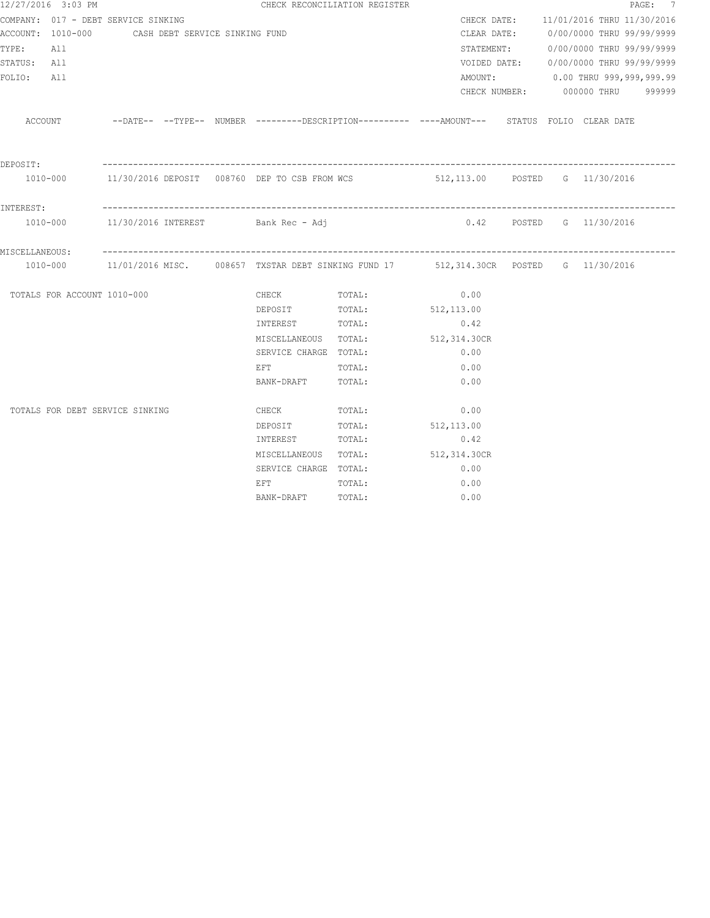| 12/27/2016 3:03 PM                  |                                                                                               |                                                                                                                | CHECK RECONCILIATION REGISTER |                          |  |                                        | PAGE: 7 |
|-------------------------------------|-----------------------------------------------------------------------------------------------|----------------------------------------------------------------------------------------------------------------|-------------------------------|--------------------------|--|----------------------------------------|---------|
| COMPANY: 017 - DEBT SERVICE SINKING |                                                                                               |                                                                                                                |                               |                          |  | CHECK DATE: 11/01/2016 THRU 11/30/2016 |         |
|                                     | ACCOUNT: 1010-000 CASH DEBT SERVICE SINKING FUND                                              |                                                                                                                |                               | CLEAR DATE:              |  | 0/00/0000 THRU 99/99/9999              |         |
| TYPE:<br>All                        |                                                                                               |                                                                                                                |                               |                          |  | STATEMENT: 0/00/0000 THRU 99/99/9999   |         |
| STATUS: All                         |                                                                                               |                                                                                                                |                               |                          |  | VOIDED DATE: 0/00/0000 THRU 99/99/9999 |         |
| FOLIO: All                          |                                                                                               |                                                                                                                |                               |                          |  | AMOUNT: 0.00 THRU 999,999,999.99       |         |
|                                     |                                                                                               |                                                                                                                |                               |                          |  | CHECK NUMBER: 000000 THRU 999999       |         |
| ACCOUNT                             | --DATE-- --TYPE-- NUMBER --------DESCRIPTION---------- ----AMOUNT--- STATUS FOLIO CLEARDATE   |                                                                                                                |                               |                          |  |                                        |         |
| DEPOSIT:                            |                                                                                               |                                                                                                                |                               |                          |  |                                        |         |
|                                     | 1010-000 11/30/2016 DEPOSIT 008760 DEP TO CSB FROM WCS 512,113.00 POSTED G 11/30/2016         |                                                                                                                |                               |                          |  |                                        |         |
| INTEREST:                           |                                                                                               |                                                                                                                |                               |                          |  |                                        |         |
|                                     | 1010-000   11/30/2016   INTEREST   Bank Rec - Adj                                             |                                                                                                                |                               | 0.42 POSTED G 11/30/2016 |  |                                        |         |
| MISCELLANEOUS:                      |                                                                                               |                                                                                                                |                               |                          |  |                                        |         |
|                                     | 1010-000 11/01/2016 MISC. 008657 TXSTAR DEBT SINKING FUND 17 512,314.30CR POSTED G 11/30/2016 |                                                                                                                |                               |                          |  |                                        |         |
| TOTALS FOR ACCOUNT 1010-000         |                                                                                               | CHECK TOTAL:                                                                                                   |                               | 0.00                     |  |                                        |         |
|                                     |                                                                                               |                                                                                                                | DEPOSIT TOTAL: 512,113.00     |                          |  |                                        |         |
|                                     |                                                                                               | INTEREST TOTAL:                                                                                                |                               | 0.42                     |  |                                        |         |
|                                     |                                                                                               |                                                                                                                | MISCELLANEOUS TOTAL:          | 512,314.30CR             |  |                                        |         |
|                                     |                                                                                               | SERVICE CHARGE TOTAL:                                                                                          |                               | 0.00                     |  |                                        |         |
|                                     |                                                                                               | EFT FOR THE STATE OF THE STATE OF THE STATE OF THE STATE OF THE STATE OF THE STATE OF THE STATE OF THE STATE O | TOTAL:                        | 0.00                     |  |                                        |         |
|                                     |                                                                                               | BANK-DRAFT TOTAL:                                                                                              |                               | 0.00                     |  |                                        |         |
| TOTALS FOR DEBT SERVICE SINKING     |                                                                                               | CHECK TOTAL:                                                                                                   |                               | 0.00                     |  |                                        |         |
|                                     |                                                                                               | DEPOSIT                                                                                                        | TOTAL:                        | 512,113.00               |  |                                        |         |
|                                     |                                                                                               | INTEREST                                                                                                       | TOTAL:                        | 0.42                     |  |                                        |         |
|                                     |                                                                                               | MISCELLANEOUS TOTAL:                                                                                           |                               | 512,314.30CR             |  |                                        |         |
|                                     |                                                                                               | SERVICE CHARGE TOTAL:                                                                                          |                               | 0.00                     |  |                                        |         |
|                                     |                                                                                               | EFT FOR THE STATE OF THE STATE OF THE STATE OF THE STATE OF THE STATE OF THE STATE OF THE STATE OF THE STATE O | TOTAL:                        | 0.00                     |  |                                        |         |
|                                     |                                                                                               | BANK-DRAFT                                                                                                     | TOTAL:                        | 0.00                     |  |                                        |         |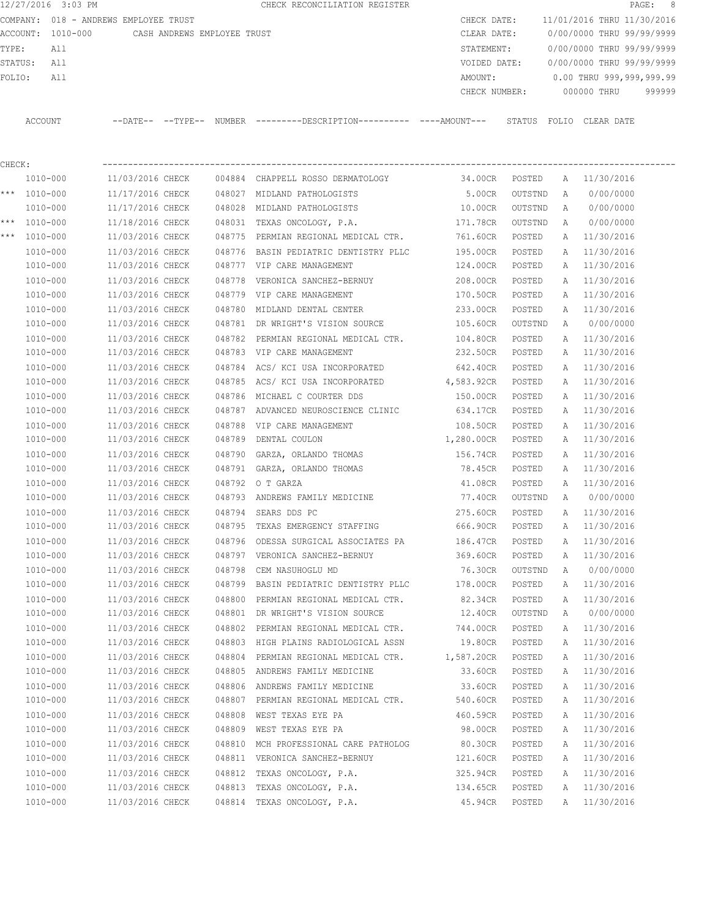12/27/2016 3:03 PM CHECK RECONCILIATION REGISTER **PAGE:** 8 COMPANY: 018 - ANDREWS EMPLOYEE TRUST CHECK DATE: 11/01/2016 THRU 11/30/2016 ACCOUNT: 1010-000 CASH ANDREWS EMPLOYEE TRUST CLEAR DATE: 0/00/0000 THRU 99/99/9999 TYPE: All STATEMENT: 0/00/0000 THRU 99/99/9999 STATUS: All VOIDED DATE: 0/00/0000 THRU 99/99/9999 FOLIO: All AMOUNT: 0.00 THRU 999,999,999.99 CHECK NUMBER: 000000 THRU 999999 ACCOUNT --DATE-- --TYPE-- NUMBER ---------DESCRIPTION---------- ----AMOUNT--- STATUS FOLIO CLEAR DATE

CHECK: ---------------------------------------------------------------------------------------------------------------- 1010-000 11/03/2016 CHECK 004884 CHAPPELL ROSSO DERMATOLOGY 34.00CR POSTED A 11/30/2016 \*\*\* 1010-000 11/17/2016 CHECK 048027 MIDLAND PATHOLOGISTS 5.00CR OUTSTND A 0/00/0000 1010-000 11/17/2016 CHECK 048028 MIDLAND PATHOLOGISTS 10.00CR OUTSTND A 0/00/0000 \*\*\* 1010-000 11/18/2016 CHECK 048031 TEXAS ONCOLOGY, P.A. 171.78CR OUTSTND A 0/00/0000 \*\*\* 1010-000 11/03/2016 CHECK 048775 PERMIAN REGIONAL MEDICAL CTR. 761.60CR POSTED A 11/30/2016 1010-000 11/03/2016 CHECK 048776 BASIN PEDIATRIC DENTISTRY PLLC 195.00CR POSTED A 11/30/2016 1010-000 11/03/2016 CHECK 048777 VIP CARE MANAGEMENT 124.00CR POSTED A 11/30/2016 1010-000 11/03/2016 CHECK 048778 VERONICA SANCHEZ-BERNUY 208.00CR POSTED A 11/30/2016 1010-000 11/03/2016 CHECK 048779 VIP CARE MANAGEMENT 170.50CR POSTED A 11/30/2016 1010-000 11/03/2016 CHECK 048780 MIDLAND DENTAL CENTER 233.00CR POSTED A 11/30/2016 1010-000 11/03/2016 CHECK 048781 DR WRIGHT'S VISION SOURCE 105.60CR OUTSTND A 0/00/0000 1010-000 11/03/2016 CHECK 048782 PERMIAN REGIONAL MEDICAL CTR. 104.80CR POSTED A 11/30/2016 1010-000 11/03/2016 CHECK 048783 VIP CARE MANAGEMENT 232.50CR POSTED A 11/30/2016 1010-000 11/03/2016 CHECK 048784 ACS/ KCI USA INCORPORATED 642.40CR POSTED A 11/30/2016 1010-000 11/03/2016 CHECK 048785 ACS/ KCI USA INCORPORATED 4,583.92CR POSTED A 11/30/2016 1010-000 11/03/2016 CHECK 048786 MICHAEL C COURTER DDS 150.00CR POSTED A 11/30/2016 1010-000 11/03/2016 CHECK 048787 ADVANCED NEUROSCIENCE CLINIC 634.17CR POSTED A 11/30/2016 1010-000 11/03/2016 CHECK 048788 VIP CARE MANAGEMENT 108.50CR POSTED A 11/30/2016 1010-000 11/03/2016 CHECK 048789 DENTAL COULON 1,280.00CR POSTED A 11/30/2016 1010-000 11/03/2016 CHECK 048790 GARZA, ORLANDO THOMAS 156.74CR POSTED A 11/30/2016 1010-000 11/03/2016 CHECK 048791 GARZA, ORLANDO THOMAS 78.45CR POSTED A 11/30/2016 1010-000 11/03/2016 CHECK 048792 O T GARZA 41.08CR POSTED A 11/30/2016 1010-000 11/03/2016 CHECK 048793 ANDREWS FAMILY MEDICINE 77.40CR OUTSTND A 0/00/0000 1010-000 11/03/2016 CHECK 048794 SEARS DDS PC 275.60CR POSTED A 11/30/2016 1010-000 11/03/2016 CHECK 048795 TEXAS EMERGENCY STAFFING 666.90CR POSTED A 11/30/2016 1010-000 11/03/2016 CHECK 048796 ODESSA SURGICAL ASSOCIATES PA 186.47CR POSTED A 11/30/2016 1010-000 11/03/2016 CHECK 048797 VERONICA SANCHEZ-BERNUY 369.60CR POSTED A 11/30/2016 1010-000 11/03/2016 CHECK 048798 CEM NASUHOGLU MD 76.30CR OUTSTND A 0/00/0000 1010-000 11/03/2016 CHECK 048799 BASIN PEDIATRIC DENTISTRY PLLC 178.00CR POSTED A 11/30/2016 1010-000 11/03/2016 CHECK 048800 PERMIAN REGIONAL MEDICAL CTR. 82.34CR POSTED A 11/30/2016 1010-000 11/03/2016 CHECK 048801 DR WRIGHT'S VISION SOURCE 12.40CR OUTSTND A 0/00/0000 1010-000 11/03/2016 CHECK 048802 PERMIAN REGIONAL MEDICAL CTR. 744.00CR POSTED A 11/30/2016 1010-000 11/03/2016 CHECK 048803 HIGH PLAINS RADIOLOGICAL ASSN 19.80CR POSTED A 11/30/2016 1010-000 11/03/2016 CHECK 048804 PERMIAN REGIONAL MEDICAL CTR. 1,587.20CR POSTED A 11/30/2016 1010-000 11/03/2016 CHECK 048805 ANDREWS FAMILY MEDICINE 33.60CR POSTED A 11/30/2016 1010-000 11/03/2016 CHECK 048806 ANDREWS FAMILY MEDICINE 33.60CR POSTED A 11/30/2016 1010-000 11/03/2016 CHECK 048807 PERMIAN REGIONAL MEDICAL CTR. 540.60CR POSTED A 11/30/2016 1010-000 11/03/2016 CHECK 048808 WEST TEXAS EYE PA 460.59CR POSTED A 11/30/2016 1010-000 11/03/2016 CHECK 048809 WEST TEXAS EYE PA 98.00CR POSTED A 11/30/2016 1010-000 11/03/2016 CHECK 048810 MCH PROFESSIONAL CARE PATHOLOG 80.30CR POSTED A 11/30/2016 1010-000 11/03/2016 CHECK 048811 VERONICA SANCHEZ-BERNUY 121.60CR POSTED A 11/30/2016 1010-000 11/03/2016 CHECK 048812 TEXAS ONCOLOGY, P.A. 325.94CR POSTED A 11/30/2016 1010-000 11/03/2016 CHECK 048813 TEXAS ONCOLOGY, P.A. 134.65CR POSTED A 11/30/2016 1010-000 11/03/2016 CHECK 048814 TEXAS ONCOLOGY, P.A. 45.94CR POSTED A 11/30/2016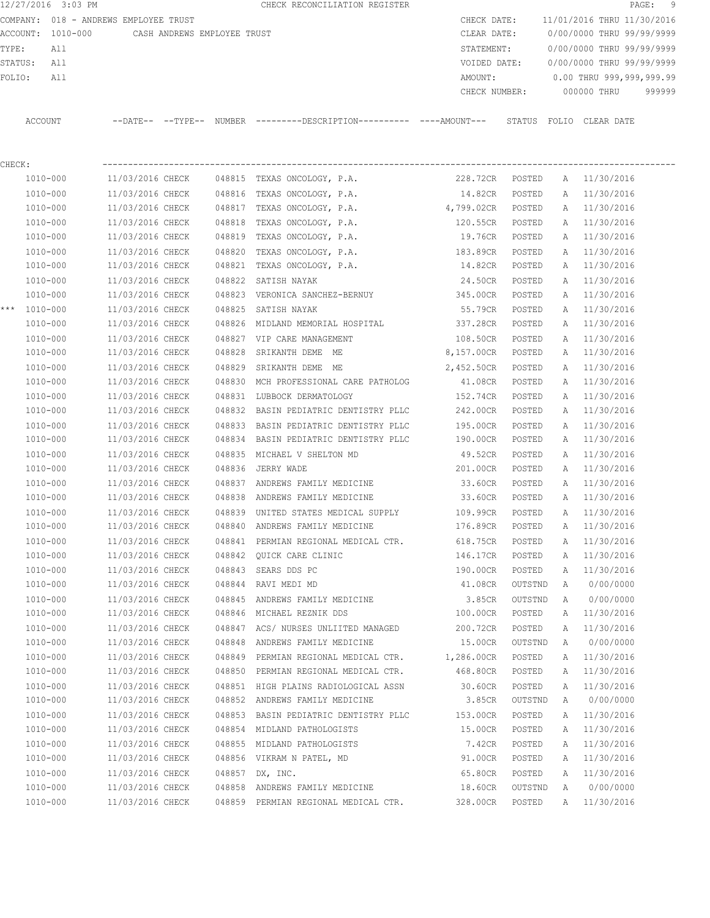| 12/27/2016 3:03 PM   |                                       |        | CHECK RECONCILIATION REGISTER                                                                |                   |                  |        | PAGE: 9                                |
|----------------------|---------------------------------------|--------|----------------------------------------------------------------------------------------------|-------------------|------------------|--------|----------------------------------------|
|                      | COMPANY: 018 - ANDREWS EMPLOYEE TRUST |        |                                                                                              |                   |                  |        | CHECK DATE: 11/01/2016 THRU 11/30/2016 |
| ACCOUNT: 1010-000    | CASH ANDREWS EMPLOYEE TRUST           |        |                                                                                              | CLEAR DATE:       |                  |        | 0/00/0000 THRU 99/99/9999              |
| ${\tt TYPE:}$<br>All |                                       |        |                                                                                              |                   |                  |        | STATEMENT: 0/00/0000 THRU 99/99/9999   |
| STATUS: All          |                                       |        |                                                                                              |                   |                  |        | VOIDED DATE: 0/00/0000 THRU 99/99/9999 |
| All<br>FOLIO:        |                                       |        |                                                                                              | AMOUNT:           |                  |        | 0.00 THRU 999,999,999.99               |
|                      |                                       |        |                                                                                              | CHECK NUMBER:     |                  |        | 000000 THRU 999999                     |
| ACCOUNT              |                                       |        | --DATE-- --TYPE-- NUMBER --------DESCRIPTION---------- ----AMOUNT--- STATUS FOLIO CLEAR DATE |                   |                  |        |                                        |
| CHECK:               |                                       |        |                                                                                              |                   |                  |        |                                        |
|                      |                                       |        | 1010-000 11/03/2016 CHECK 048815 TEXAS ONCOLOGY, P.A. 228.72CR POSTED A 11/30/2016           |                   |                  |        |                                        |
| 1010-000             |                                       |        | $11/03/2016$ CHECK $048816$ TEXAS ONCOLOGY, P.A.                                             | 14.82CR POSTED    |                  |        | A 11/30/2016                           |
| 1010-000             |                                       |        | 11/03/2016 CHECK 048817 TEXAS ONCOLOGY, P.A. 4,799.02CR POSTED                               |                   |                  |        | A 11/30/2016                           |
| 1010-000             | 11/03/2016 CHECK                      |        | 048818 TEXAS ONCOLOGY, P.A.                                                                  | 120.55CR POSTED   |                  |        | A 11/30/2016                           |
| 1010-000             | 11/03/2016 CHECK                      |        | 048819 TEXAS ONCOLOGY, P.A.                                                                  | 19.76CR POSTED    |                  |        | A 11/30/2016                           |
| 1010-000             | 11/03/2016 CHECK                      |        | 048820 TEXAS ONCOLOGY, P.A.                                                                  | 183.89CR POSTED   |                  |        | A 11/30/2016                           |
| 1010-000             | 11/03/2016 CHECK                      |        | 048821 TEXAS ONCOLOGY, P.A.                                                                  | 14.82CR POSTED    |                  |        | A 11/30/2016                           |
| 1010-000             | 11/03/2016 CHECK                      |        | 048822 SATISH NAYAK                                                                          | 24.50CR           | POSTED           |        | A 11/30/2016                           |
| 1010-000             | 11/03/2016 CHECK                      |        | 048823 VERONICA SANCHEZ-BERNUY                                                               | 345.00CR          | POSTED           |        | A 11/30/2016                           |
| *** $1010 - 000$     | 11/03/2016 CHECK                      | 048825 | SATISH NAYAK                                                                                 | 55.79CR           | POSTED           |        | A 11/30/2016                           |
| 1010-000             | 11/03/2016 CHECK                      |        | 048826 MIDLAND MEMORIAL HOSPITAL 6337.28CR POSTED                                            |                   |                  |        | A 11/30/2016                           |
| 1010-000             | 11/03/2016 CHECK                      |        | 048827 VIP CARE MANAGEMENT                                                                   | 108.50CR POSTED   |                  |        | A 11/30/2016                           |
| 1010-000             |                                       |        | 11/03/2016 CHECK 048828 SRIKANTH DEME ME                                                     | 8,157.00CR POSTED |                  |        | A 11/30/2016                           |
| 1010-000             |                                       |        | 11/03/2016 CHECK 048829 SRIKANTH DEME ME                                                     | 2,452.50CR POSTED |                  |        | A 11/30/2016                           |
| 1010-000             |                                       |        | 11/03/2016 CHECK 048830 MCH PROFESSIONAL CARE PATHOLOG                                       | 41.08CR POSTED    |                  |        | A 11/30/2016                           |
| 1010-000             |                                       |        | 11/03/2016 CHECK 048831 LUBBOCK DERMATOLOGY                                                  | 152.74CR          | POSTED           |        | A 11/30/2016                           |
| 1010-000             |                                       |        | 11/03/2016 CHECK 048832 BASIN PEDIATRIC DENTISTRY PLLC 242.00CR                              |                   | POSTED           |        | A 11/30/2016                           |
| 1010-000             |                                       |        | 11/03/2016 CHECK 048833 BASIN PEDIATRIC DENTISTRY PLLC                                       | 195.00CR POSTED   |                  |        | A 11/30/2016                           |
| 1010-000             |                                       |        | 11/03/2016 CHECK 048834 BASIN PEDIATRIC DENTISTRY PLLC                                       | 190.00CR POSTED   |                  |        | A 11/30/2016                           |
| 1010-000             | 11/03/2016 CHECK                      |        | 048835 MICHAEL V SHELTON MD                                                                  | 49.52CR POSTED    |                  |        | A 11/30/2016                           |
| 1010-000             | 11/03/2016 CHECK 048836 JERRY WADE    |        |                                                                                              | 201.00CR POSTED   |                  |        | A 11/30/2016                           |
| 1010-000             |                                       |        | 11/03/2016 CHECK 048837 ANDREWS FAMILY MEDICINE                                              | 33.60CR POSTED    |                  |        | A 11/30/2016                           |
| 1010-000             | 11/03/2016 CHECK                      |        | 048838 ANDREWS FAMILY MEDICINE                                                               | 33.60CR           | POSTED           |        | A 11/30/2016                           |
| 1010-000             | 11/03/2016 CHECK                      |        | 048839 UNITED STATES MEDICAL SUPPLY 109.99CR                                                 |                   | POSTED           |        | A 11/30/2016                           |
| 1010-000             | 11/03/2016 CHECK                      |        | 048840 ANDREWS FAMILY MEDICINE                                                               | 176.89CR          | POSTED           | A      | 11/30/2016                             |
| 1010-000             | 11/03/2016 CHECK                      |        | 048841 PERMIAN REGIONAL MEDICAL CTR.                                                         | 618.75CR          | POSTED           | A      | 11/30/2016                             |
| 1010-000             | 11/03/2016 CHECK                      |        | 048842 QUICK CARE CLINIC                                                                     | 146.17CR          | POSTED           | Α      | 11/30/2016                             |
| 1010-000             | 11/03/2016 CHECK                      |        | 048843 SEARS DDS PC                                                                          | 190.00CR          | POSTED           | Α      | 11/30/2016                             |
| $1010 - 000$         | 11/03/2016 CHECK                      |        | 048844 RAVI MEDI MD                                                                          | 41.08CR           | OUTSTND          | A      | 0/00/0000                              |
| 1010-000             | 11/03/2016 CHECK                      |        | 048845 ANDREWS FAMILY MEDICINE                                                               | 3.85CR            | OUTSTND          | A      | 0/00/0000                              |
| 1010-000             | 11/03/2016 CHECK                      |        | 048846 MICHAEL REZNIK DDS                                                                    | 100.00CR          | POSTED           |        | A 11/30/2016                           |
| 1010-000             | 11/03/2016 CHECK                      |        | 048847 ACS/ NURSES UNLIITED MANAGED                                                          | 200.72CR          | POSTED           | A      | 11/30/2016                             |
| 1010-000             | 11/03/2016 CHECK                      |        | 048848 ANDREWS FAMILY MEDICINE                                                               | 15.00CR           | OUTSTND          | A      | 0/00/0000                              |
| 1010-000             | 11/03/2016 CHECK                      |        |                                                                                              |                   |                  |        |                                        |
| $1010 - 000$         | 11/03/2016 CHECK                      |        | 048849 PERMIAN REGIONAL MEDICAL CTR. 1,286.00CR<br>048850 PERMIAN REGIONAL MEDICAL CTR.      | 468.80CR          | POSTED<br>POSTED | А<br>A | 11/30/2016<br>11/30/2016               |
|                      |                                       |        |                                                                                              |                   |                  |        |                                        |
| 1010-000             | 11/03/2016 CHECK                      |        | 048851 HIGH PLAINS RADIOLOGICAL ASSN                                                         | 30.60CR           | POSTED           | Α      | 11/30/2016                             |
| $1010 - 000$         | 11/03/2016 CHECK                      |        | 048852 ANDREWS FAMILY MEDICINE                                                               | 3.85CR            | OUTSTND          | Α      | 0/00/0000                              |
| 1010-000             | 11/03/2016 CHECK                      |        | 048853 BASIN PEDIATRIC DENTISTRY PLLC                                                        | 153.00CR          | POSTED           | Α      | 11/30/2016                             |
| 1010-000             | 11/03/2016 CHECK                      |        | 048854 MIDLAND PATHOLOGISTS                                                                  | 15.00CR           | POSTED           | Α      | 11/30/2016                             |
| 1010-000             | 11/03/2016 CHECK                      |        | 048855 MIDLAND PATHOLOGISTS                                                                  | 7.42CR            | POSTED           | Α      | 11/30/2016                             |
| 1010-000             | 11/03/2016 CHECK                      |        | 048856 VIKRAM N PATEL, MD                                                                    | 91.00CR           | POSTED           | Α      | 11/30/2016                             |
| 1010-000             | 11/03/2016 CHECK                      |        | 048857 DX, INC.                                                                              | 65.80CR           | POSTED           | Α      | 11/30/2016                             |
| $1010 - 000$         | 11/03/2016 CHECK                      |        | 048858 ANDREWS FAMILY MEDICINE                                                               | 18.60CR           | OUTSTND          | Α      | 0/00/0000                              |
| 1010-000             | 11/03/2016 CHECK                      |        | 048859 PERMIAN REGIONAL MEDICAL CTR.                                                         | 328.00CR          | POSTED           |        | A 11/30/2016                           |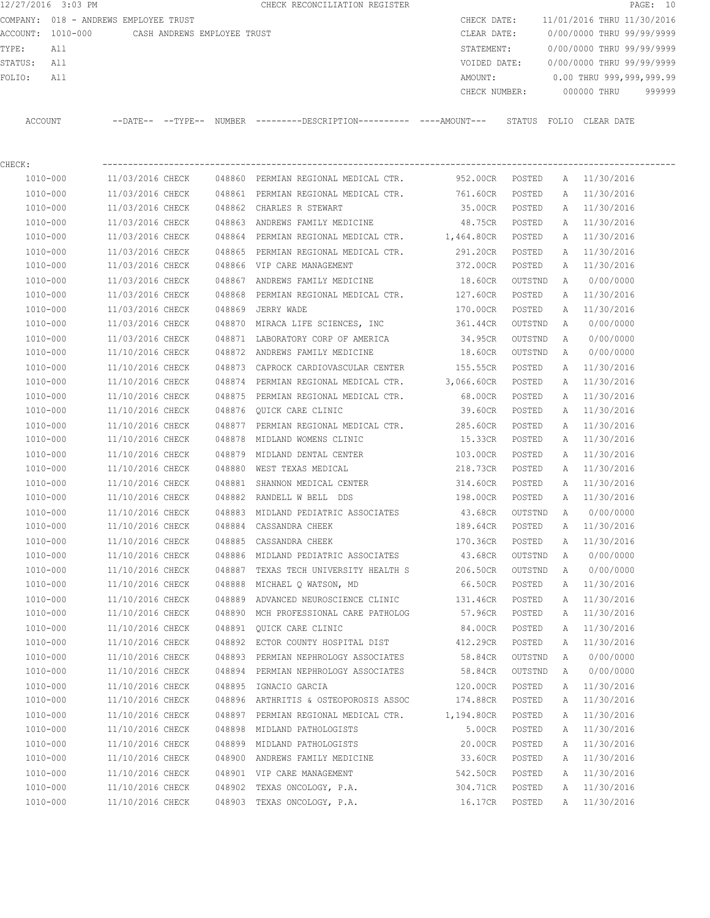12/27/2016 3:03 PM **CHECK RECONCILIATION REGISTER PAGE: 10** COMPANY: 018 - ANDREWS EMPLOYEE TRUST CHECK DATE: 11/01/2016 THRU 11/30/2016 ACCOUNT: 1010-000 CASH ANDREWS EMPLOYEE TRUST CLEAR DATE: 0/00/0000 THRU 99/99/9999 TYPE: All STATEMENT: 0/00/0000 THRU 99/99/9999 STATUS: All VOIDED DATE: 0/00/0000 THRU 99/99/9999 FOLIO: All 2000 and the matrix of the MOUNT: 0.00 THRU 999,999,999.99 CHECK NUMBER: 000000 THRU 999999 ACCOUNT --DATE-- --TYPE-- NUMBER ---------DESCRIPTION---------- ----AMOUNT--- STATUS FOLIO CLEAR DATE

CHECK: ----------------------------------------------------------------------------------------------------------------

| 1010-000     | 11/03/2016 CHECK |        | 048860 PERMIAN REGIONAL MEDICAL CTR.            | 952.00CR   | POSTED  | A | 11/30/2016 |
|--------------|------------------|--------|-------------------------------------------------|------------|---------|---|------------|
| $1010 - 000$ | 11/03/2016 CHECK |        | 048861 PERMIAN REGIONAL MEDICAL CTR.            | 761.60CR   | POSTED  | Α | 11/30/2016 |
| 1010-000     | 11/03/2016 CHECK |        | 048862 CHARLES R STEWART                        | 35.00CR    | POSTED  | Α | 11/30/2016 |
| 1010-000     | 11/03/2016 CHECK |        | 048863 ANDREWS FAMILY MEDICINE                  | 48.75CR    | POSTED  | Α | 11/30/2016 |
| 1010-000     | 11/03/2016 CHECK |        | 048864 PERMIAN REGIONAL MEDICAL CTR. 1,464.80CR |            | POSTED  | A | 11/30/2016 |
| 1010-000     | 11/03/2016 CHECK |        | 048865 PERMIAN REGIONAL MEDICAL CTR.            | 291.20CR   | POSTED  | Α | 11/30/2016 |
| 1010-000     | 11/03/2016 CHECK |        | 048866 VIP CARE MANAGEMENT                      | 372.00CR   | POSTED  | Α | 11/30/2016 |
| 1010-000     | 11/03/2016 CHECK |        | 048867 ANDREWS FAMILY MEDICINE                  | 18.60CR    | OUTSTND | Α | 0/00/0000  |
| 1010-000     | 11/03/2016 CHECK |        | 048868 PERMIAN REGIONAL MEDICAL CTR.            | 127.60CR   | POSTED  | Α | 11/30/2016 |
| $1010 - 000$ | 11/03/2016 CHECK |        | 048869 JERRY WADE                               | 170.00CR   | POSTED  | Α | 11/30/2016 |
| 1010-000     | 11/03/2016 CHECK |        | 048870 MIRACA LIFE SCIENCES, INC                | 361.44CR   | OUTSTND | Α | 0/00/0000  |
| 1010-000     | 11/03/2016 CHECK |        | 048871 LABORATORY CORP OF AMERICA               | 34.95CR    | OUTSTND | Α | 0/00/0000  |
| 1010-000     | 11/10/2016 CHECK |        | 048872 ANDREWS FAMILY MEDICINE                  | 18.60CR    | OUTSTND | A | 0/00/0000  |
| 1010-000     | 11/10/2016 CHECK |        | 048873 CAPROCK CARDIOVASCULAR CENTER            | 155.55CR   | POSTED  | Α | 11/30/2016 |
| 1010-000     | 11/10/2016 CHECK |        | 048874 PERMIAN REGIONAL MEDICAL CTR.            | 3,066.60CR | POSTED  | Α | 11/30/2016 |
| 1010-000     | 11/10/2016 CHECK |        | 048875 PERMIAN REGIONAL MEDICAL CTR.            | 68.00CR    | POSTED  | Α | 11/30/2016 |
| 1010-000     | 11/10/2016 CHECK |        | 048876 QUICK CARE CLINIC                        | 39.60CR    | POSTED  | Α | 11/30/2016 |
| 1010-000     | 11/10/2016 CHECK |        | 048877 PERMIAN REGIONAL MEDICAL CTR.            | 285.60CR   | POSTED  | Α | 11/30/2016 |
| 1010-000     | 11/10/2016 CHECK |        | 048878 MIDLAND WOMENS CLINIC                    | 15.33CR    | POSTED  | Α | 11/30/2016 |
| 1010-000     | 11/10/2016 CHECK |        | 048879 MIDLAND DENTAL CENTER                    | 103.00CR   | POSTED  | Α | 11/30/2016 |
| 1010-000     | 11/10/2016 CHECK |        | 048880 WEST TEXAS MEDICAL                       | 218.73CR   | POSTED  | Α | 11/30/2016 |
| $1010 - 000$ | 11/10/2016 CHECK |        | 048881 SHANNON MEDICAL CENTER                   | 314.60CR   | POSTED  | Α | 11/30/2016 |
| 1010-000     | 11/10/2016 CHECK |        | 048882 RANDELL W BELL DDS                       | 198.00CR   | POSTED  | Α | 11/30/2016 |
| 1010-000     | 11/10/2016 CHECK |        | 048883 MIDLAND PEDIATRIC ASSOCIATES             | 43.68CR    | OUTSTND | А | 0/00/0000  |
| 1010-000     | 11/10/2016 CHECK |        | 048884 CASSANDRA CHEEK                          | 189.64CR   | POSTED  | Α | 11/30/2016 |
| 1010-000     | 11/10/2016 CHECK | 048885 | CASSANDRA CHEEK                                 | 170.36CR   | POSTED  | Α | 11/30/2016 |
| 1010-000     | 11/10/2016 CHECK |        | 048886 MIDLAND PEDIATRIC ASSOCIATES             | 43.68CR    | OUTSTND | Α | 0/00/0000  |
| 1010-000     | 11/10/2016 CHECK |        | 048887 TEXAS TECH UNIVERSITY HEALTH S           | 206.50CR   | OUTSTND | Α | 0/00/0000  |
| 1010-000     | 11/10/2016 CHECK |        | 048888 MICHAEL Q WATSON, MD                     | 66.50CR    | POSTED  | Α | 11/30/2016 |
| 1010-000     | 11/10/2016 CHECK |        | 048889 ADVANCED NEUROSCIENCE CLINIC             | 131.46CR   | POSTED  | Α | 11/30/2016 |
| 1010-000     | 11/10/2016 CHECK |        | 048890 MCH PROFESSIONAL CARE PATHOLOG           | 57.96CR    | POSTED  | Α | 11/30/2016 |
| 1010-000     | 11/10/2016 CHECK | 048891 | QUICK CARE CLINIC                               | 84.00CR    | POSTED  | Α | 11/30/2016 |
| 1010-000     | 11/10/2016 CHECK |        | 048892 ECTOR COUNTY HOSPITAL DIST               | 412.29CR   | POSTED  | Α | 11/30/2016 |
| $1010 - 000$ | 11/10/2016 CHECK |        | 048893 PERMIAN NEPHROLOGY ASSOCIATES            | 58.84CR    | OUTSTND | А | 0/00/0000  |
| 1010-000     | 11/10/2016 CHECK |        | 048894 PERMIAN NEPHROLOGY ASSOCIATES            | 58.84CR    | OUTSTND | A | 0/00/0000  |
| 1010-000     | 11/10/2016 CHECK |        | 048895 IGNACIO GARCIA                           | 120.00CR   | POSTED  | A | 11/30/2016 |
| 1010-000     | 11/10/2016 CHECK |        | 048896 ARTHRITIS & OSTEOPOROSIS ASSOC           | 174.88CR   | POSTED  | Α | 11/30/2016 |
| 1010-000     | 11/10/2016 CHECK | 048897 | PERMIAN REGIONAL MEDICAL CTR.                   | 1,194.80CR | POSTED  | Α | 11/30/2016 |
| 1010-000     | 11/10/2016 CHECK |        | 048898 MIDLAND PATHOLOGISTS                     | 5.00CR     | POSTED  | Α | 11/30/2016 |
| 1010-000     | 11/10/2016 CHECK | 048899 | MIDLAND PATHOLOGISTS                            | 20.00CR    | POSTED  | Α | 11/30/2016 |
| $1010 - 000$ | 11/10/2016 CHECK | 048900 | ANDREWS FAMILY MEDICINE                         | 33.60CR    | POSTED  | Α | 11/30/2016 |
| 1010-000     | 11/10/2016 CHECK |        | 048901 VIP CARE MANAGEMENT                      | 542.50CR   | POSTED  | Α | 11/30/2016 |
| $1010 - 000$ | 11/10/2016 CHECK | 048902 | TEXAS ONCOLOGY, P.A.                            | 304.71CR   | POSTED  | Α | 11/30/2016 |
| 1010-000     | 11/10/2016 CHECK | 048903 | TEXAS ONCOLOGY, P.A.                            | 16.17CR    | POSTED  | Α | 11/30/2016 |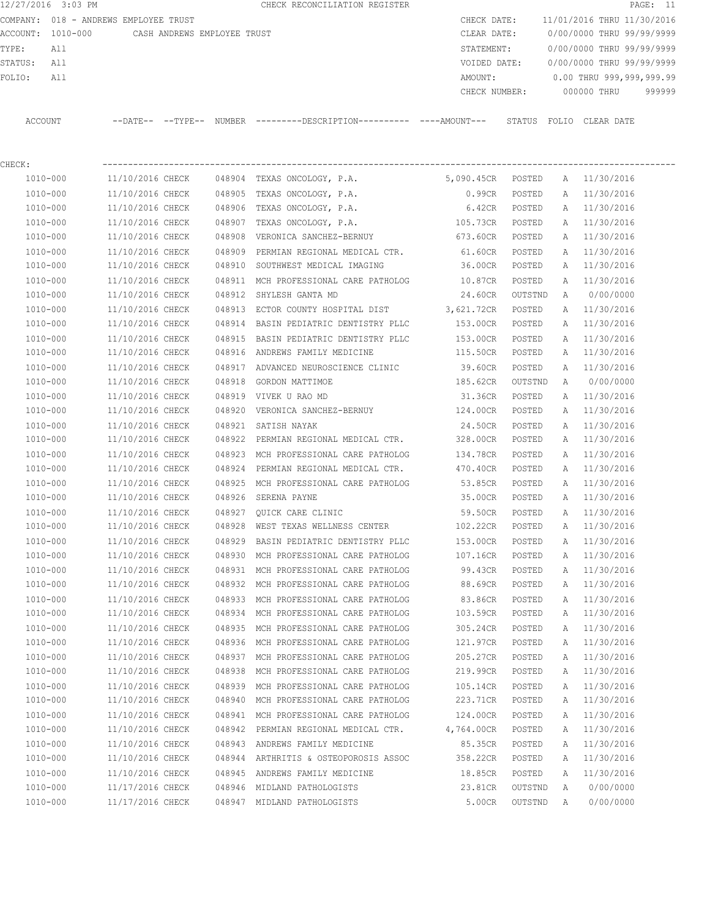|             | 12/27/2016 3:03 PM |                                       |        | CHECK RECONCILIATION REGISTER                                                               |                   |         |   | PAGE: 11                               |
|-------------|--------------------|---------------------------------------|--------|---------------------------------------------------------------------------------------------|-------------------|---------|---|----------------------------------------|
|             |                    | COMPANY: 018 - ANDREWS EMPLOYEE TRUST |        |                                                                                             |                   |         |   | CHECK DATE: 11/01/2016 THRU 11/30/2016 |
|             | ACCOUNT: 1010-000  | CASH ANDREWS EMPLOYEE TRUST           |        |                                                                                             | CLEAR DATE:       |         |   | 0/00/0000 THRU 99/99/9999              |
| TYPE:       | All                |                                       |        |                                                                                             | STATEMENT:        |         |   | 0/00/0000 THRU 99/99/9999              |
| STATUS: All |                    |                                       |        |                                                                                             |                   |         |   | VOIDED DATE: 0/00/0000 THRU 99/99/9999 |
| FOLIO:      | All                |                                       |        |                                                                                             | AMOUNT:           |         |   | 0.00 THRU 999,999,999.99               |
|             |                    |                                       |        |                                                                                             |                   |         |   | CHECK NUMBER: 000000 THRU 999999       |
|             | ACCOUNT            |                                       |        | --DATE-- --TYPE-- NUMBER --------DESCRIPTION--------- ----AMOUNT--- STATUS FOLIO CLEAR DATE |                   |         |   |                                        |
| CHECK:      |                    |                                       |        |                                                                                             |                   |         |   |                                        |
|             |                    |                                       |        | 1010-000 11/10/2016 CHECK 048904 TEXAS ONCOLOGY, P.A. 5,090.45CR POSTED A 11/30/2016        |                   |         |   |                                        |
|             | 1010-000           |                                       |        | $11/10/2016$ CHECK $048905$ TEXAS ONCOLOGY, P.A.                                            | 0.99CR POSTED     |         |   | A 11/30/2016                           |
|             | 1010-000           | 11/10/2016 CHECK                      |        | 048906 TEXAS ONCOLOGY, P.A.                                                                 | 6.42CR POSTED     |         |   | A 11/30/2016                           |
|             | 1010-000           |                                       |        | 11/10/2016 CHECK 048907 TEXAS ONCOLOGY, P.A.                                                | 105.73CR POSTED   |         |   | A 11/30/2016                           |
|             | 1010-000           | 11/10/2016 CHECK                      |        | 048908 VERONICA SANCHEZ-BERNUY                                                              | 673.60CR POSTED   |         |   | A 11/30/2016                           |
|             | 1010-000           | 11/10/2016 CHECK                      |        | 048909 PERMIAN REGIONAL MEDICAL CTR.                                                        | 61.60CR POSTED    |         |   | A 11/30/2016                           |
|             | 1010-000           | 11/10/2016 CHECK                      |        | 048910 SOUTHWEST MEDICAL IMAGING                                                            | 36.00CR           | POSTED  |   | A 11/30/2016                           |
|             | 1010-000           | 11/10/2016 CHECK                      |        | 048911 MCH PROFESSIONAL CARE PATHOLOG 10.87CR                                               |                   | POSTED  |   | A 11/30/2016                           |
|             | 1010-000           | 11/10/2016 CHECK                      |        | 048912 SHYLESH GANTA MD                                                                     | 24.60CR OUTSTND   |         |   | A 0/00/0000                            |
|             | 1010-000           | 11/10/2016 CHECK                      |        | 048913 ECTOR COUNTY HOSPITAL DIST 3,621.72CR                                                |                   | POSTED  |   | A 11/30/2016                           |
|             | 1010-000           | 11/10/2016 CHECK                      | 048914 | BASIN PEDIATRIC DENTISTRY PLLC 153.00CR POSTED                                              |                   |         |   | A 11/30/2016                           |
|             | 1010-000           | 11/10/2016 CHECK                      |        | 048915 BASIN PEDIATRIC DENTISTRY PLLC 153.00CR                                              |                   | POSTED  |   | A 11/30/2016                           |
|             | 1010-000           | 11/10/2016 CHECK                      |        | 048916 ANDREWS FAMILY MEDICINE 115.50CR                                                     |                   | POSTED  |   | A 11/30/2016                           |
|             | 1010-000           | 11/10/2016 CHECK                      |        | 048917 ADVANCED NEUROSCIENCE CLINIC 39.60CR                                                 |                   | POSTED  |   | A 11/30/2016                           |
|             | 1010-000           | 11/10/2016 CHECK                      |        | 048918 GORDON MATTIMOE                                                                      | 185.62CR          | OUTSTND |   | A 0/00/0000                            |
|             | 1010-000           | 11/10/2016 CHECK                      |        | 048919 VIVEK U RAO MD                                                                       | 31.36CR           | POSTED  |   | A 11/30/2016                           |
|             | 1010-000           | 11/10/2016 CHECK                      |        | 048920 VERONICA SANCHEZ-BERNUY 124.00CR POSTED                                              |                   |         |   | A 11/30/2016                           |
|             | 1010-000           | 11/10/2016 CHECK                      |        | 048921 SATISH NAYAK                                                                         | 24.50CR           | POSTED  |   | A 11/30/2016                           |
|             | 1010-000           |                                       |        | 11/10/2016 CHECK 048922 PERMIAN REGIONAL MEDICAL CTR.                                       | 328.00CR POSTED   |         |   | A 11/30/2016                           |
|             | 1010-000           | 11/10/2016 CHECK                      |        | 048923 MCH PROFESSIONAL CARE PATHOLOG                                                       | 134.78CR          | POSTED  |   | A 11/30/2016                           |
|             | 1010-000           | 11/10/2016 CHECK                      |        | 048924 PERMIAN REGIONAL MEDICAL CTR. 470.40CR POSTED                                        |                   |         |   | A 11/30/2016                           |
|             | 1010-000           | 11/10/2016 CHECK                      |        | 048925 MCH PROFESSIONAL CARE PATHOLOG 53.85CR                                               |                   | POSTED  |   | A 11/30/2016                           |
|             | 1010-000           | 11/10/2016 CHECK                      |        | 048926 SERENA PAYNE                                                                         | 35.00CR           | POSTED  |   | A 11/30/2016                           |
|             | 1010-000           | 11/10/2016 CHECK                      |        | 048927 QUICK CARE CLINIC                                                                    | $59.50 \text{CR}$ | POSTED  |   | A 11/30/2016                           |
|             | 1010-000           | 11/10/2016 CHECK                      |        | 048928 WEST TEXAS WELLNESS CENTER                                                           | 102.22CR          | POSTED  | Α | 11/30/2016                             |
|             | 1010-000           | 11/10/2016 CHECK                      |        | 048929 BASIN PEDIATRIC DENTISTRY PLLC                                                       | 153.00CR          | POSTED  | Α | 11/30/2016                             |
|             | 1010-000           | 11/10/2016 CHECK                      |        | 048930 MCH PROFESSIONAL CARE PATHOLOG                                                       | 107.16CR          | POSTED  | Α | 11/30/2016                             |
|             | 1010-000           | 11/10/2016 CHECK                      |        | 048931 MCH PROFESSIONAL CARE PATHOLOG                                                       | 99.43CR           | POSTED  | Α | 11/30/2016                             |
|             | 1010-000           | 11/10/2016 CHECK                      |        | 048932 MCH PROFESSIONAL CARE PATHOLOG                                                       | 88.69CR           | POSTED  | Α | 11/30/2016                             |
|             | 1010-000           | 11/10/2016 CHECK                      |        | 048933 MCH PROFESSIONAL CARE PATHOLOG                                                       | 83.86CR           | POSTED  | Α | 11/30/2016                             |
|             | 1010-000           | 11/10/2016 CHECK                      |        | 048934 MCH PROFESSIONAL CARE PATHOLOG                                                       | 103.59CR          | POSTED  | A | 11/30/2016                             |
|             | 1010-000           | 11/10/2016 CHECK                      |        | 048935 MCH PROFESSIONAL CARE PATHOLOG                                                       | 305.24CR          | POSTED  | Α | 11/30/2016                             |
|             | 1010-000           | 11/10/2016 CHECK                      |        | 048936 MCH PROFESSIONAL CARE PATHOLOG                                                       | 121.97CR          | POSTED  | Α | 11/30/2016                             |
|             | 1010-000           | 11/10/2016 CHECK                      | 048937 | MCH PROFESSIONAL CARE PATHOLOG                                                              | 205.27CR          | POSTED  | Α | 11/30/2016                             |
|             | 1010-000           | 11/10/2016 CHECK                      | 048938 | MCH PROFESSIONAL CARE PATHOLOG                                                              | 219.99CR          | POSTED  | Α | 11/30/2016                             |
|             | 1010-000           | 11/10/2016 CHECK                      | 048939 | MCH PROFESSIONAL CARE PATHOLOG                                                              | 105.14CR          | POSTED  | Α | 11/30/2016                             |
|             | 1010-000           | 11/10/2016 CHECK                      | 048940 | MCH PROFESSIONAL CARE PATHOLOG                                                              | 223.71CR          | POSTED  | Α | 11/30/2016                             |
|             | 1010-000           | 11/10/2016 CHECK                      |        | 048941 MCH PROFESSIONAL CARE PATHOLOG                                                       | 124.00CR          | POSTED  | Α | 11/30/2016                             |
|             | 1010-000           | 11/10/2016 CHECK                      |        | 048942 PERMIAN REGIONAL MEDICAL CTR.                                                        | 4,764.00CR        | POSTED  | Α | 11/30/2016                             |
|             | 1010-000           | 11/10/2016 CHECK                      |        | 048943 ANDREWS FAMILY MEDICINE                                                              | 85.35CR           | POSTED  | Α | 11/30/2016                             |
|             | 1010-000           | 11/10/2016 CHECK                      |        | 048944 ARTHRITIS & OSTEOPOROSIS ASSOC                                                       | 358.22CR          | POSTED  | Α | 11/30/2016                             |
|             | 1010-000           | 11/10/2016 CHECK                      | 048945 | ANDREWS FAMILY MEDICINE                                                                     | 18.85CR           | POSTED  | Α | 11/30/2016                             |
|             | 1010-000           | 11/17/2016 CHECK                      |        | 048946 MIDLAND PATHOLOGISTS                                                                 | 23.81CR           | OUTSTND | A | 0/00/0000                              |
|             |                    |                                       |        |                                                                                             |                   |         |   |                                        |

1010-000 11/17/2016 CHECK 048947 MIDLAND PATHOLOGISTS 5.00CR OUTSTND A 0/00/0000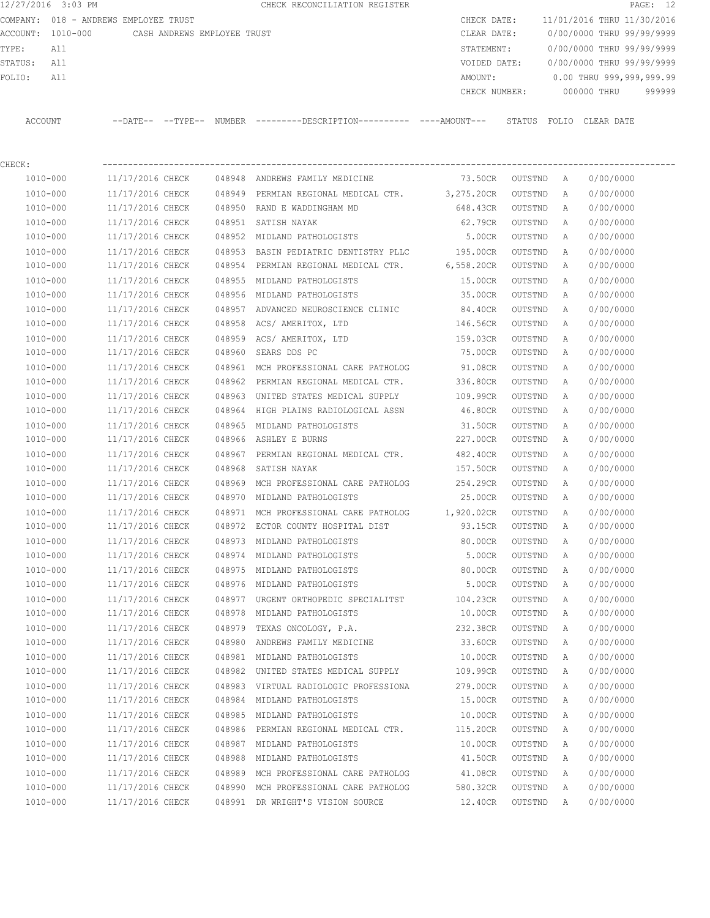12/27/2016 3:03 PM **CHECK RECONCILIATION REGISTER PAGE: 12** COMPANY: 018 - ANDREWS EMPLOYEE TRUST COMPANY: 018 - ANDREWS CHECK DATE: 11/01/2016 THRU 11/30/2016 ACCOUNT: 1010-000 CASH ANDREWS EMPLOYEE TRUST CLEAR DATE: 0/00/0000 THRU 99/99/9999 TYPE: All STATEMENT: 0/00/0000 THRU 99/99/9999 STATUS: All VOIDED DATE: 0/00/0000 THRU 99/99/9999 FOLIO: All 2000 and the matrix of the MOUNT: 0.00 THRU 999,999,999.99

CHECK: ----------------------------------------------------------------------------------------------------------------

 CHECK NUMBER: 000000 THRU 999999 ACCOUNT --DATE-- --TYPE-- NUMBER ---------DESCRIPTION---------- ----AMOUNT--- STATUS FOLIO CLEAR DATE

| 1010-000     | 11/17/2016 CHECK |        | 048948 ANDREWS FAMILY MEDICINE                  | 73.50CR    | OUTSTND | A | 0/00/0000 |
|--------------|------------------|--------|-------------------------------------------------|------------|---------|---|-----------|
| 1010-000     | 11/17/2016 CHECK |        | 048949 PERMIAN REGIONAL MEDICAL CTR. 3,275.20CR |            | OUTSTND | A | 0/00/0000 |
| 1010-000     | 11/17/2016 CHECK |        | 048950 RAND E WADDINGHAM MD                     | 648.43CR   | OUTSTND | Α | 0/00/0000 |
| 1010-000     | 11/17/2016 CHECK |        | 048951 SATISH NAYAK                             | 62.79CR    | OUTSTND | A | 0/00/0000 |
| 1010-000     | 11/17/2016 CHECK |        | 048952 MIDLAND PATHOLOGISTS                     | 5.00CR     | OUTSTND | A | 0/00/0000 |
| 1010-000     | 11/17/2016 CHECK | 048953 | BASIN PEDIATRIC DENTISTRY PLLC 195.00CR         |            | OUTSTND | A | 0/00/0000 |
| 1010-000     | 11/17/2016 CHECK | 048954 | PERMIAN REGIONAL MEDICAL CTR.                   | 6,558.20CR | OUTSTND | A | 0/00/0000 |
| 1010-000     | 11/17/2016 CHECK |        | 048955 MIDLAND PATHOLOGISTS                     | 15.00CR    | OUTSTND | A | 0/00/0000 |
| 1010-000     | 11/17/2016 CHECK |        | 048956 MIDLAND PATHOLOGISTS                     | 35.00CR    | OUTSTND | A | 0/00/0000 |
| 1010-000     | 11/17/2016 CHECK |        | 048957 ADVANCED NEUROSCIENCE CLINIC             | 84.40CR    | OUTSTND | A | 0/00/0000 |
| 1010-000     | 11/17/2016 CHECK |        | 048958 ACS/AMERITOX, LTD                        | 146.56CR   | OUTSTND | A | 0/00/0000 |
| 1010-000     | 11/17/2016 CHECK | 048959 | ACS/ AMERITOX, LTD                              | 159.03CR   | OUTSTND | A | 0/00/0000 |
| 1010-000     | 11/17/2016 CHECK | 048960 | SEARS DDS PC                                    | 75.00CR    | OUTSTND | A | 0/00/0000 |
| 1010-000     | 11/17/2016 CHECK |        | 048961 MCH PROFESSIONAL CARE PATHOLOG           | 91.08CR    | OUTSTND | A | 0/00/0000 |
| 1010-000     | 11/17/2016 CHECK |        | 048962 PERMIAN REGIONAL MEDICAL CTR.            | 336.80CR   | OUTSTND | A | 0/00/0000 |
| 1010-000     | 11/17/2016 CHECK | 048963 | UNITED STATES MEDICAL SUPPLY                    | 109.99CR   | OUTSTND | A | 0/00/0000 |
| 1010-000     | 11/17/2016 CHECK |        | 048964 HIGH PLAINS RADIOLOGICAL ASSN            | 46.80CR    | OUTSTND | A | 0/00/0000 |
| 1010-000     | 11/17/2016 CHECK | 048965 | MIDLAND PATHOLOGISTS                            | 31.50CR    | OUTSTND | A | 0/00/0000 |
| 1010-000     | 11/17/2016 CHECK |        | 048966 ASHLEY E BURNS                           | 227.00CR   | OUTSTND | A | 0/00/0000 |
| 1010-000     | 11/17/2016 CHECK |        | 048967 PERMIAN REGIONAL MEDICAL CTR.            | 482.40CR   | OUTSTND | A | 0/00/0000 |
| 1010-000     | 11/17/2016 CHECK | 048968 | SATISH NAYAK                                    | 157.50CR   | OUTSTND | A | 0/00/0000 |
| 1010-000     | 11/17/2016 CHECK |        | 048969 MCH PROFESSIONAL CARE PATHOLOG           | 254.29CR   | OUTSTND | A | 0/00/0000 |
| 1010-000     | 11/17/2016 CHECK |        | 048970 MIDLAND PATHOLOGISTS                     | 25.00CR    | OUTSTND | A | 0/00/0000 |
| 1010-000     | 11/17/2016 CHECK | 048971 | MCH PROFESSIONAL CARE PATHOLOG 1,920.02CR       |            | OUTSTND | A | 0/00/0000 |
| 1010-000     | 11/17/2016 CHECK | 048972 | ECTOR COUNTY HOSPITAL DIST                      | 93.15CR    | OUTSTND | A | 0/00/0000 |
| 1010-000     | 11/17/2016 CHECK |        | 048973 MIDLAND PATHOLOGISTS                     | 80.00CR    | OUTSTND | A | 0/00/0000 |
| 1010-000     | 11/17/2016 CHECK |        | 048974 MIDLAND PATHOLOGISTS                     | 5.00CR     | OUTSTND | A | 0/00/0000 |
| 1010-000     | 11/17/2016 CHECK |        | 048975 MIDLAND PATHOLOGISTS                     | 80.00CR    | OUTSTND | A | 0/00/0000 |
| 1010-000     | 11/17/2016 CHECK |        | 048976 MIDLAND PATHOLOGISTS                     | 5.00CR     | OUTSTND | A | 0/00/0000 |
| 1010-000     | 11/17/2016 CHECK | 048977 | URGENT ORTHOPEDIC SPECIALITST                   | 104.23CR   | OUTSTND | A | 0/00/0000 |
| 1010-000     | 11/17/2016 CHECK | 048978 | MIDLAND PATHOLOGISTS                            | 10.00CR    | OUTSTND | A | 0/00/0000 |
| 1010-000     | 11/17/2016 CHECK |        | 048979 TEXAS ONCOLOGY, P.A.                     | 232.38CR   | OUTSTND | A | 0/00/0000 |
| 1010-000     | 11/17/2016 CHECK |        | 048980 ANDREWS FAMILY MEDICINE                  | 33.60CR    | OUTSTND | A | 0/00/0000 |
| 1010-000     | 11/17/2016 CHECK |        | 048981 MIDLAND PATHOLOGISTS                     | 10.00CR    | OUTSTND | A | 0/00/0000 |
| 1010-000     | 11/17/2016 CHECK |        | 048982 UNITED STATES MEDICAL SUPPLY             | 109.99CR   | OUTSTND | A | 0/00/0000 |
| 1010-000     | 11/17/2016 CHECK |        | 048983 VIRTUAL RADIOLOGIC PROFESSIONA           | 279.00CR   | OUTSTND | A | 0/00/0000 |
| 1010-000     | 11/17/2016 CHECK |        | 048984 MIDLAND PATHOLOGISTS                     | 15.00CR    | OUTSTND | Α | 0/00/0000 |
| $1010 - 000$ | 11/17/2016 CHECK | 048985 | MIDLAND PATHOLOGISTS                            | 10.00CR    | OUTSTND | Α | 0/00/0000 |
| $1010 - 000$ | 11/17/2016 CHECK | 048986 | PERMIAN REGIONAL MEDICAL CTR.                   | 115.20CR   | OUTSTND | Α | 0/00/0000 |
| 1010-000     | 11/17/2016 CHECK | 048987 | MIDLAND PATHOLOGISTS                            | 10.00CR    | OUTSTND | Α | 0/00/0000 |
| 1010-000     | 11/17/2016 CHECK | 048988 | MIDLAND PATHOLOGISTS                            | 41.50CR    | OUTSTND | Α | 0/00/0000 |
| 1010-000     | 11/17/2016 CHECK | 048989 | MCH PROFESSIONAL CARE PATHOLOG                  | 41.08CR    | OUTSTND | Α | 0/00/0000 |
| $1010 - 000$ | 11/17/2016 CHECK | 048990 | MCH PROFESSIONAL CARE PATHOLOG                  | 580.32CR   | OUTSTND | Α | 0/00/0000 |
| $1010 - 000$ | 11/17/2016 CHECK | 048991 | DR WRIGHT'S VISION SOURCE                       | 12.40CR    | OUTSTND | Α | 0/00/0000 |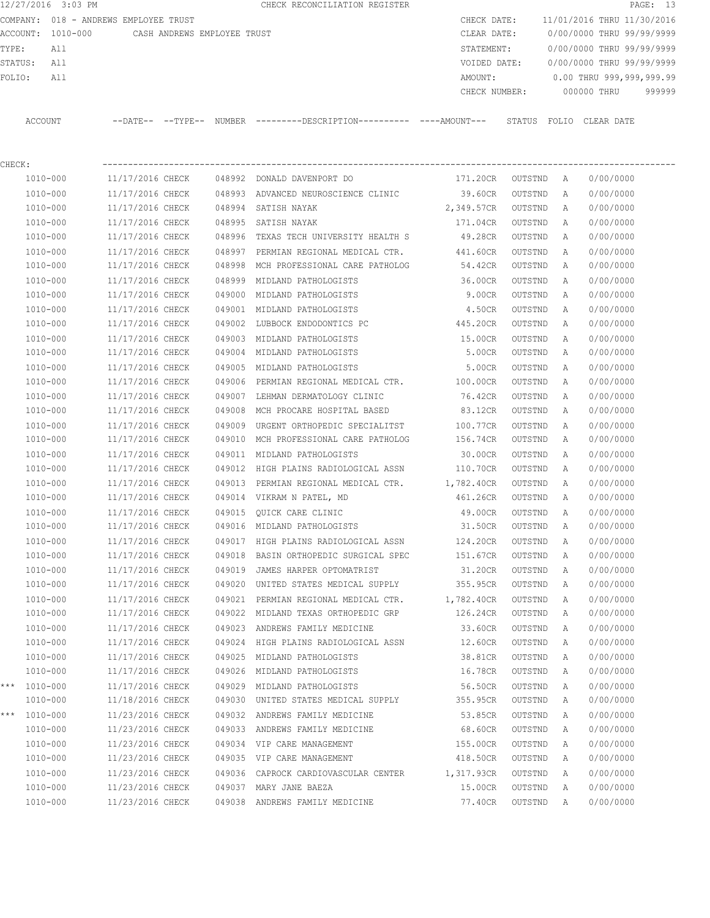12/27/2016 3:03 PM **CHECK RECONCILIATION REGISTER PAGE: 13** COMPANY: 018 - ANDREWS EMPLOYEE TRUST COMPANY: 018 - ANDREWS CHECK DATE: 11/01/2016 THRU 11/30/2016 ACCOUNT: 1010-000 CASH ANDREWS EMPLOYEE TRUST CLEAR DATE: 0/00/0000 THRU 99/99/9999 TYPE: All STATEMENT: 0/00/0000 THRU 99/99/9999 STATUS: All VOIDED DATE: 0/00/0000 THRU 99/99/9999 FOLIO: All 2009, 2009, 2009, 2009, 2009, 2009, 2009, 2009, 2009, 2009, 2009, 2009, 2009, 2009, 2009, 2009, 200 CHECK NUMBER: 000000 THRU 999999 ACCOUNT --DATE-- --TYPE-- NUMBER ---------DESCRIPTION---------- ----AMOUNT--- STATUS FOLIO CLEAR DATE

| CHECK: |              |                  |        |                                                              |                    |         |              |           |
|--------|--------------|------------------|--------|--------------------------------------------------------------|--------------------|---------|--------------|-----------|
|        | 1010-000     |                  |        | $11/17/2016$ CHECK $048992$ DONALD DAVENPORT DO              | 171.20CR OUTSTND A |         |              | 0/00/0000 |
|        | 1010-000     |                  |        | 11/17/2016 CHECK 048993 ADVANCED NEUROSCIENCE CLINIC 39.60CR |                    | OUTSTND | A            | 0/00/0000 |
|        | 1010-000     | 11/17/2016 CHECK |        | 048994 SATISH NAYAK                                          | 2,349.57CR         | OUTSTND | A            | 0/00/0000 |
|        | 1010-000     | 11/17/2016 CHECK |        | 048995 SATISH NAYAK                                          | 171.04CR           | OUTSTND | A            | 0/00/0000 |
|        | 1010-000     | 11/17/2016 CHECK |        | 048996 TEXAS TECH UNIVERSITY HEALTH S                        | 49.28CR            | OUTSTND | A            | 0/00/0000 |
|        | 1010-000     | 11/17/2016 CHECK |        | 048997 PERMIAN REGIONAL MEDICAL CTR.                         | 441.60CR           | OUTSTND | A            | 0/00/0000 |
|        | 1010-000     | 11/17/2016 CHECK |        | 048998 MCH PROFESSIONAL CARE PATHOLOG                        | 54.42CR            | OUTSTND | A            | 0/00/0000 |
|        | 1010-000     | 11/17/2016 CHECK | 048999 | MIDLAND PATHOLOGISTS                                         | 36.00CR            | OUTSTND | A            | 0/00/0000 |
|        | 1010-000     | 11/17/2016 CHECK | 049000 | MIDLAND PATHOLOGISTS                                         | 9.00CR             | OUTSTND | Α            | 0/00/0000 |
|        | 1010-000     | 11/17/2016 CHECK |        | 049001 MIDLAND PATHOLOGISTS                                  | 4.50CR             | OUTSTND | A            | 0/00/0000 |
|        | 1010-000     | 11/17/2016 CHECK |        | 049002 LUBBOCK ENDODONTICS PC                                | 445.20CR           | OUTSTND | A            | 0/00/0000 |
|        | 1010-000     | 11/17/2016 CHECK |        | 049003 MIDLAND PATHOLOGISTS                                  | <b>15.00CR</b>     | OUTSTND | A            | 0/00/0000 |
|        | 1010-000     | 11/17/2016 CHECK |        | 049004 MIDLAND PATHOLOGISTS                                  | 5.00CR             | OUTSTND | A            | 0/00/0000 |
|        | 1010-000     | 11/17/2016 CHECK |        | 049005 MIDLAND PATHOLOGISTS                                  | 5.00CR             | OUTSTND | Α            | 0/00/0000 |
|        | 1010-000     | 11/17/2016 CHECK |        | 049006 PERMIAN REGIONAL MEDICAL CTR. 100.00CR                |                    | OUTSTND | Α            | 0/00/0000 |
|        | 1010-000     |                  |        | 11/17/2016 CHECK 049007 LEHMAN DERMATOLOGY CLINIC            | 76.42CR            | OUTSTND | $\mathbb{A}$ | 0/00/0000 |
|        | 1010-000     | 11/17/2016 CHECK |        | 049008 MCH PROCARE HOSPITAL BASED                            | 83.12CR            | OUTSTND | $\mathbb{A}$ | 0/00/0000 |
|        | 1010-000     | 11/17/2016 CHECK |        | 049009 URGENT ORTHOPEDIC SPECIALITST                         | 100.77CR           | OUTSTND | A            | 0/00/0000 |
|        | 1010-000     | 11/17/2016 CHECK |        | 049010 MCH PROFESSIONAL CARE PATHOLOG                        | 156.74CR           | OUTSTND | A            | 0/00/0000 |
|        | 1010-000     | 11/17/2016 CHECK |        | 049011 MIDLAND PATHOLOGISTS                                  | 30.00CR            | OUTSTND | A            | 0/00/0000 |
|        | 1010-000     | 11/17/2016 CHECK |        | 049012 HIGH PLAINS RADIOLOGICAL ASSN 110.70CR                |                    | OUTSTND | A            | 0/00/0000 |
|        | 1010-000     | 11/17/2016 CHECK | 049013 | PERMIAN REGIONAL MEDICAL CTR. 1,782.40CR                     |                    | OUTSTND | A            | 0/00/0000 |
|        | 1010-000     | 11/17/2016 CHECK |        | 049014 VIKRAM N PATEL, MD                                    | 461.26CR           | OUTSTND | A            | 0/00/0000 |
|        | 1010-000     | 11/17/2016 CHECK | 049015 | QUICK CARE CLINIC 49.00CR                                    |                    | OUTSTND | A            | 0/00/0000 |
|        | 1010-000     | 11/17/2016 CHECK |        | 049016 MIDLAND PATHOLOGISTS                                  | 31.50CR            | OUTSTND | A            | 0/00/0000 |
|        | 1010-000     | 11/17/2016 CHECK |        | 049017 HIGH PLAINS RADIOLOGICAL ASSN                         | 124.20CR           | OUTSTND | A            | 0/00/0000 |
|        | 1010-000     | 11/17/2016 CHECK |        | 049018 BASIN ORTHOPEDIC SURGICAL SPEC                        | 151.67CR           | OUTSTND | A            | 0/00/0000 |
|        | 1010-000     | 11/17/2016 CHECK |        | 049019 JAMES HARPER OPTOMATRIST                              | 31.20CR            | OUTSTND | A            | 0/00/0000 |
|        | 1010-000     | 11/17/2016 CHECK |        | 049020 UNITED STATES MEDICAL SUPPLY                          | 355.95CR           | OUTSTND | A            | 0/00/0000 |
|        | 1010-000     | 11/17/2016 CHECK |        | 049021 PERMIAN REGIONAL MEDICAL CTR. 1,782.40CR              |                    | OUTSTND | A            | 0/00/0000 |
|        | 1010-000     | 11/17/2016 CHECK |        | 049022 MIDLAND TEXAS ORTHOPEDIC GRP                          | 126.24CR           | OUTSTND | A            | 0/00/0000 |
|        | 1010-000     | 11/17/2016 CHECK |        | 049023 ANDREWS FAMILY MEDICINE                               | 33.60CR            | OUTSTND | A            | 0/00/0000 |
|        | 1010-000     | 11/17/2016 CHECK | 049024 | HIGH PLAINS RADIOLOGICAL ASSN 12.60CR                        |                    | OUTSTND | A            | 0/00/0000 |
|        | 1010-000     | 11/17/2016 CHECK |        | 049025 MIDLAND PATHOLOGISTS                                  | 38.81CR            | OUTSTND | A            | 0/00/0000 |
|        | 1010-000     | 11/17/2016 CHECK |        | 049026 MIDLAND PATHOLOGISTS                                  | 16.78CR            | OUTSTND | A            | 0/00/0000 |
| ***    | 1010-000     | 11/17/2016 CHECK |        | 049029 MIDLAND PATHOLOGISTS                                  | 56.50CR            | OUTSTND | A            | 0/00/0000 |
|        | 1010-000     | 11/18/2016 CHECK |        | 049030 UNITED STATES MEDICAL SUPPLY                          | 355.95CR           | OUTSTND | Α            | 0/00/0000 |
| ***    | 1010-000     | 11/23/2016 CHECK |        | 049032 ANDREWS FAMILY MEDICINE                               | 53.85CR            | OUTSTND | Α            | 0/00/0000 |
|        | 1010-000     | 11/23/2016 CHECK |        | 049033 ANDREWS FAMILY MEDICINE                               | 68.60CR            | OUTSTND | Α            | 0/00/0000 |
|        | 1010-000     | 11/23/2016 CHECK |        | 049034 VIP CARE MANAGEMENT                                   | 155.00CR           | OUTSTND | Α            | 0/00/0000 |
|        | $1010 - 000$ | 11/23/2016 CHECK |        | 049035 VIP CARE MANAGEMENT                                   | 418.50CR           | OUTSTND | Α            | 0/00/0000 |
|        | 1010-000     | 11/23/2016 CHECK | 049036 | CAPROCK CARDIOVASCULAR CENTER                                | 1,317.93CR         | OUTSTND | Α            | 0/00/0000 |
|        | 1010-000     | 11/23/2016 CHECK |        | 049037 MARY JANE BAEZA                                       | 15.00CR            | OUTSTND | Α            | 0/00/0000 |
|        | $1010 - 000$ | 11/23/2016 CHECK |        | 049038 ANDREWS FAMILY MEDICINE                               | 77.40CR            | OUTSTND | Α            | 0/00/0000 |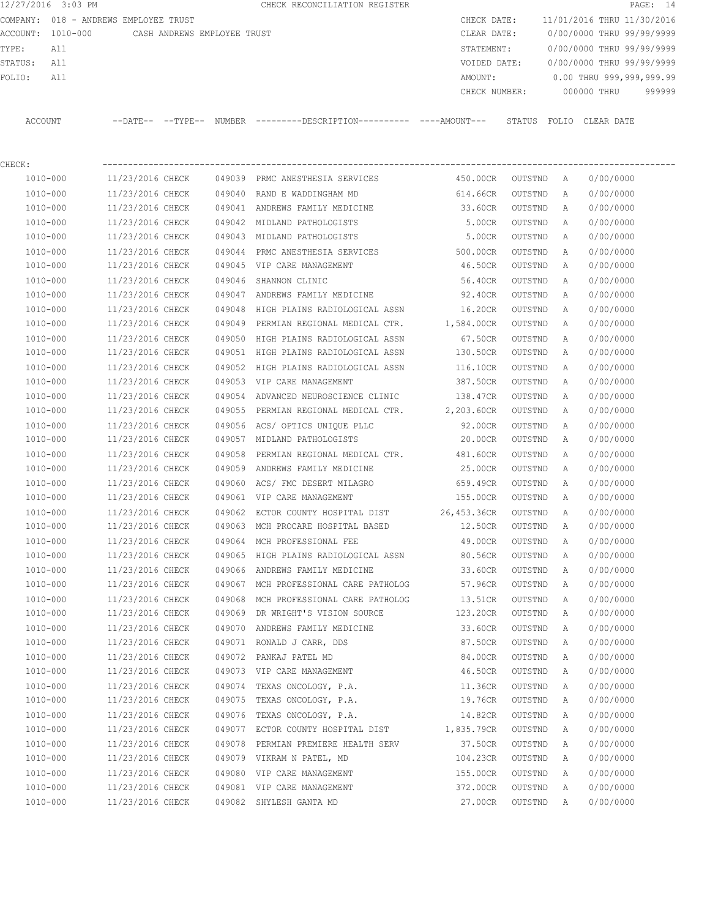12/27/2016 3:03 PM **CHECK RECONCILIATION REGISTER PAGE: 14** COMPANY: 018 - ANDREWS EMPLOYEE TRUST COMPANY: 018 - ANDREWS CHECK DATE: 11/01/2016 THRU 11/30/2016 ACCOUNT: 1010-000 CASH ANDREWS EMPLOYEE TRUST CLEAR DATE: 0/00/0000 THRU 99/99/9999 TYPE: All STATEMENT: 0/00/0000 THRU 99/99/9999 STATUS: All VOIDED DATE: 0/00/0000 THRU 99/99/9999 FOLIO: All 2009, 2009, 2009, 2009, 2009, 2009, 2009, 2009, 2009, 2009, 2009, 2009, 2009, 2009, 2009, 2009, 200 CHECK NUMBER: 000000 THRU 999999 ACCOUNT --DATE-- --TYPE-- NUMBER ---------DESCRIPTION---------- ----AMOUNT--- STATUS FOLIO CLEAR DATE

| CHECK:       |                  |        |                                                 |             |           |              |           |
|--------------|------------------|--------|-------------------------------------------------|-------------|-----------|--------------|-----------|
| 1010-000     | 11/23/2016 CHECK |        | 049039 PRMC ANESTHESIA SERVICES                 | 450.00CR    | OUTSTND A |              | 0/00/0000 |
| $1010 - 000$ | 11/23/2016 CHECK | 049040 | RAND E WADDINGHAM MD                            | 614.66CR    | OUTSTND   | Α            | 0/00/0000 |
| 1010-000     | 11/23/2016 CHECK |        | 049041 ANDREWS FAMILY MEDICINE                  | 33.60CR     | OUTSTND   | Α            | 0/00/0000 |
| 1010-000     | 11/23/2016 CHECK |        | 049042 MIDLAND PATHOLOGISTS                     | 5.00CR      | OUTSTND   | Α            | 0/00/0000 |
| 1010-000     | 11/23/2016 CHECK |        | 049043 MIDLAND PATHOLOGISTS                     | 5.00CR      | OUTSTND   | Α            | 0/00/0000 |
| 1010-000     | 11/23/2016 CHECK |        | 049044 PRMC ANESTHESIA SERVICES                 | 500.00CR    | OUTSTND   | Α            | 0/00/0000 |
| 1010-000     | 11/23/2016 CHECK |        | 049045 VIP CARE MANAGEMENT                      | 46.50CR     | OUTSTND   | Α            | 0/00/0000 |
| 1010-000     | 11/23/2016 CHECK |        | 049046 SHANNON CLINIC                           | 56.40CR     | OUTSTND   | Α            | 0/00/0000 |
| 1010-000     | 11/23/2016 CHECK |        | 049047 ANDREWS FAMILY MEDICINE                  | 92.40CR     | OUTSTND   | Α            | 0/00/0000 |
| $1010 - 000$ | 11/23/2016 CHECK |        | 049048 HIGH PLAINS RADIOLOGICAL ASSN            | 16.20CR     | OUTSTND   | Α            | 0/00/0000 |
| 1010-000     | 11/23/2016 CHECK |        | 049049 PERMIAN REGIONAL MEDICAL CTR. 1,584.00CR |             | OUTSTND   | Α            | 0/00/0000 |
| 1010-000     | 11/23/2016 CHECK | 049050 | HIGH PLAINS RADIOLOGICAL ASSN                   | 67.50CR     | OUTSTND   | Α            | 0/00/0000 |
| 1010-000     | 11/23/2016 CHECK |        | 049051 HIGH PLAINS RADIOLOGICAL ASSN            | 130.50CR    | OUTSTND   | Α            | 0/00/0000 |
| 1010-000     | 11/23/2016 CHECK | 049052 | HIGH PLAINS RADIOLOGICAL ASSN                   | 116.10CR    | OUTSTND   | Α            | 0/00/0000 |
| 1010-000     | 11/23/2016 CHECK |        | 049053 VIP CARE MANAGEMENT                      | 387.50CR    | OUTSTND   | Α            | 0/00/0000 |
| 1010-000     | 11/23/2016 CHECK | 049054 | ADVANCED NEUROSCIENCE CLINIC 138.47CR           |             | OUTSTND   | Α            | 0/00/0000 |
| 1010-000     | 11/23/2016 CHECK | 049055 | PERMIAN REGIONAL MEDICAL CTR. 2,203.60CR        |             | OUTSTND   | Α            | 0/00/0000 |
| 1010-000     | 11/23/2016 CHECK |        | 049056 ACS/ OPTICS UNIQUE PLLC                  | 92.00CR     | OUTSTND   | Α            | 0/00/0000 |
| 1010-000     | 11/23/2016 CHECK |        | 049057 MIDLAND PATHOLOGISTS                     | 20.00CR     | OUTSTND   | Α            | 0/00/0000 |
| 1010-000     | 11/23/2016 CHECK | 049058 | PERMIAN REGIONAL MEDICAL CTR.                   | 481.60CR    | OUTSTND   | Α            | 0/00/0000 |
| 1010-000     | 11/23/2016 CHECK | 049059 | ANDREWS FAMILY MEDICINE                         | 25.00CR     | OUTSTND   | Α            | 0/00/0000 |
| 1010-000     | 11/23/2016 CHECK | 049060 | ACS/ FMC DESERT MILAGRO                         | 659.49CR    | OUTSTND   | Α            | 0/00/0000 |
| 1010-000     | 11/23/2016 CHECK |        | 049061 VIP CARE MANAGEMENT                      | 155.00CR    | OUTSTND   | Α            | 0/00/0000 |
| 1010-000     | 11/23/2016 CHECK | 049062 | ECTOR COUNTY HOSPITAL DIST                      | 26,453.36CR | OUTSTND   | Α            | 0/00/0000 |
| 1010-000     | 11/23/2016 CHECK | 049063 | MCH PROCARE HOSPITAL BASED                      | 12.50CR     | OUTSTND   | Α            | 0/00/0000 |
| 1010-000     | 11/23/2016 CHECK | 049064 | MCH PROFESSIONAL FEE                            | 49.00CR     | OUTSTND   | Α            | 0/00/0000 |
| 1010-000     | 11/23/2016 CHECK | 049065 | HIGH PLAINS RADIOLOGICAL ASSN                   | 80.56CR     | OUTSTND   | Α            | 0/00/0000 |
| 1010-000     | 11/23/2016 CHECK | 049066 | ANDREWS FAMILY MEDICINE                         | 33.60CR     | OUTSTND   | Α            | 0/00/0000 |
| 1010-000     | 11/23/2016 CHECK |        | 049067 MCH PROFESSIONAL CARE PATHOLOG           | 57.96CR     | OUTSTND   | Α            | 0/00/0000 |
| 1010-000     | 11/23/2016 CHECK | 049068 | MCH PROFESSIONAL CARE PATHOLOG                  | 13.51CR     | OUTSTND   | Α            | 0/00/0000 |
| 1010-000     | 11/23/2016 CHECK | 049069 | DR WRIGHT'S VISION SOURCE                       | 123.20CR    | OUTSTND   | Α            | 0/00/0000 |
| 1010-000     | 11/23/2016 CHECK | 049070 | ANDREWS FAMILY MEDICINE                         | 33.60CR     | OUTSTND   | Α            | 0/00/0000 |
| 1010-000     | 11/23/2016 CHECK |        | 049071 RONALD J CARR, DDS                       | 87.50CR     | OUTSTND   | Α            | 0/00/0000 |
| 1010-000     | 11/23/2016 CHECK |        | 049072 PANKAJ PATEL MD                          | 84.00CR     | OUTSTND   | Α            | 0/00/0000 |
| 1010-000     | 11/23/2016 CHECK |        | 049073 VIP CARE MANAGEMENT                      | 46.50CR     | OUTSTND   | $\mathbb{A}$ | 0/00/0000 |
| 1010-000     | 11/23/2016 CHECK |        | 049074 TEXAS ONCOLOGY, P.A.                     | 11.36CR     | OUTSTND   | Α            | 0/00/0000 |
| $1010 - 000$ | 11/23/2016 CHECK | 049075 | TEXAS ONCOLOGY, P.A.                            | 19.76CR     | OUTSTND   | Α            | 0/00/0000 |
| 1010-000     | 11/23/2016 CHECK | 049076 | TEXAS ONCOLOGY, P.A.                            | 14.82CR     | OUTSTND   | Α            | 0/00/0000 |
| 1010-000     | 11/23/2016 CHECK | 049077 | ECTOR COUNTY HOSPITAL DIST                      | 1,835.79CR  | OUTSTND   | Α            | 0/00/0000 |
| 1010-000     | 11/23/2016 CHECK | 049078 | PERMIAN PREMIERE HEALTH SERV                    | 37.50CR     | OUTSTND   | Α            | 0/00/0000 |
| 1010-000     | 11/23/2016 CHECK | 049079 | VIKRAM N PATEL, MD                              | 104.23CR    | OUTSTND   | Α            | 0/00/0000 |
| 1010-000     | 11/23/2016 CHECK | 049080 | VIP CARE MANAGEMENT                             | 155.00CR    | OUTSTND   | Α            | 0/00/0000 |
| 1010-000     | 11/23/2016 CHECK |        | 049081 VIP CARE MANAGEMENT                      | 372.00CR    | OUTSTND   | Α            | 0/00/0000 |
| 1010-000     | 11/23/2016 CHECK |        | 049082 SHYLESH GANTA MD                         | 27.00CR     | OUTSTND   | Α            | 0/00/0000 |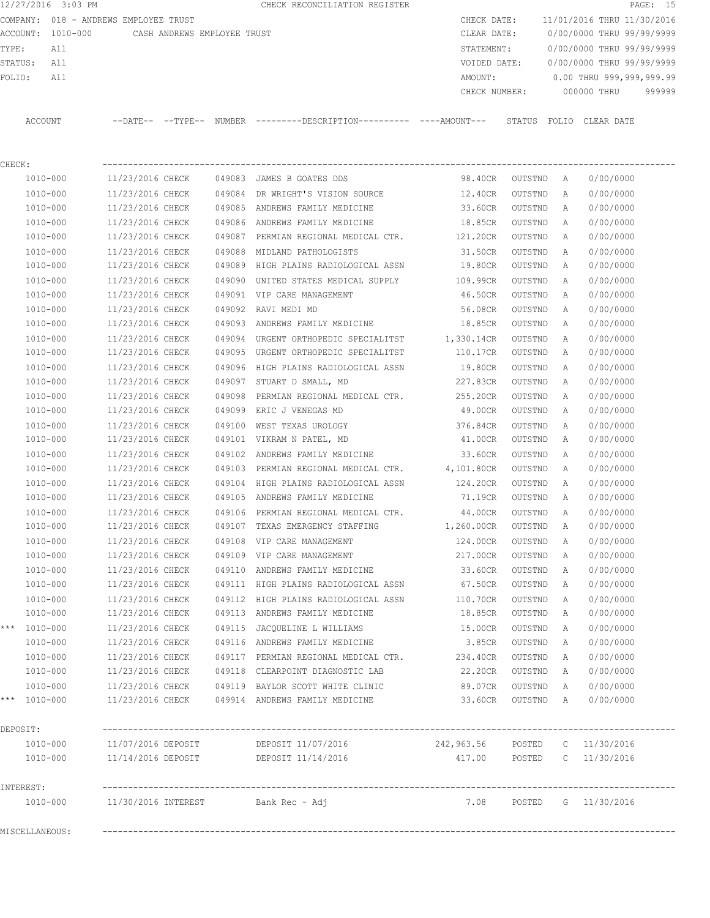12/27/2016 3:03 PM CHECK RECONCILIATION REGISTER PAGE: 15 COMPANY: 018 - ANDREWS EMPLOYEE TRUST CHECK DATE: 11/01/2016 THRU 11/30/2016 ACCOUNT: 1010-000 CASH ANDREWS EMPLOYEE TRUST CLEAR DATE: 0/00/0000 THRU 99/99/9999 TYPE: All STATEMENT: 0/00/0000 THRU 99/99/9999 STATUS: All VOIDED DATE: 0/00/0000 THRU 99/99/9999 FOLIO: All AMOUNT: 0.00 THRU 999,999,999.99 CHECK NUMBER: 000000 THRU 999999 ACCOUNT --DATE-- --TYPE-- NUMBER ---------DESCRIPTION---------- ----AMOUNT--- STATUS FOLIO CLEAR DATE CHECK: ---------------------------------------------------------------------------------------------------------------- 1010-000 11/23/2016 CHECK 049083 JAMES B GOATES DDS 98.40CR OUTSTND A 0/00/0000 1010-000 11/23/2016 CHECK 049084 DR WRIGHT'S VISION SOURCE 12.40CR OUTSTND A 0/00/0000 1010-000 11/23/2016 CHECK 049085 ANDREWS FAMILY MEDICINE 33.60CR OUTSTND A 0/00/0000 1010-000 11/23/2016 CHECK 049086 ANDREWS FAMILY MEDICINE 18.85CR OUTSTND A 0/00/0000 1010-000 11/23/2016 CHECK 049087 PERMIAN REGIONAL MEDICAL CTR. 121.20CR OUTSTND A 0/00/0000 1010-000 11/23/2016 CHECK 049088 MIDLAND PATHOLOGISTS 31.50CR OUTSTND A 0/00/0000 1010-000 11/23/2016 CHECK 049089 HIGH PLAINS RADIOLOGICAL ASSN 19.80CR OUTSTND A 0/00/0000 1010-000 11/23/2016 CHECK 049090 UNITED STATES MEDICAL SUPPLY 109.99CR OUTSTND A 0/00/0000 1010-000 11/23/2016 CHECK 049091 VIP CARE MANAGEMENT 46.50CR OUTSTND A 0/00/0000 1010-000 11/23/2016 CHECK 049092 RAVI MEDI MD 56.08CR OUTSTND A 0/00/0000 1010-000 11/23/2016 CHECK 049093 ANDREWS FAMILY MEDICINE 18.85CR OUTSTND A 0/00/0000 1010-000 11/23/2016 CHECK 049094 URGENT ORTHOPEDIC SPECIALITST 1,330.14CR OUTSTND A 0/00/0000 1010-000 11/23/2016 CHECK 049095 URGENT ORTHOPEDIC SPECIALITST 110.17CR OUTSTND A 0/00/0000 1010-000 11/23/2016 CHECK 049096 HIGH PLAINS RADIOLOGICAL ASSN 19.80CR OUTSTND A 0/00/0000 1010-000 11/23/2016 CHECK 049097 STUART D SMALL, MD 227.83CR OUTSTND A 0/00/0000 1010-000 11/23/2016 CHECK 049098 PERMIAN REGIONAL MEDICAL CTR. 255.20CR OUTSTND A 0/00/0000 1010-000 11/23/2016 CHECK 049099 ERIC J VENEGAS MD 49.00CR OUTSTND A 0/00/0000 1010-000 11/23/2016 CHECK 049100 WEST TEXAS UROLOGY 376.84CR OUTSTND A 0/00/0000

 1010-000 11/23/2016 CHECK 049101 VIKRAM N PATEL, MD 41.00CR OUTSTND A 0/00/0000 1010-000 11/23/2016 CHECK 049102 ANDREWS FAMILY MEDICINE 33.60CR OUTSTND A 0/00/0000 1010-000 11/23/2016 CHECK 049103 PERMIAN REGIONAL MEDICAL CTR. 4,101.80CR OUTSTND A 0/00/0000 1010-000 11/23/2016 CHECK 049104 HIGH PLAINS RADIOLOGICAL ASSN 124.20CR OUTSTND A 0/00/0000 1010-000 11/23/2016 CHECK 049105 ANDREWS FAMILY MEDICINE 71.19CR OUTSTND A 0/00/0000 1010-000 11/23/2016 CHECK 049106 PERMIAN REGIONAL MEDICAL CTR. 44.00CR OUTSTND A 0/00/0000 1010-000 11/23/2016 CHECK 049107 TEXAS EMERGENCY STAFFING 1,260.00CR OUTSTND A 0/00/0000 1010-000 11/23/2016 CHECK 049108 VIP CARE MANAGEMENT 124.00CR OUTSTND A 0/00/0000 1010-000 11/23/2016 CHECK 049109 VIP CARE MANAGEMENT 217.00CR OUTSTND A 0/00/0000 1010-000 11/23/2016 CHECK 049110 ANDREWS FAMILY MEDICINE 33.60CR OUTSTND A 0/00/0000 1010-000 11/23/2016 CHECK 049111 HIGH PLAINS RADIOLOGICAL ASSN 67.50CR OUTSTND A 0/00/0000 1010-000 11/23/2016 CHECK 049112 HIGH PLAINS RADIOLOGICAL ASSN 110.70CR OUTSTND A 0/00/0000 1010-000 11/23/2016 CHECK 049113 ANDREWS FAMILY MEDICINE 18.85CR OUTSTND A 0/00/0000 \*\*\* 1010-000 11/23/2016 CHECK 049115 JACQUELINE L WILLIAMS 15.00CR OUTSTND A 0/00/0000 1010-000 11/23/2016 CHECK 049116 ANDREWS FAMILY MEDICINE 3.85CR OUTSTND A 0/00/0000 1010-000 11/23/2016 CHECK 049117 PERMIAN REGIONAL MEDICAL CTR. 234.40CR OUTSTND A 0/00/0000 1010-000 11/23/2016 CHECK 049118 CLEARPOINT DIAGNOSTIC LAB 22.20CR OUTSTND A 0/00/0000 1010-000 11/23/2016 CHECK 049119 BAYLOR SCOTT WHITE CLINIC 89.07CR OUTSTND A 0/00/0000

| $***$ | 1010-000     | 11/23/2016 CHECK    | 049914 | ANDREWS FAMILY MEDICINE | 33.60CR    | OUTSTND | Α              | 0/00/0000  |  |
|-------|--------------|---------------------|--------|-------------------------|------------|---------|----------------|------------|--|
|       | DEPOSIT:     |                     |        |                         |            |         |                |            |  |
|       | $1010 - 000$ | 11/07/2016 DEPOSIT  |        | DEPOSIT 11/07/2016      | 242,963.56 | POSTED  | $\mathbb{C}^-$ | 11/30/2016 |  |
|       | $1010 - 000$ | 11/14/2016 DEPOSIT  |        | DEPOSIT 11/14/2016      | 417.00     | POSTED  |                | 11/30/2016 |  |
|       |              |                     |        |                         |            |         |                |            |  |
|       | INTEREST:    |                     |        |                         |            |         |                |            |  |
|       | $1010 - 000$ | 11/30/2016 INTEREST |        | Bank Rec - Adj          | 7.08       | POSTED  | G.             | 11/30/2016 |  |
|       |              |                     |        |                         |            |         |                |            |  |

MISCELLANEOUS: ----------------------------------------------------------------------------------------------------------------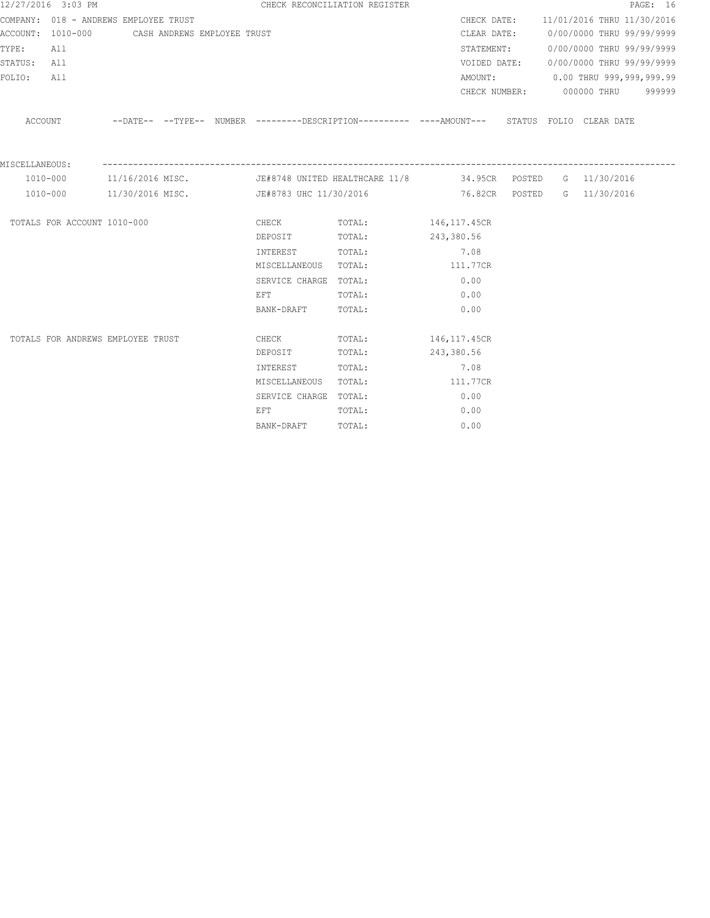|                | 12/27/2016 3:03 PM          |                                               |                       |                       | CHECK RECONCILIATION REGISTER                                                                |                                      |  |                                        | PAGE: 16 |
|----------------|-----------------------------|-----------------------------------------------|-----------------------|-----------------------|----------------------------------------------------------------------------------------------|--------------------------------------|--|----------------------------------------|----------|
|                |                             | COMPANY: 018 - ANDREWS EMPLOYEE TRUST         |                       |                       |                                                                                              | CHECK DATE:                          |  | 11/01/2016 THRU 11/30/2016             |          |
|                |                             | ACCOUNT: 1010-000 CASH ANDREWS EMPLOYEE TRUST |                       |                       | CLEAR DATE:                                                                                  |                                      |  | 0/00/0000 THRU 99/99/9999              |          |
| TYPE:          | All                         |                                               |                       |                       |                                                                                              |                                      |  | STATEMENT: 0/00/0000 THRU 99/99/9999   |          |
| STATUS: All    |                             |                                               |                       |                       |                                                                                              |                                      |  | VOIDED DATE: 0/00/0000 THRU 99/99/9999 |          |
| FOLIO:         | All                         |                                               |                       |                       |                                                                                              | AMOUNT:                              |  | $0.00$ THRU 999,999,999.99             |          |
|                |                             |                                               |                       |                       |                                                                                              |                                      |  | CHECK NUMBER: 000000 THRU 999999       |          |
|                | ACCOUNT                     |                                               |                       |                       | --DATE-- --TYPE-- NUMBER ---------DESCRIPTION---------- ----AMOUNT--- STATUS FOLIO CLEARDATE |                                      |  |                                        |          |
| MISCELLANEOUS: |                             |                                               | --------------------- |                       |                                                                                              | ------------------------------------ |  |                                        |          |
|                | 1010-000                    | 11/16/2016 MISC.                              |                       |                       | JE#8748 UNITED HEALTHCARE 11/8 34.95CR POSTED G 11/30/2016                                   |                                      |  |                                        |          |
|                | 1010-000                    | 11/30/2016 MISC.                              |                       |                       |                                                                                              |                                      |  |                                        |          |
|                | TOTALS FOR ACCOUNT 1010-000 |                                               |                       | <b>CHECK</b>          | TOTAL: 146,117.45CR                                                                          |                                      |  |                                        |          |
|                |                             |                                               |                       | DEPOSIT               | TOTAL:                                                                                       | 243,380.56                           |  |                                        |          |
|                |                             |                                               |                       | INTEREST              | TOTAL:                                                                                       | 7.08                                 |  |                                        |          |
|                |                             |                                               |                       | MISCELLANEOUS TOTAL:  |                                                                                              | 111.77CR                             |  |                                        |          |
|                |                             |                                               |                       | SERVICE CHARGE TOTAL: |                                                                                              | 0.00                                 |  |                                        |          |
|                |                             |                                               |                       | EFT                   | TOTAL:                                                                                       | 0.00                                 |  |                                        |          |
|                |                             |                                               |                       | BANK-DRAFT            | TOTAL:                                                                                       | 0.00                                 |  |                                        |          |
|                |                             | TOTALS FOR ANDREWS EMPLOYEE TRUST             |                       | CHECK                 | TOTAL: 146,117.45CR                                                                          |                                      |  |                                        |          |
|                |                             |                                               |                       | DEPOSIT               | TOTAL:                                                                                       | 243,380.56                           |  |                                        |          |
|                |                             |                                               |                       | INTEREST              | TOTAL:                                                                                       | 7.08                                 |  |                                        |          |
|                |                             |                                               |                       | MISCELLANEOUS TOTAL:  |                                                                                              | 111.77CR                             |  |                                        |          |
|                |                             |                                               |                       | SERVICE CHARGE TOTAL: |                                                                                              | 0.00                                 |  |                                        |          |
|                |                             |                                               |                       | EFT                   | TOTAL:                                                                                       | 0.00                                 |  |                                        |          |
|                |                             |                                               |                       | BANK-DRAFT            | TOTAL:                                                                                       | 0.00                                 |  |                                        |          |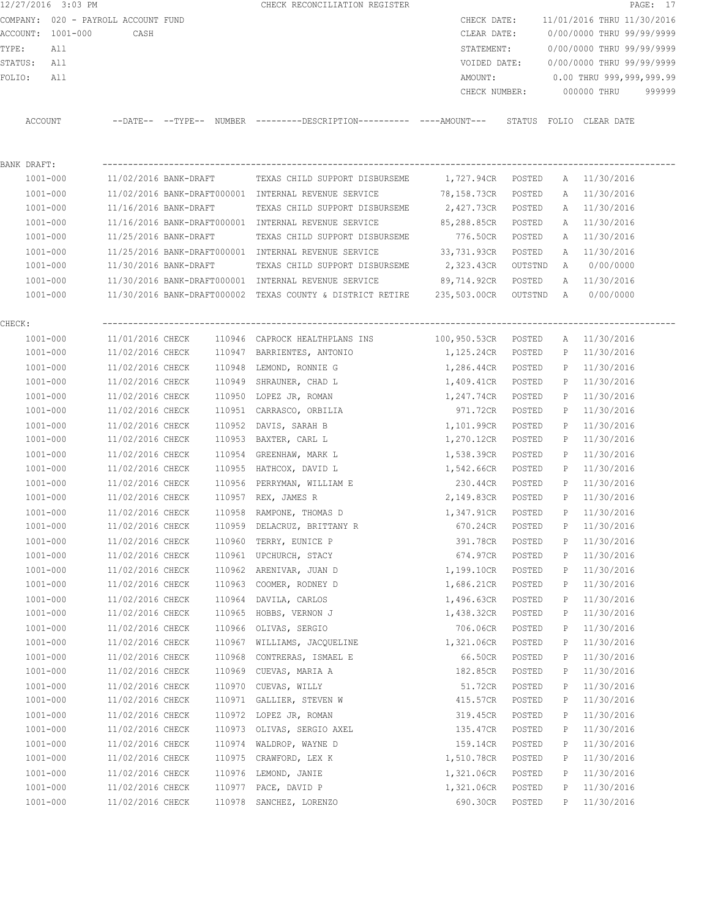| 12/27/2016 3:03 PM                  |                                      |                       | CHECK RECONCILIATION REGISTER                                                                        |                                |                  |        | PAGE: 17                               |
|-------------------------------------|--------------------------------------|-----------------------|------------------------------------------------------------------------------------------------------|--------------------------------|------------------|--------|----------------------------------------|
| COMPANY: 020 - PAYROLL ACCOUNT FUND |                                      |                       |                                                                                                      |                                |                  |        | CHECK DATE: 11/01/2016 THRU 11/30/2016 |
| ACCOUNT: 1001-000                   | CASH                                 |                       |                                                                                                      | CLEAR DATE:                    |                  |        | 0/00/0000 THRU 99/99/9999              |
| TYPE:<br>All                        |                                      |                       |                                                                                                      | STATEMENT:                     |                  |        | 0/00/0000 THRU 99/99/9999              |
| STATUS: All                         |                                      |                       |                                                                                                      |                                |                  |        | VOIDED DATE: 0/00/0000 THRU 99/99/9999 |
| FOLIO:<br>All                       |                                      |                       |                                                                                                      | AMOUNT:                        |                  |        | $0.00$ THRU 999,999,999.99             |
|                                     |                                      |                       |                                                                                                      |                                |                  |        | CHECK NUMBER: 000000 THRU 999999       |
| ACCOUNT                             |                                      |                       | --DATE-- --TYPE-- NUMBER --------DESCRIPTION---------- ---AMOUNT--- STATUS FOLIO CLEAR-DATE          |                                |                  |        |                                        |
| BANK DRAFT:                         |                                      |                       |                                                                                                      |                                |                  |        |                                        |
| 1001-000                            |                                      |                       | 11/02/2016 BANK-DRAFT TEXAS CHILD SUPPORT DISBURSEME                                                 | 1,727.94CR POSTED A 11/30/2016 |                  |        |                                        |
| 1001-000                            |                                      |                       | 11/02/2016 BANK-DRAFT000001 INTERNAL REVENUE SERVICE 78,158.73CR POSTED                              |                                |                  |        | A 11/30/2016                           |
| 1001-000                            |                                      |                       | 11/16/2016 BANK-DRAFT TEXAS CHILD SUPPORT DISBURSEME                                                 | 2,427.73CR POSTED              |                  |        | A 11/30/2016                           |
| 1001-000                            |                                      |                       | 11/16/2016 BANK-DRAFT000001 INTERNAL REVENUE SERVICE 85,288.85CR POSTED                              |                                |                  |        | A 11/30/2016                           |
| 1001-000                            |                                      |                       | 11/25/2016 BANK-DRAFT TEXAS CHILD SUPPORT DISBURSEME                                                 | 776.50CR POSTED                |                  |        | A 11/30/2016                           |
| $1001 - 000$                        |                                      |                       | 11/25/2016 BANK-DRAFT000001 INTERNAL REVENUE SERVICE 33,731.93CR                                     |                                | POSTED           |        | A 11/30/2016                           |
| 1001-000                            |                                      | 11/30/2016 BANK-DRAFT | TEXAS CHILD SUPPORT DISBURSEME 2,323.43CR                                                            |                                | OUTSTND          |        | A 0/00/0000                            |
|                                     |                                      |                       | 1001-000 11/30/2016 BANK-DRAFT000001 INTERNAL REVENUE SERVICE 89,714.92CR                            |                                | POSTED           |        | A 11/30/2016                           |
|                                     |                                      |                       | 1001-000 11/30/2016 BANK-DRAFT000002 TEXAS COUNTY & DISTRICT RETIRE 235,503.00CR OUTSTND A 0/00/0000 |                                |                  |        |                                        |
| CHECK:                              |                                      |                       |                                                                                                      |                                |                  |        |                                        |
| 1001-000                            |                                      |                       | $11/01/2016$ CHECK $110946$ CAPROCK HEALTHPLANS INS                                                  | 100,950.53CR POSTED            |                  |        | A 11/30/2016                           |
| 1001-000                            |                                      |                       | 11/02/2016 CHECK 110947 BARRIENTES, ANTONIO                                                          | 1,125.24CR                     | POSTED           |        | P 11/30/2016                           |
| 1001-000                            | 11/02/2016 CHECK                     |                       | 110948 LEMOND, RONNIE G                                                                              | 1,286.44CR                     | POSTED           |        | P 11/30/2016                           |
| 1001-000                            | 11/02/2016 CHECK                     |                       | 110949 SHRAUNER, CHAD L                                                                              | 1,409.41CR                     | POSTED           |        | P 11/30/2016                           |
| 1001-000                            | 11/02/2016 CHECK                     |                       | 110950 LOPEZ JR, ROMAN                                                                               | 1,247.74CR                     | POSTED           |        | P 11/30/2016                           |
| 1001-000                            | 11/02/2016 CHECK                     |                       | 110951 CARRASCO, ORBILIA                                                                             | 971.72CR                       | POSTED           | P      | 11/30/2016                             |
| 1001-000                            | 11/02/2016 CHECK                     | 110952                | DAVIS, SARAH B                                                                                       | 1,101.99CR                     | POSTED           | P      | 11/30/2016                             |
| 1001-000                            | 11/02/2016 CHECK                     |                       | 110953 BAXTER, CARL L                                                                                | 1,270.12CR                     | POSTED           | P      | 11/30/2016                             |
| 1001-000                            | 11/02/2016 CHECK                     |                       | 110954 GREENHAW, MARK L                                                                              | 1,538.39CR                     | POSTED           | P      | 11/30/2016                             |
| 1001-000                            |                                      |                       | 11/02/2016 CHECK 110955 HATHCOX, DAVID L                                                             | 1,542.66CR                     | POSTED           | P      | 11/30/2016                             |
| 1001-000                            | 11/02/2016 CHECK                     |                       | 110956 PERRYMAN, WILLIAM E                                                                           | 230.44CR                       | POSTED           | P      | 11/30/2016                             |
| 1001-000                            |                                      |                       | 11/02/2016 CHECK 110957 REX, JAMES R                                                                 | 2,149.83CR                     | POSTED           |        | P 11/30/2016                           |
| 1001-000                            | 11/02/2016 CHECK                     |                       | 110958 RAMPONE, THOMAS D                                                                             | 1,347.91CR                     | POSTED           |        | P 11/30/2016                           |
| $1001 - 000$                        | 11/02/2016 CHECK                     |                       | 110959 DELACRUZ, BRITTANY R                                                                          | 670.24CR                       | POSTED           | Ρ      | 11/30/2016                             |
| $1001 - 000$                        | 11/02/2016 CHECK                     | 110960                | TERRY, EUNICE P                                                                                      | 391.78CR                       | POSTED           | Ρ      | 11/30/2016                             |
| $1001 - 000$                        | 11/02/2016 CHECK                     | 110961                | UPCHURCH, STACY                                                                                      | 674.97CR                       | POSTED           | Ρ      | 11/30/2016                             |
| $1001 - 000$                        | 11/02/2016 CHECK                     | 110962                | ARENIVAR, JUAN D                                                                                     | 1,199.10CR                     | POSTED           | Ρ      | 11/30/2016                             |
| $1001 - 000$                        | 11/02/2016 CHECK                     | 110963                | COOMER, RODNEY D                                                                                     | 1,686.21CR                     | POSTED           | Ρ      | 11/30/2016                             |
| $1001 - 000$                        | 11/02/2016 CHECK                     | 110964                | DAVILA, CARLOS                                                                                       | 1,496.63CR                     | POSTED           | Ρ      | 11/30/2016                             |
| $1001 - 000$                        | 11/02/2016 CHECK                     | 110965                | HOBBS, VERNON J                                                                                      | 1,438.32CR                     | POSTED           | Ρ      | 11/30/2016                             |
| $1001 - 000$                        | 11/02/2016 CHECK                     | 110966                | OLIVAS, SERGIO                                                                                       | 706.06CR                       | POSTED           | Ρ      | 11/30/2016                             |
| 1001-000                            | 11/02/2016 CHECK                     | 110967                | WILLIAMS, JACQUELINE                                                                                 | 1,321.06CR                     | POSTED           | Ρ      | 11/30/2016                             |
| $1001 - 000$                        | 11/02/2016 CHECK                     | 110968                | CONTRERAS, ISMAEL E                                                                                  | 66.50CR                        | POSTED           | Ρ      | 11/30/2016                             |
| $1001 - 000$                        | 11/02/2016 CHECK                     |                       | 110969 CUEVAS, MARIA A                                                                               | 182.85CR                       | POSTED           | Ρ      | 11/30/2016                             |
|                                     |                                      |                       |                                                                                                      |                                |                  |        |                                        |
| $1001 - 000$<br>1001-000            | 11/02/2016 CHECK<br>11/02/2016 CHECK | 110970                | CUEVAS, WILLY<br>110971 GALLIER, STEVEN W                                                            | 51.72CR<br>415.57CR            | POSTED<br>POSTED | Ρ<br>Ρ | 11/30/2016<br>11/30/2016               |
|                                     |                                      |                       |                                                                                                      |                                |                  |        |                                        |
| $1001 - 000$<br>$1001 - 000$        | 11/02/2016 CHECK<br>11/02/2016 CHECK | 110973                | 110972 LOPEZ JR, ROMAN<br>OLIVAS, SERGIO AXEL                                                        | 319.45CR                       | POSTED           | Ρ      | 11/30/2016<br>11/30/2016               |
|                                     |                                      |                       |                                                                                                      | 135.47CR                       | POSTED           | Ρ      |                                        |
| $1001 - 000$                        | 11/02/2016 CHECK                     | 110974                | WALDROP, WAYNE D                                                                                     | 159.14CR                       | POSTED           | Ρ      | 11/30/2016                             |
| $1001 - 000$                        | 11/02/2016 CHECK                     | 110975                | CRAWFORD, LEX K                                                                                      | 1,510.78CR                     | POSTED           | Ρ      | 11/30/2016                             |
| $1001 - 000$                        | 11/02/2016 CHECK                     | 110976                | LEMOND, JANIE                                                                                        | 1,321.06CR                     | POSTED           | Ρ      | 11/30/2016                             |
| 1001-000                            | 11/02/2016 CHECK                     | 110977                | PACE, DAVID P                                                                                        | 1,321.06CR                     | POSTED           | Ρ      | 11/30/2016                             |
| $1001 - 000$                        | 11/02/2016 CHECK                     |                       | 110978 SANCHEZ, LORENZO                                                                              | 690.30CR                       | POSTED           | Ρ      | 11/30/2016                             |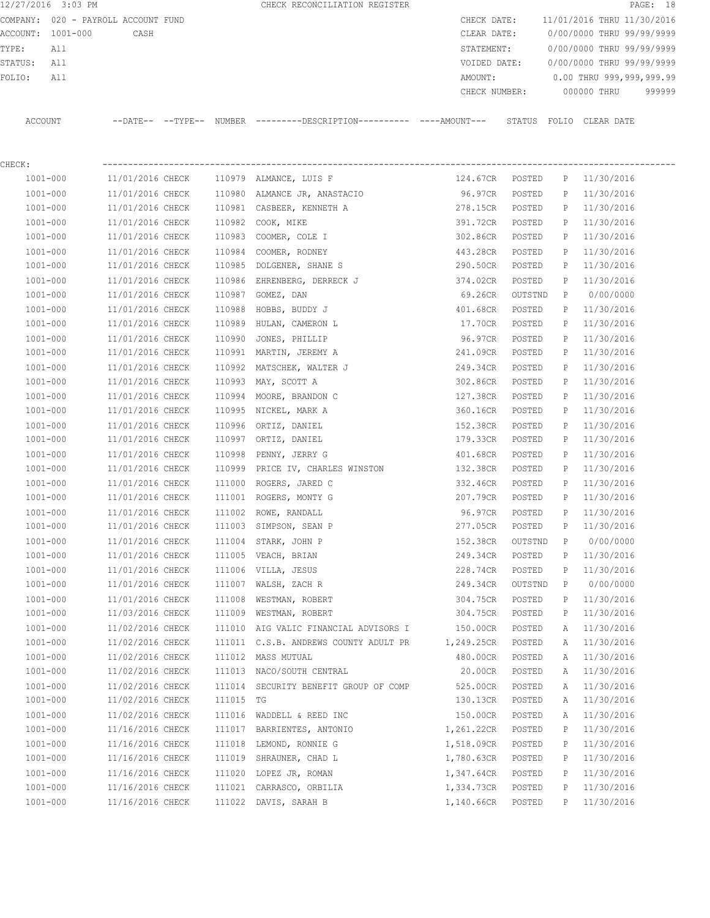12/27/2016 3:03 PM CHECK RECONCILIATION REGISTER **PAGE:** 18 COMPANY: 020 - PAYROLL ACCOUNT FUND CHECK DATE: 11/01/2016 THRU 11/30/2016 ACCOUNT: 1001-000 CASH CLEAR DATE: 0/00/0000 THRU 99/99/9999 TYPE: All STATEMENT: 0/00/0000 THRU 99/99/9999 STATUS: All VOIDED DATE: 0/00/0000 THRU 99/99/9999 FOLIO: All AMOUNT: 0.00 THRU 999,999,999.99 CHECK NUMBER: 000000 THRU 999999 ACCOUNT --DATE-- --TYPE-- NUMBER ---------DESCRIPTION---------- ----AMOUNT--- STATUS FOLIO CLEAR DATE

CHECK: ---------------------------------------------------------------------------------------------------------------- 1001-000 11/01/2016 CHECK 110979 ALMANCE, LUIS F 124.67CR POSTED P 11/30/2016 1001-000 11/01/2016 CHECK 110980 ALMANCE JR, ANASTACIO 96.97CR POSTED P 11/30/2016 1001-000 11/01/2016 CHECK 110981 CASBEER, KENNETH A 278.15CR POSTED P 11/30/2016 1001-000 11/01/2016 CHECK 110982 COOK, MIKE 391.72CR POSTED P 11/30/2016 1001-000 11/01/2016 CHECK 110983 COOMER, COLE I 302.86CR POSTED P 11/30/2016 1001-000 11/01/2016 CHECK 110984 COOMER, RODNEY 443.28CR POSTED P 11/30/2016 1001-000 11/01/2016 CHECK 110985 DOLGENER, SHANE S 290.50CR POSTED P 11/30/2016 1001-000 11/01/2016 CHECK 110986 EHRENBERG, DERRECK J 374.02CR POSTED P 11/30/2016 1001-000 11/01/2016 CHECK 110987 GOMEZ, DAN 69.26CR OUTSTND P 0/00/0000 1001-000 11/01/2016 CHECK 110988 HOBBS, BUDDY J 401.68CR POSTED P 11/30/2016 1001-000 11/01/2016 CHECK 110989 HULAN, CAMERON L 17.70CR POSTED P 11/30/2016 1001-000 11/01/2016 CHECK 110990 JONES, PHILLIP 96.97CR POSTED P 11/30/2016 1001-000 11/01/2016 CHECK 110991 MARTIN, JEREMY A 241.09CR POSTED P 11/30/2016 1001-000 11/01/2016 CHECK 110992 MATSCHEK, WALTER J 249.34CR POSTED P 11/30/2016 1001-000 11/01/2016 CHECK 110993 MAY, SCOTT A 302.86CR POSTED P 11/30/2016 1001-000 11/01/2016 CHECK 110994 MOORE, BRANDON C 127.38CR POSTED P 11/30/2016 1001-000 11/01/2016 CHECK 110995 NICKEL, MARK A 360.16CR POSTED P 11/30/2016 1001-000 11/01/2016 CHECK 110996 ORTIZ, DANIEL 152.38CR POSTED P 11/30/2016 1001-000 11/01/2016 CHECK 110997 ORTIZ, DANIEL 179.33CR POSTED P 11/30/2016 1001-000 11/01/2016 CHECK 110998 PENNY, JERRY G 401.68CR POSTED P 11/30/2016 1001-000 11/01/2016 CHECK 110999 PRICE IV, CHARLES WINSTON 132.38CR POSTED P 11/30/2016 1001-000 11/01/2016 CHECK 111000 ROGERS, JARED C 332.46CR POSTED P 11/30/2016 1001-000 11/01/2016 CHECK 111001 ROGERS, MONTY G 207.79CR POSTED P 11/30/2016 1001-000 11/01/2016 CHECK 111002 ROWE, RANDALL 96.97CR POSTED P 11/30/2016 1001-000 11/01/2016 CHECK 111003 SIMPSON, SEAN P 277.05CR POSTED P 11/30/2016 1001-000 11/01/2016 CHECK 111004 STARK, JOHN P 152.38CR OUTSTND P 0/00/0000 1001-000 11/01/2016 CHECK 111005 VEACH, BRIAN 249.34CR POSTED P 11/30/2016 1001-000 11/01/2016 CHECK 111006 VILLA, JESUS 228.74CR POSTED P 11/30/2016 1001-000 11/01/2016 CHECK 111007 WALSH, ZACH R 249.34CR OUTSTND P 0/00/0000 1001-000 11/01/2016 CHECK 111008 WESTMAN, ROBERT 304.75CR POSTED P 11/30/2016 1001-000 11/03/2016 CHECK 111009 WESTMAN, ROBERT 304.75CR POSTED P 11/30/2016 1001-000 11/02/2016 CHECK 111010 AIG VALIC FINANCIAL ADVISORS I 150.00CR POSTED A 11/30/2016 1001-000 11/02/2016 CHECK 111011 C.S.B. ANDREWS COUNTY ADULT PR 1,249.25CR POSTED A 11/30/2016 1001-000 11/02/2016 CHECK 111012 MASS MUTUAL 480.00CR POSTED A 11/30/2016 1001-000 11/02/2016 CHECK 111013 NACO/SOUTH CENTRAL 20.00CR POSTED A 11/30/2016 1001-000 11/02/2016 CHECK 111014 SECURITY BENEFIT GROUP OF COMP 525.00CR POSTED A 11/30/2016 1001-000 11/02/2016 CHECK 111015 TG 130.13CR POSTED A 11/30/2016 1001-000 11/02/2016 CHECK 111016 WADDELL & REED INC 150.00CR POSTED A 11/30/2016 1001-000 11/16/2016 CHECK 111017 BARRIENTES, ANTONIO 1,261.22CR POSTED P 11/30/2016 1001-000 11/16/2016 CHECK 111018 LEMOND, RONNIE G 1,518.09CR POSTED P 11/30/2016 1001-000 11/16/2016 CHECK 111019 SHRAUNER, CHAD L 1,780.63CR POSTED P 11/30/2016 1001-000 11/16/2016 CHECK 111020 LOPEZ JR, ROMAN 1,347.64CR POSTED P 11/30/2016 1001 000 11/16/2016 CHECK 111021 CARRASCO, ORBILIA 1,334.73CR POSTED P 11/30/2016 1001-000 11/16/2016 CHECK 111022 DAVIS, SARAH B 1,140.66CR POSTED P 11/30/2016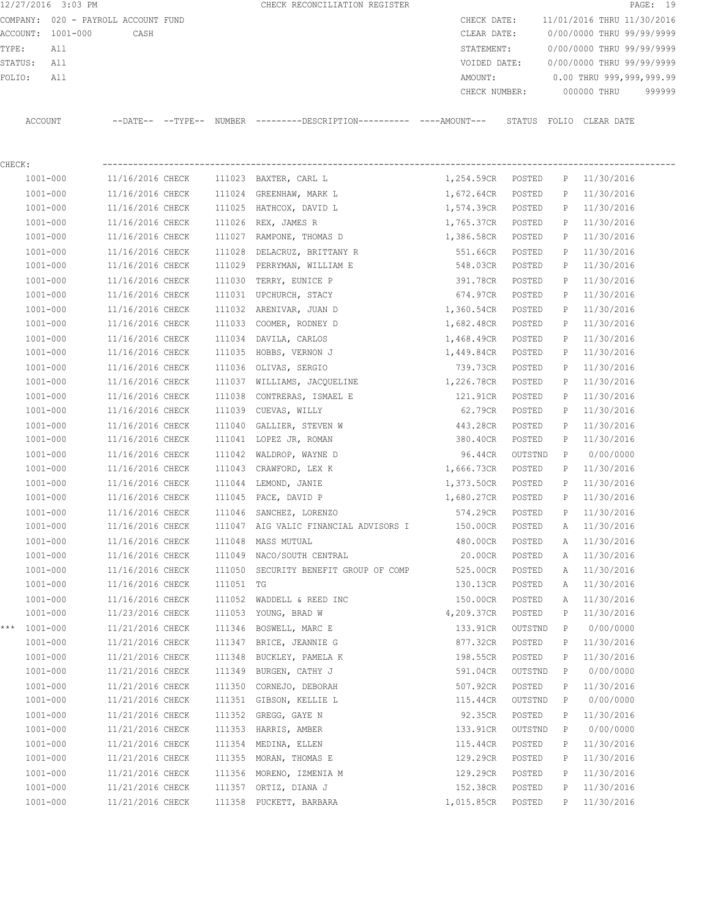|                                     | 12/27/2016 3:03 PM |                                      |           | CHECK RECONCILIATION REGISTER                                                                 |                     |                   |              | PAGE: 19                     |
|-------------------------------------|--------------------|--------------------------------------|-----------|-----------------------------------------------------------------------------------------------|---------------------|-------------------|--------------|------------------------------|
| COMPANY: 020 - PAYROLL ACCOUNT FUND |                    |                                      |           |                                                                                               | CHECK DATE:         |                   |              | 11/01/2016 THRU 11/30/2016   |
|                                     | ACCOUNT: 1001-000  | CASH                                 |           |                                                                                               | CLEAR DATE:         |                   |              | 0/00/0000 THRU 99/99/9999    |
| TYPE:                               | All                |                                      |           |                                                                                               | STATEMENT:          |                   |              | 0/00/0000 THRU 99/99/9999    |
| STATUS:                             | All                |                                      |           |                                                                                               | VOIDED DATE:        |                   |              | 0/00/0000 THRU 99/99/9999    |
| FOLIO:                              | All                |                                      |           |                                                                                               | AMOUNT:             |                   |              | 0.00 THRU 999,999,999.99     |
|                                     |                    |                                      |           |                                                                                               | CHECK NUMBER:       |                   |              | 000000 THRU<br>999999        |
|                                     | ACCOUNT            |                                      |           | --DATE-- --TYPE-- NUMBER ---------DESCRIPTION---------- ----AMOUNT--- STATUS FOLIO CLEAR DATE |                     |                   |              |                              |
| CHECK:                              |                    |                                      |           |                                                                                               |                     |                   |              |                              |
|                                     | 1001-000           | 11/16/2016 CHECK                     |           | 111023 BAXTER, CARL L                                                                         | 1,254.59CR POSTED   |                   | P            | 11/30/2016                   |
|                                     | $1001 - 000$       | 11/16/2016 CHECK                     |           | 111024 GREENHAW, MARK L                                                                       | 1,672.64CR          | POSTED            | $\mathbb{P}$ | 11/30/2016                   |
|                                     | 1001-000           | 11/16/2016 CHECK                     |           | 111025 HATHCOX, DAVID L                                                                       | 1,574.39CR          | POSTED            | $\mathbb{P}$ | 11/30/2016                   |
|                                     | $1001 - 000$       | 11/16/2016 CHECK                     | 111026    | REX, JAMES R                                                                                  | 1,765.37CR          | POSTED            | $\mathbb{P}$ | 11/30/2016                   |
|                                     | $1001 - 000$       | 11/16/2016 CHECK                     | 111027    | RAMPONE, THOMAS D                                                                             | 1,386.58CR          | POSTED            | Р            | 11/30/2016                   |
|                                     | $1001 - 000$       | 11/16/2016 CHECK                     | 111028    | DELACRUZ, BRITTANY R                                                                          | 551.66CR            | POSTED            | P            | 11/30/2016                   |
|                                     | 1001-000           | 11/16/2016 CHECK                     | 111029    | PERRYMAN, WILLIAM E                                                                           | 548.03CR            | POSTED            | Р            | 11/30/2016                   |
|                                     | $1001 - 000$       | 11/16/2016 CHECK                     | 111030    | TERRY, EUNICE P                                                                               | 391.78CR            | POSTED            | P            | 11/30/2016                   |
|                                     | 1001-000           | 11/16/2016 CHECK                     |           | 111031 UPCHURCH, STACY                                                                        | 674.97CR            | POSTED            | $\mathbb{P}$ | 11/30/2016                   |
|                                     | $1001 - 000$       | 11/16/2016 CHECK                     | 111032    | ARENIVAR, JUAN D                                                                              | 1,360.54CR          | POSTED            | P            | 11/30/2016                   |
|                                     | 1001-000           | 11/16/2016 CHECK                     | 111033    | COOMER, RODNEY D                                                                              | 1,682.48CR          | POSTED            | P            | 11/30/2016                   |
|                                     | $1001 - 000$       | 11/16/2016 CHECK                     | 111034    | DAVILA, CARLOS                                                                                | 1,468.49CR          | POSTED            | P            | 11/30/2016                   |
|                                     | 1001-000           | 11/16/2016 CHECK                     | 111035    | HOBBS, VERNON J                                                                               | 1,449.84CR          | POSTED            | P            | 11/30/2016                   |
|                                     | 1001-000           | 11/16/2016 CHECK                     |           | 111036 OLIVAS, SERGIO                                                                         | 739.73CR            | POSTED            | P            | 11/30/2016                   |
|                                     | 1001-000           | 11/16/2016 CHECK                     |           | 111037 WILLIAMS, JACQUELINE                                                                   | 1,226.78CR          | POSTED            | P            | 11/30/2016                   |
|                                     | 1001-000           | 11/16/2016 CHECK                     | 111038    | CONTRERAS, ISMAEL E                                                                           | 121.91CR            | POSTED            | P            | 11/30/2016                   |
|                                     | 1001-000           | 11/16/2016 CHECK                     | 111039    | CUEVAS, WILLY                                                                                 | 62.79CR             | POSTED            | Р            | 11/30/2016                   |
|                                     | $1001 - 000$       | 11/16/2016 CHECK                     | 111040    | GALLIER, STEVEN W                                                                             | 443.28CR            | POSTED            | Р            | 11/30/2016                   |
|                                     | 1001-000           | 11/16/2016 CHECK                     | 111041    | LOPEZ JR, ROMAN                                                                               | 380.40CR            | POSTED            | $\mathbb{P}$ | 11/30/2016                   |
|                                     | $1001 - 000$       | 11/16/2016 CHECK                     | 111042    | WALDROP, WAYNE D                                                                              | 96.44CR             | OUTSTND           | P            | 0/00/0000                    |
|                                     | $1001 - 000$       | 11/16/2016 CHECK                     | 111043    | CRAWFORD, LEX K                                                                               | 1,666.73CR          | POSTED            | P            | 11/30/2016                   |
|                                     | $1001 - 000$       | 11/16/2016 CHECK                     | 111044    | LEMOND, JANIE                                                                                 | 1,373.50CR          | POSTED            | P            | 11/30/2016                   |
|                                     | 1001-000           | 11/16/2016 CHECK                     |           | 111045 PACE, DAVID P                                                                          | 1,680.27CR          | POSTED            | P            | 11/30/2016                   |
|                                     | 1001-000           |                                      |           | 11/16/2016 CHECK 111046 SANCHEZ, LORENZO                                                      |                     |                   |              | 574.29CR POSTED P 11/30/2016 |
|                                     | $1001 - 000$       | 11/16/2016 CHECK                     |           | 111047 AIG VALIC FINANCIAL ADVISORS I                                                         | 150.00CR POSTED     |                   | A            | 11/30/2016                   |
|                                     | $1001 - 000$       | 11/16/2016 CHECK                     |           | 111048 MASS MUTUAL                                                                            | 480.00CR            | POSTED            | Α            | 11/30/2016                   |
|                                     | 1001-000           | 11/16/2016 CHECK                     |           | 111049 NACO/SOUTH CENTRAL                                                                     | 20.00CR             | POSTED            | A            | 11/30/2016                   |
|                                     | 1001-000           | 11/16/2016 CHECK                     |           | 111050 SECURITY BENEFIT GROUP OF COMP                                                         | 525.00CR            | POSTED            | Α            | 11/30/2016                   |
|                                     | 1001-000           | 11/16/2016 CHECK                     | 111051 TG |                                                                                               | 130.13CR            | POSTED            | A            | 11/30/2016                   |
|                                     | $1001 - 000$       | 11/16/2016 CHECK                     |           | 111052 WADDELL & REED INC                                                                     | 150.00CR            | POSTED            | Α            | 11/30/2016                   |
|                                     | $1001 - 000$       | 11/23/2016 CHECK                     |           | 111053 YOUNG, BRAD W                                                                          | 4,209.37CR          | POSTED            | P            | 11/30/2016                   |
| * * *                               | 1001-000           | 11/21/2016 CHECK                     |           | 111346 BOSWELL, MARC E                                                                        | 133.91CR            | OUTSTND           | $\mathbb{P}$ | 0/00/0000                    |
|                                     | $1001 - 000$       | 11/21/2016 CHECK                     |           | 111347 BRICE, JEANNIE G                                                                       | 877.32CR POSTED     |                   | P            | 11/30/2016                   |
|                                     | $1001 - 000$       | 11/21/2016 CHECK                     | 111348    | BUCKLEY, PAMELA K                                                                             | 198.55CR            | POSTED            | P            | 11/30/2016                   |
|                                     | 1001-000           | 11/21/2016 CHECK                     |           | 111349 BURGEN, CATHY J                                                                        | 591.04CR            | OUTSTND           | P            | 0/00/0000                    |
|                                     | $1001 - 000$       | 11/21/2016 CHECK                     | 111350    | CORNEJO, DEBORAH                                                                              | 507.92CR            | POSTED            | Ρ            | 11/30/2016                   |
|                                     | $1001 - 000$       | 11/21/2016 CHECK                     |           | 111351 GIBSON, KELLIE L                                                                       | 115.44CR            |                   | P            | 0/00/0000                    |
|                                     | $1001 - 000$       |                                      |           |                                                                                               |                     | OUTSTND           | P            | 11/30/2016                   |
|                                     | 1001-000           | 11/21/2016 CHECK<br>11/21/2016 CHECK |           | 111352 GREGG, GAYE N<br>111353 HARRIS, AMBER                                                  | 92.35CR<br>133.91CR | POSTED<br>OUTSTND | $\mathbb{P}$ | 0/00/0000                    |
|                                     |                    |                                      |           |                                                                                               |                     |                   |              |                              |
|                                     | $1001 - 000$       | 11/21/2016 CHECK                     |           | 111354 MEDINA, ELLEN                                                                          | 115.44CR            | POSTED            | Р            | 11/30/2016                   |
|                                     | 1001-000           | 11/21/2016 CHECK                     |           | 111355 MORAN, THOMAS E                                                                        | 129.29CR            | POSTED            | P            | 11/30/2016                   |
|                                     | $1001 - 000$       | 11/21/2016 CHECK                     |           | 111356 MORENO, IZMENIA M                                                                      | 129.29CR            | POSTED            | Р            | 11/30/2016                   |
|                                     | $1001 - 000$       | 11/21/2016 CHECK                     |           | 111357 ORTIZ, DIANA J                                                                         | 152.38CR            | POSTED            | P            | 11/30/2016                   |
|                                     | $1001 - 000$       | 11/21/2016 CHECK                     |           | 111358 PUCKETT, BARBARA                                                                       | 1,015.85CR POSTED   |                   |              | P 11/30/2016                 |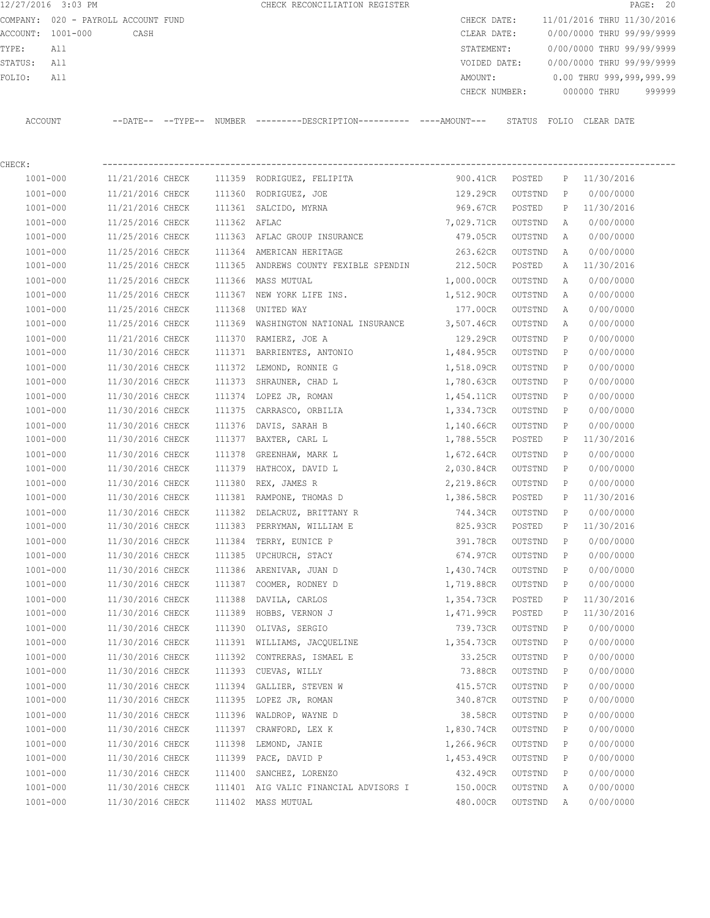12/27/2016 3:03 PM **CHECK RECONCILIATION REGISTER PAGE: 20** COMPANY: 020 - PAYROLL ACCOUNT FUND CHECK DATE: 11/01/2016 THRU 11/30/2016 ACCOUNT: 1001-000 CASH CLEAR DATE: 0/00/0000 THRU 99/99/9999 TYPE: All STATEMENT: 0/00/0000 THRU 99/99/9999 STATUS: All VOIDED DATE: 0/00/0000 THRU 99/99/9999 FOLIO: All 2000 and the MOUNT: 0.00 THRU 999,999,999.99 CHECK NUMBER: 000000 THRU 999999

ACCOUNT --DATE-- --TYPE-- NUMBER ---------DESCRIPTION---------- ----AMOUNT--- STATUS FOLIO CLEAR DATE

| CHECK |  |
|-------|--|
|       |  |

| $1001 - 000$ | 11/21/2016 CHECK | 111359 | RODRIGUEZ, FELIPITA                   | 900.41CR   | POSTED  | Ρ            | 11/30/2016 |  |
|--------------|------------------|--------|---------------------------------------|------------|---------|--------------|------------|--|
| $1001 - 000$ | 11/21/2016 CHECK | 111360 | RODRIGUEZ, JOE                        | 129.29CR   | OUTSTND | P            | 0/00/0000  |  |
| $1001 - 000$ | 11/21/2016 CHECK | 111361 | SALCIDO, MYRNA                        | 969.67CR   | POSTED  | Ρ            | 11/30/2016 |  |
| $1001 - 000$ | 11/25/2016 CHECK | 111362 | AFLAC                                 | 7,029.71CR | OUTSTND | Α            | 0/00/0000  |  |
| $1001 - 000$ | 11/25/2016 CHECK |        | 111363 AFLAC GROUP INSURANCE          | 479.05CR   | OUTSTND | Α            | 0/00/0000  |  |
| $1001 - 000$ | 11/25/2016 CHECK | 111364 | AMERICAN HERITAGE                     | 263.62CR   | OUTSTND | Α            | 0/00/0000  |  |
| $1001 - 000$ | 11/25/2016 CHECK | 111365 | ANDREWS COUNTY FEXIBLE SPENDIN        | 212.50CR   | POSTED  | Α            | 11/30/2016 |  |
| $1001 - 000$ | 11/25/2016 CHECK | 111366 | MASS MUTUAL                           | 1,000.00CR | OUTSTND | Α            | 0/00/0000  |  |
| $1001 - 000$ | 11/25/2016 CHECK | 111367 | NEW YORK LIFE INS.                    | 1,512.90CR | OUTSTND | Α            | 0/00/0000  |  |
| $1001 - 000$ | 11/25/2016 CHECK | 111368 | UNITED WAY                            | 177.00CR   | OUTSTND | Α            | 0/00/0000  |  |
| $1001 - 000$ | 11/25/2016 CHECK | 111369 | WASHINGTON NATIONAL INSURANCE         | 3,507.46CR | OUTSTND | Α            | 0/00/0000  |  |
| $1001 - 000$ | 11/21/2016 CHECK | 111370 | RAMIERZ, JOE A                        | 129.29CR   | OUTSTND | P            | 0/00/0000  |  |
| $1001 - 000$ | 11/30/2016 CHECK | 111371 | BARRIENTES, ANTONIO                   | 1,484.95CR | OUTSTND | P            | 0/00/0000  |  |
| $1001 - 000$ | 11/30/2016 CHECK | 111372 | LEMOND, RONNIE G                      | 1,518.09CR | OUTSTND | P            | 0/00/0000  |  |
| 1001-000     | 11/30/2016 CHECK | 111373 | SHRAUNER, CHAD L                      | 1,780.63CR | OUTSTND | P            | 0/00/0000  |  |
| $1001 - 000$ | 11/30/2016 CHECK |        | 111374 LOPEZ JR, ROMAN                | 1,454.11CR | OUTSTND | P            | 0/00/0000  |  |
| $1001 - 000$ | 11/30/2016 CHECK | 111375 | CARRASCO, ORBILIA                     | 1,334.73CR | OUTSTND | Р            | 0/00/0000  |  |
| $1001 - 000$ | 11/30/2016 CHECK | 111376 | DAVIS, SARAH B                        | 1,140.66CR | OUTSTND | P            | 0/00/0000  |  |
| $1001 - 000$ | 11/30/2016 CHECK |        | 111377 BAXTER, CARL L                 | 1,788.55CR | POSTED  | Ρ            | 11/30/2016 |  |
| $1001 - 000$ | 11/30/2016 CHECK | 111378 | GREENHAW, MARK L                      | 1,672.64CR | OUTSTND | P            | 0/00/0000  |  |
| $1001 - 000$ | 11/30/2016 CHECK | 111379 | HATHCOX, DAVID L                      | 2,030.84CR | OUTSTND | Р            | 0/00/0000  |  |
| $1001 - 000$ | 11/30/2016 CHECK | 111380 | REX, JAMES R                          | 2,219.86CR | OUTSTND | P            | 0/00/0000  |  |
| $1001 - 000$ | 11/30/2016 CHECK | 111381 | RAMPONE, THOMAS D                     | 1,386.58CR | POSTED  | Ρ            | 11/30/2016 |  |
| $1001 - 000$ | 11/30/2016 CHECK | 111382 | DELACRUZ, BRITTANY R                  | 744.34CR   | OUTSTND | P            | 0/00/0000  |  |
| $1001 - 000$ | 11/30/2016 CHECK | 111383 | PERRYMAN, WILLIAM E                   | 825.93CR   | POSTED  | Ρ            | 11/30/2016 |  |
| $1001 - 000$ | 11/30/2016 CHECK | 111384 | TERRY, EUNICE P                       | 391.78CR   | OUTSTND | P            | 0/00/0000  |  |
| $1001 - 000$ | 11/30/2016 CHECK | 111385 | UPCHURCH, STACY                       | 674.97CR   | OUTSTND | P            | 0/00/0000  |  |
| $1001 - 000$ | 11/30/2016 CHECK | 111386 | ARENIVAR, JUAN D                      | 1,430.74CR | OUTSTND | P            | 0/00/0000  |  |
| $1001 - 000$ | 11/30/2016 CHECK | 111387 | COOMER, RODNEY D                      | 1,719.88CR | OUTSTND | $\mathbb{P}$ | 0/00/0000  |  |
| $1001 - 000$ | 11/30/2016 CHECK | 111388 | DAVILA, CARLOS                        | 1,354.73CR | POSTED  | Ρ            | 11/30/2016 |  |
| $1001 - 000$ | 11/30/2016 CHECK | 111389 | HOBBS, VERNON J                       | 1,471.99CR | POSTED  | Ρ            | 11/30/2016 |  |
| $1001 - 000$ | 11/30/2016 CHECK | 111390 | OLIVAS, SERGIO                        | 739.73CR   | OUTSTND | P            | 0/00/0000  |  |
| $1001 - 000$ | 11/30/2016 CHECK |        | 111391 WILLIAMS, JACQUELINE           | 1,354.73CR | OUTSTND | P            | 0/00/0000  |  |
| $1001 - 000$ | 11/30/2016 CHECK | 111392 | CONTRERAS, ISMAEL E                   | 33.25CR    | OUTSTND | Р            | 0/00/0000  |  |
| $1001 - 000$ | 11/30/2016 CHECK | 111393 | CUEVAS, WILLY                         | 73.88CR    | OUTSTND | Р            | 0/00/0000  |  |
| $1001 - 000$ | 11/30/2016 CHECK |        | 111394 GALLIER, STEVEN W              | 415.57CR   | OUTSTND | P            | 0/00/0000  |  |
| $1001 - 000$ | 11/30/2016 CHECK |        | 111395 LOPEZ JR, ROMAN                | 340.87CR   | OUTSTND | Ρ            | 0/00/0000  |  |
| $1001 - 000$ | 11/30/2016 CHECK | 111396 | WALDROP, WAYNE D                      | 38.58CR    | OUTSTND | Ρ            | 0/00/0000  |  |
| $1001 - 000$ | 11/30/2016 CHECK | 111397 | CRAWFORD, LEX K                       | 1,830.74CR | OUTSTND | Ρ            | 0/00/0000  |  |
| $1001 - 000$ | 11/30/2016 CHECK | 111398 | LEMOND, JANIE                         | 1,266.96CR | OUTSTND | Ρ            | 0/00/0000  |  |
| $1001 - 000$ | 11/30/2016 CHECK | 111399 | PACE, DAVID P                         | 1,453.49CR | OUTSTND | P            | 0/00/0000  |  |
| $1001 - 000$ | 11/30/2016 CHECK | 111400 | SANCHEZ, LORENZO                      | 432.49CR   | OUTSTND | Ρ            | 0/00/0000  |  |
| $1001 - 000$ | 11/30/2016 CHECK |        | 111401 AIG VALIC FINANCIAL ADVISORS I | 150.00CR   | OUTSTND | Α            | 0/00/0000  |  |
| $1001 - 000$ | 11/30/2016 CHECK |        | 111402 MASS MUTUAL                    | 480.00CR   | OUTSTND | Α            | 0/00/0000  |  |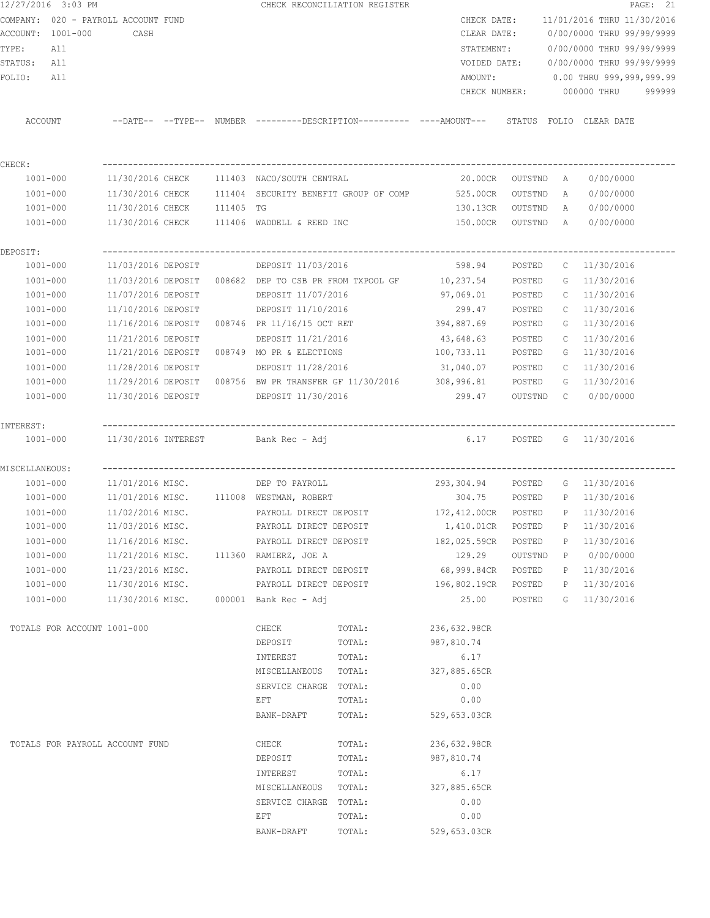|                | 12/27/2016 3:03 PM                  |                            |  |                                                | CHECK RECONCILIATION REGISTER                                     |                                                                                             |         |              |                                        | PAGE: 21 |
|----------------|-------------------------------------|----------------------------|--|------------------------------------------------|-------------------------------------------------------------------|---------------------------------------------------------------------------------------------|---------|--------------|----------------------------------------|----------|
|                | COMPANY: 020 - PAYROLL ACCOUNT FUND |                            |  |                                                |                                                                   |                                                                                             |         |              | CHECK DATE: 11/01/2016 THRU 11/30/2016 |          |
|                | ACCOUNT: 1001-000                   | CASH                       |  |                                                |                                                                   | CLEAR DATE:                                                                                 |         |              | 0/00/0000 THRU 99/99/9999              |          |
| TYPE:          | All                                 |                            |  |                                                |                                                                   | STATEMENT:                                                                                  |         |              | 0/00/0000 THRU 99/99/9999              |          |
| STATUS:        | All                                 |                            |  |                                                |                                                                   | VOIDED DATE:                                                                                |         |              | 0/00/0000 THRU 99/99/9999              |          |
| FOLIO:         | All                                 |                            |  |                                                |                                                                   | AMOUNT:                                                                                     |         |              | 0.00 THRU 999,999,999.99               |          |
|                |                                     |                            |  |                                                |                                                                   | CHECK NUMBER:                                                                               |         |              | 000000 THRU                            | 999999   |
| ACCOUNT        |                                     |                            |  |                                                |                                                                   | --DATE-- --TYPE-- NUMBER --------DESCRIPTION---------- ----AMOUNT--- STATUS FOLIO CLEARDATE |         |              |                                        |          |
| CHECK:         |                                     |                            |  |                                                |                                                                   |                                                                                             |         |              |                                        |          |
|                | 1001-000                            |                            |  | $11/30/2016$ CHECK $111403$ NACO/SOUTH CENTRAL |                                                                   | 20.00CR OUTSTND A                                                                           |         |              | 0/00/0000                              |          |
|                | 1001-000                            |                            |  |                                                |                                                                   | 11/30/2016 CHECK 111404 SECURITY BENEFIT GROUP OF COMP 525.00CR                             | OUTSTND | A            | 0/00/0000                              |          |
|                | 1001-000                            | 11/30/2016 CHECK 111405 TG |  |                                                |                                                                   | 130.13CR                                                                                    | OUTSTND | A            | 0/00/0000                              |          |
|                | 1001-000                            |                            |  | 11/30/2016 CHECK 111406 WADDELL & REED INC     |                                                                   | 150.00CR                                                                                    | OUTSTND | A            | 0/00/0000                              |          |
|                |                                     |                            |  |                                                |                                                                   |                                                                                             |         |              |                                        |          |
| DEPOSIT:       |                                     |                            |  |                                                |                                                                   |                                                                                             |         |              |                                        |          |
|                | 1001-000                            | 11/03/2016 DEPOSIT         |  | DEPOSIT 11/03/2016                             |                                                                   | 598.94                                                                                      | POSTED  | $\mathbb{C}$ | 11/30/2016                             |          |
|                | $1001 - 000$                        |                            |  |                                                | $11/03/2016$ DEPOSIT $008682$ DEP TO CSB PR FROM TXPOOL GF        | 10,237.54                                                                                   | POSTED  | G            | 11/30/2016                             |          |
|                | 1001-000                            | 11/07/2016 DEPOSIT         |  | DEPOSIT 11/07/2016                             |                                                                   | 97,069.01                                                                                   | POSTED  | $\mathbb C$  | 11/30/2016                             |          |
|                | 1001-000                            | 11/10/2016 DEPOSIT         |  | DEPOSIT 11/10/2016                             |                                                                   | 299.47                                                                                      | POSTED  | $\mathbb{C}$ | 11/30/2016                             |          |
|                | 1001-000                            |                            |  | 11/16/2016 DEPOSIT 008746 PR 11/16/15 OCT RET  |                                                                   | 394,887.69                                                                                  | POSTED  | G            | 11/30/2016                             |          |
|                | 1001-000                            | 11/21/2016 DEPOSIT         |  | DEPOSIT 11/21/2016                             |                                                                   | 43,648.63                                                                                   | POSTED  | $\mathbb{C}$ | 11/30/2016                             |          |
|                | 1001-000                            | 11/21/2016 DEPOSIT         |  | 008749 MO PR & ELECTIONS                       |                                                                   | 100,733.11                                                                                  | POSTED  | G            | 11/30/2016                             |          |
|                | 1001-000                            | 11/28/2016 DEPOSIT         |  | DEPOSIT 11/28/2016                             |                                                                   | 31,040.07                                                                                   | POSTED  | $\mathbb C$  | 11/30/2016                             |          |
|                | 1001-000                            |                            |  |                                                | 11/29/2016 DEPOSIT 008756 BW PR TRANSFER GF 11/30/2016 308,996.81 |                                                                                             | POSTED  | G            | 11/30/2016                             |          |
|                | 1001-000                            | 11/30/2016 DEPOSIT         |  | DEPOSIT 11/30/2016                             |                                                                   | 299.47                                                                                      | OUTSTND | $\mathbb{C}$ | 0/00/0000                              |          |
| INTEREST:      |                                     |                            |  |                                                |                                                                   |                                                                                             |         |              |                                        |          |
|                | $1001 - 000$                        |                            |  | 11/30/2016 INTEREST Bank Rec - Adj             |                                                                   | 6.17                                                                                        |         |              | POSTED G 11/30/2016                    |          |
| MISCELLANEOUS: |                                     |                            |  |                                                |                                                                   |                                                                                             |         |              |                                        |          |
|                | 1001-000                            | 11/01/2016 MISC.           |  | DEP TO PAYROLL                                 |                                                                   | 293,304.94                                                                                  | POSTED  |              | G 11/30/2016                           |          |
|                | 1001-000                            |                            |  | 11/01/2016 MISC. 111008 WESTMAN, ROBERT        |                                                                   | 304.75                                                                                      |         |              | POSTED P 11/30/2016                    |          |
| 1001-000       |                                     | 11/02/2016 MISC.           |  | PAYROLL DIRECT DEPOSIT                         |                                                                   | 172,412.00CR POSTED                                                                         |         |              | P 11/30/2016                           |          |
|                | $1001 - 000$                        | 11/03/2016 MISC.           |  | PAYROLL DIRECT DEPOSIT                         |                                                                   | 1,410.01CR                                                                                  | POSTED  | P            | 11/30/2016                             |          |
|                | $1001 - 000$                        | 11/16/2016 MISC.           |  | PAYROLL DIRECT DEPOSIT                         |                                                                   | 182,025.59CR                                                                                | POSTED  | P            | 11/30/2016                             |          |
|                | 1001-000                            | 11/21/2016 MISC.           |  | 111360 RAMIERZ, JOE A                          |                                                                   | 129.29                                                                                      | OUTSTND | P            | 0/00/0000                              |          |
|                | $1001 - 000$                        | 11/23/2016 MISC.           |  | PAYROLL DIRECT DEPOSIT                         |                                                                   | 68,999.84CR                                                                                 | POSTED  | P            | 11/30/2016                             |          |
|                | $1001 - 000$                        | 11/30/2016 MISC.           |  | PAYROLL DIRECT DEPOSIT                         |                                                                   | 196,802.19CR                                                                                | POSTED  | P            | 11/30/2016                             |          |
|                | $1001 - 000$                        | 11/30/2016 MISC.           |  | $000001$ Bank Rec - Adj                        |                                                                   | 25.00                                                                                       | POSTED  | G            | 11/30/2016                             |          |
|                | TOTALS FOR ACCOUNT 1001-000         |                            |  | CHECK                                          | TOTAL:                                                            | 236,632.98CR                                                                                |         |              |                                        |          |
|                |                                     |                            |  | DEPOSIT                                        | TOTAL:                                                            | 987,810.74                                                                                  |         |              |                                        |          |
|                |                                     |                            |  | INTEREST                                       | TOTAL:                                                            | 6.17                                                                                        |         |              |                                        |          |
|                |                                     |                            |  | MISCELLANEOUS TOTAL:                           |                                                                   | 327,885.65CR                                                                                |         |              |                                        |          |
|                |                                     |                            |  | SERVICE CHARGE TOTAL:                          |                                                                   | 0.00                                                                                        |         |              |                                        |          |
|                |                                     |                            |  | EFT                                            | TOTAL:                                                            | 0.00                                                                                        |         |              |                                        |          |
|                |                                     |                            |  | BANK-DRAFT                                     | TOTAL:                                                            | 529,653.03CR                                                                                |         |              |                                        |          |
|                |                                     |                            |  |                                                |                                                                   |                                                                                             |         |              |                                        |          |
|                | TOTALS FOR PAYROLL ACCOUNT FUND     |                            |  | CHECK                                          | TOTAL:                                                            | 236,632.98CR                                                                                |         |              |                                        |          |
|                |                                     |                            |  | DEPOSIT                                        | TOTAL:                                                            | 987,810.74                                                                                  |         |              |                                        |          |
|                |                                     |                            |  | INTEREST                                       | TOTAL:                                                            | 6.17                                                                                        |         |              |                                        |          |
|                |                                     |                            |  | MISCELLANEOUS                                  | TOTAL:                                                            | 327,885.65CR                                                                                |         |              |                                        |          |
|                |                                     |                            |  | SERVICE CHARGE TOTAL:                          |                                                                   | 0.00                                                                                        |         |              |                                        |          |
|                |                                     |                            |  | EFT                                            | TOTAL:                                                            | 0.00                                                                                        |         |              |                                        |          |
|                |                                     |                            |  | BANK-DRAFT                                     | TOTAL:                                                            | 529,653.03CR                                                                                |         |              |                                        |          |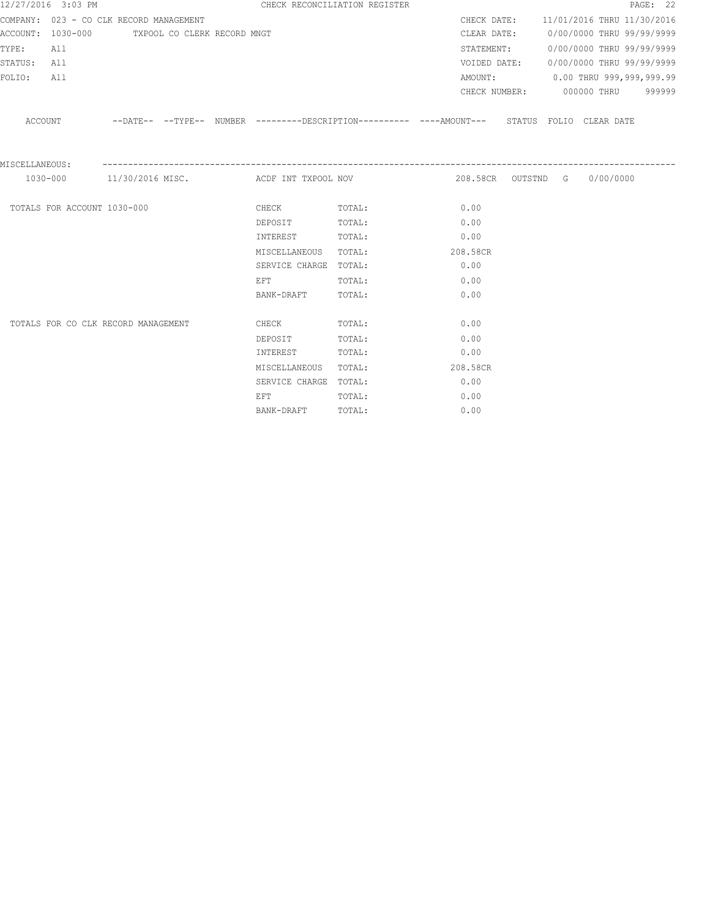|                | 12/27/2016 3:03 PM |                                               |  | CHECK RECONCILIATION REGISTER |                                               |                                                                                                      |  | PAGE: 22 |
|----------------|--------------------|-----------------------------------------------|--|-------------------------------|-----------------------------------------------|------------------------------------------------------------------------------------------------------|--|----------|
|                |                    | COMPANY: 023 - CO CLK RECORD MANAGEMENT       |  |                               |                                               | CHECK DATE: 11/01/2016 THRU 11/30/2016                                                               |  |          |
|                |                    | ACCOUNT: 1030-000 TXPOOL CO CLERK RECORD MNGT |  |                               |                                               | CLEAR DATE: 0/00/0000 THRU 99/99/9999                                                                |  |          |
| TYPE:          | All                |                                               |  |                               |                                               | STATEMENT: 0/00/0000 THRU 99/99/9999                                                                 |  |          |
| STATUS: All    |                    |                                               |  |                               |                                               | VOIDED DATE: 0/00/0000 THRU 99/99/9999                                                               |  |          |
| FOLIO:         | All                |                                               |  |                               |                                               | AMOUNT: 0.00 THRU 999,999,999.99                                                                     |  |          |
|                |                    |                                               |  |                               |                                               | CHECK NUMBER: 000000 THRU 999999                                                                     |  |          |
|                |                    |                                               |  |                               |                                               | ACCOUNT --DATE-- --TYPE-- NUMBER ---------DESCRIPTION---------- ---AMOUNT--- STATUS FOLIO CLEAR DATE |  |          |
| MISCELLANEOUS: |                    |                                               |  |                               | 1030-000 11/30/2016 MISC. ACDF INT TXPOOL NOV | 208.58CR OUTSTND G 0/00/0000                                                                         |  |          |
|                |                    |                                               |  |                               |                                               |                                                                                                      |  |          |
|                |                    | TOTALS FOR ACCOUNT 1030-000                   |  | <b>CHECK</b>                  | TOTAL:                                        | 0.00                                                                                                 |  |          |
|                |                    |                                               |  | DEPOSIT TOTAL:                |                                               | 0.00                                                                                                 |  |          |
|                |                    |                                               |  | INTEREST TOTAL:               |                                               | 0.00                                                                                                 |  |          |
|                |                    |                                               |  | MISCELLANEOUS TOTAL:          |                                               | 208.58CR                                                                                             |  |          |
|                |                    |                                               |  | SERVICE CHARGE TOTAL:         |                                               | 0.00                                                                                                 |  |          |
|                |                    |                                               |  | EFT                           | TOTAL:                                        | 0.00                                                                                                 |  |          |
|                |                    |                                               |  | BANK-DRAFT                    | TOTAL:                                        | 0.00                                                                                                 |  |          |
|                |                    | TOTALS FOR CO CLK RECORD MANAGEMENT           |  | <b>CHECK</b>                  | TOTAL:                                        | 0.00                                                                                                 |  |          |
|                |                    |                                               |  | DEPOSIT                       | TOTAL:                                        | 0.00                                                                                                 |  |          |
|                |                    |                                               |  | INTEREST                      | TOTAL:                                        | 0.00                                                                                                 |  |          |
|                |                    |                                               |  | MISCELLANEOUS                 | TOTAL:                                        | 208.58CR                                                                                             |  |          |
|                |                    |                                               |  | SERVICE CHARGE TOTAL:         |                                               | 0.00                                                                                                 |  |          |
|                |                    |                                               |  | EFT                           | TOTAL:                                        | 0.00                                                                                                 |  |          |
|                |                    |                                               |  | BANK-DRAFT                    | TOTAL:                                        | 0.00                                                                                                 |  |          |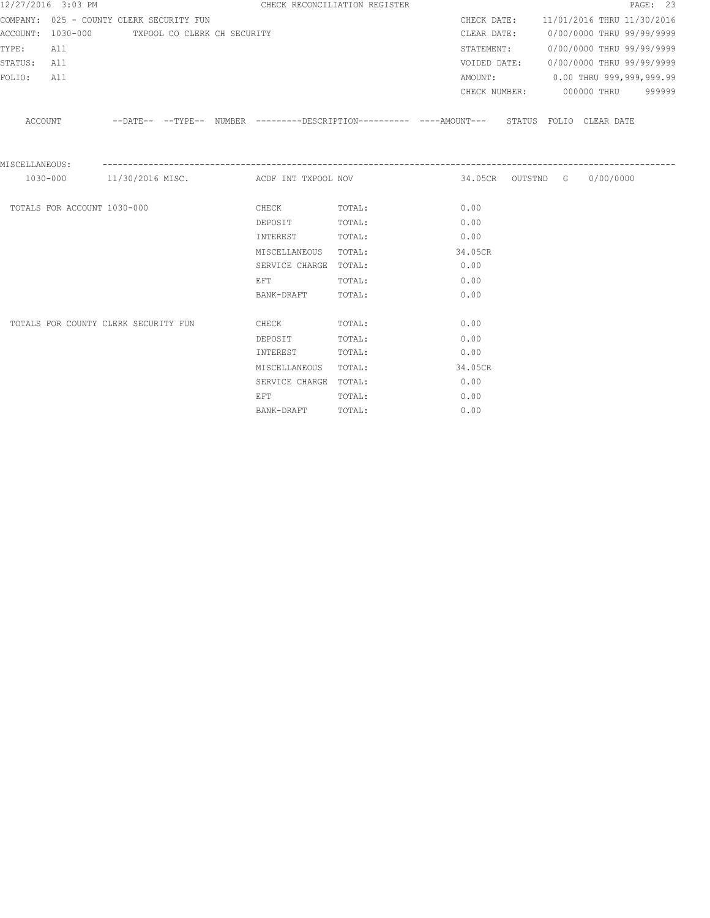|                | 12/27/2016 3:03 PM          |                                               |  | CHECK RECONCILIATION REGISTER                                                                                  |                                                                                                     |         |  |                                        | PAGE: 23 |
|----------------|-----------------------------|-----------------------------------------------|--|----------------------------------------------------------------------------------------------------------------|-----------------------------------------------------------------------------------------------------|---------|--|----------------------------------------|----------|
|                |                             | COMPANY: 025 - COUNTY CLERK SECURITY FUN      |  |                                                                                                                |                                                                                                     |         |  | CHECK DATE: 11/01/2016 THRU 11/30/2016 |          |
|                |                             | ACCOUNT: 1030-000 TXPOOL CO CLERK CH SECURITY |  |                                                                                                                |                                                                                                     |         |  | CLEAR DATE: 0/00/0000 THRU 99/99/9999  |          |
| TYPE:          | All                         |                                               |  |                                                                                                                |                                                                                                     |         |  | STATEMENT: 0/00/0000 THRU 99/99/9999   |          |
| STATUS: All    |                             |                                               |  |                                                                                                                |                                                                                                     |         |  | VOIDED DATE: 0/00/0000 THRU 99/99/9999 |          |
| FOLIO:         | All                         |                                               |  |                                                                                                                |                                                                                                     |         |  | AMOUNT: 0.00 THRU 999,999,999.99       |          |
|                |                             |                                               |  |                                                                                                                |                                                                                                     |         |  | CHECK NUMBER: 000000 THRU 999999       |          |
|                |                             |                                               |  |                                                                                                                | ACCOUNT --DATE-- --TYPE-- NUMBER --------DESCRIPTION---------- ---AMOUNT--- STATUS FOLIO CLEAR DATE |         |  |                                        |          |
| MISCELLANEOUS: |                             |                                               |  | 1030-000 11/30/2016 MISC. ACDF INT TXPOOL NOV                                                                  |                                                                                                     |         |  | 34.05CR OUTSTND G 0/00/0000            |          |
|                |                             |                                               |  |                                                                                                                |                                                                                                     |         |  |                                        |          |
|                | TOTALS FOR ACCOUNT 1030-000 |                                               |  | <b>CHECK</b>                                                                                                   | TOTAL:                                                                                              | 0.00    |  |                                        |          |
|                |                             |                                               |  | DEPOSIT TOTAL:                                                                                                 |                                                                                                     | 0.00    |  |                                        |          |
|                |                             |                                               |  | INTEREST TOTAL:                                                                                                |                                                                                                     | 0.00    |  |                                        |          |
|                |                             |                                               |  | MISCELLANEOUS TOTAL:                                                                                           |                                                                                                     | 34.05CR |  |                                        |          |
|                |                             |                                               |  | SERVICE CHARGE TOTAL:                                                                                          |                                                                                                     | 0.00    |  |                                        |          |
|                |                             |                                               |  | EFT FOR THE STATE OF THE STATE OF THE STATE OF THE STATE OF THE STATE OF THE STATE OF THE STATE OF THE STATE O | TOTAL:                                                                                              | 0.00    |  |                                        |          |
|                |                             |                                               |  | BANK-DRAFT                                                                                                     | TOTAL:                                                                                              | 0.00    |  |                                        |          |
|                |                             | TOTALS FOR COUNTY CLERK SECURITY FUN          |  | <b>CHECK</b>                                                                                                   | TOTAL:                                                                                              | 0.00    |  |                                        |          |
|                |                             |                                               |  | DEPOSIT                                                                                                        | TOTAL:                                                                                              | 0.00    |  |                                        |          |
|                |                             |                                               |  | INTEREST                                                                                                       | TOTAL:                                                                                              | 0.00    |  |                                        |          |
|                |                             |                                               |  | MISCELLANEOUS TOTAL:                                                                                           |                                                                                                     | 34.05CR |  |                                        |          |
|                |                             |                                               |  | SERVICE CHARGE TOTAL:                                                                                          |                                                                                                     | 0.00    |  |                                        |          |
|                |                             |                                               |  | EFT                                                                                                            | TOTAL:                                                                                              | 0.00    |  |                                        |          |
|                |                             |                                               |  | BANK-DRAFT                                                                                                     | TOTAL:                                                                                              | 0.00    |  |                                        |          |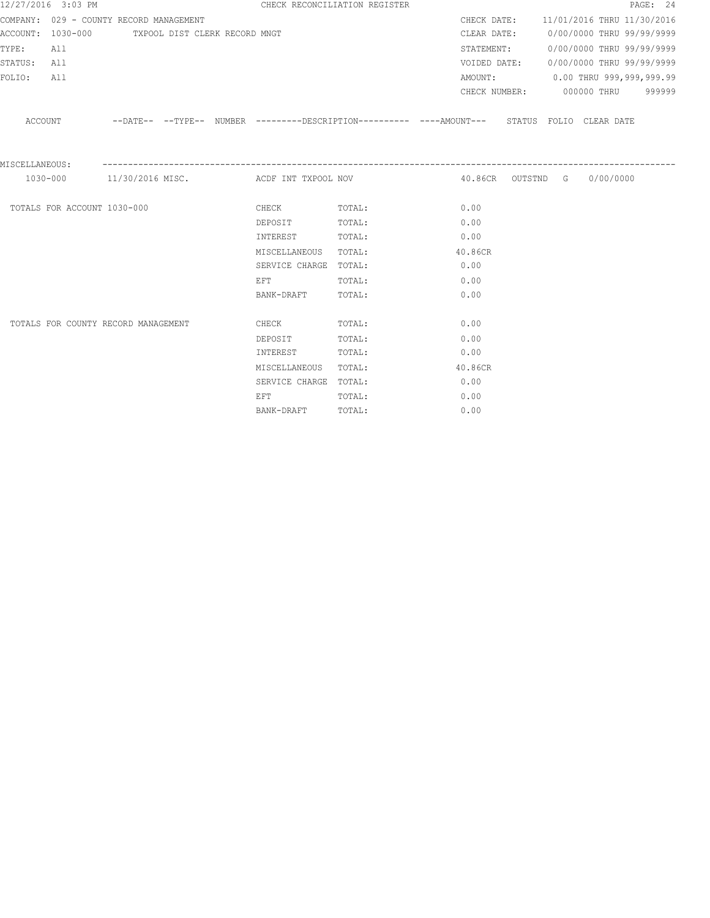|                | 12/27/2016 3:03 PM          |                                                 |  |                                                                                                                | CHECK RECONCILIATION REGISTER                                                                       |         |  |                             | PAGE: 24                               |
|----------------|-----------------------------|-------------------------------------------------|--|----------------------------------------------------------------------------------------------------------------|-----------------------------------------------------------------------------------------------------|---------|--|-----------------------------|----------------------------------------|
|                |                             | COMPANY: 029 - COUNTY RECORD MANAGEMENT         |  |                                                                                                                |                                                                                                     |         |  |                             | CHECK DATE: 11/01/2016 THRU 11/30/2016 |
|                |                             | ACCOUNT: 1030-000 TXPOOL DIST CLERK RECORD MNGT |  |                                                                                                                |                                                                                                     |         |  |                             | CLEAR DATE: 0/00/0000 THRU 99/99/9999  |
| TYPE:          | All                         |                                                 |  |                                                                                                                |                                                                                                     |         |  |                             | STATEMENT: 0/00/0000 THRU 99/99/9999   |
| STATUS: All    |                             |                                                 |  |                                                                                                                |                                                                                                     |         |  |                             | VOIDED DATE: 0/00/0000 THRU 99/99/9999 |
| FOLIO:         | All                         |                                                 |  |                                                                                                                |                                                                                                     |         |  |                             | AMOUNT: 0.00 THRU 999,999,999.99       |
|                |                             |                                                 |  |                                                                                                                |                                                                                                     |         |  |                             | CHECK NUMBER: 000000 THRU 999999       |
|                |                             |                                                 |  |                                                                                                                | ACCOUNT -DATE-- --TYPE-- NUMBER ---------DESCRIPTION---------- ---AMOUNT--- STATUS FOLIO CLEAR DATE |         |  |                             |                                        |
| MISCELLANEOUS: |                             |                                                 |  | 1030-000 11/30/2016 MISC. ACDF INT TXPOOL NOV                                                                  |                                                                                                     |         |  | 40.86CR OUTSTND G 0/00/0000 |                                        |
|                |                             |                                                 |  |                                                                                                                |                                                                                                     |         |  |                             |                                        |
|                | TOTALS FOR ACCOUNT 1030-000 |                                                 |  | CHECK TOTAL:                                                                                                   |                                                                                                     | 0.00    |  |                             |                                        |
|                |                             |                                                 |  | DEPOSIT TOTAL:                                                                                                 |                                                                                                     | 0.00    |  |                             |                                        |
|                |                             |                                                 |  | INTEREST TOTAL:                                                                                                |                                                                                                     | 0.00    |  |                             |                                        |
|                |                             |                                                 |  | MISCELLANEOUS TOTAL:                                                                                           |                                                                                                     | 40.86CR |  |                             |                                        |
|                |                             |                                                 |  | SERVICE CHARGE TOTAL:                                                                                          |                                                                                                     | 0.00    |  |                             |                                        |
|                |                             |                                                 |  | EFT FOR THE STATE OF THE STATE OF THE STATE OF THE STATE OF THE STATE OF THE STATE OF THE STATE OF THE STATE O | TOTAL:                                                                                              | 0.00    |  |                             |                                        |
|                |                             |                                                 |  | BANK-DRAFT TOTAL:                                                                                              |                                                                                                     | 0.00    |  |                             |                                        |
|                |                             | TOTALS FOR COUNTY RECORD MANAGEMENT             |  | <b>CHECK</b>                                                                                                   | TOTAL:                                                                                              | 0.00    |  |                             |                                        |
|                |                             |                                                 |  | DEPOSIT                                                                                                        | TOTAL:                                                                                              | 0.00    |  |                             |                                        |
|                |                             |                                                 |  | INTEREST                                                                                                       | TOTAL:                                                                                              | 0.00    |  |                             |                                        |
|                |                             |                                                 |  | MISCELLANEOUS TOTAL:                                                                                           |                                                                                                     | 40.86CR |  |                             |                                        |
|                |                             |                                                 |  | SERVICE CHARGE TOTAL:                                                                                          |                                                                                                     | 0.00    |  |                             |                                        |
|                |                             |                                                 |  | EFT                                                                                                            | TOTAL:                                                                                              | 0.00    |  |                             |                                        |
|                |                             |                                                 |  | BANK-DRAFT                                                                                                     | TOTAL:                                                                                              | 0.00    |  |                             |                                        |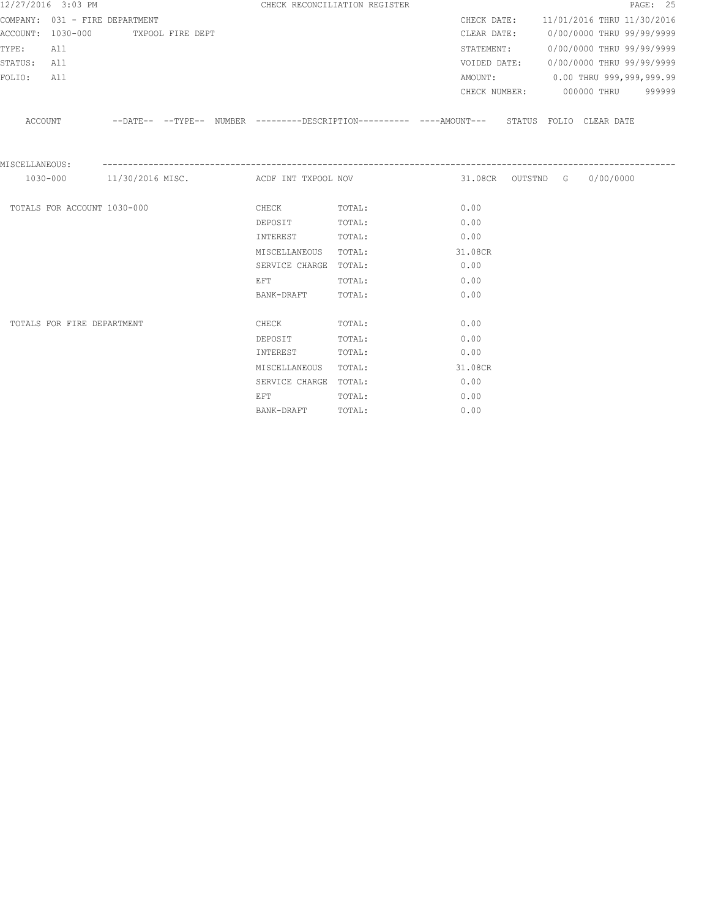|                | 12/27/2016 3:03 PM          |                                    |  |                                                                                                                | CHECK RECONCILIATION REGISTER |         |  |                             | PAGE: 25                               |
|----------------|-----------------------------|------------------------------------|--|----------------------------------------------------------------------------------------------------------------|-------------------------------|---------|--|-----------------------------|----------------------------------------|
|                |                             | COMPANY: 031 - FIRE DEPARTMENT     |  |                                                                                                                |                               |         |  |                             | CHECK DATE: 11/01/2016 THRU 11/30/2016 |
|                |                             | ACCOUNT: 1030-000 TXPOOL FIRE DEPT |  |                                                                                                                |                               |         |  |                             | CLEAR DATE: 0/00/0000 THRU 99/99/9999  |
| TYPE:          | All                         |                                    |  |                                                                                                                |                               |         |  |                             | STATEMENT: 0/00/0000 THRU 99/99/9999   |
| STATUS:        | All                         |                                    |  |                                                                                                                |                               |         |  |                             | VOIDED DATE: 0/00/0000 THRU 99/99/9999 |
| FOLIO:         | All                         |                                    |  |                                                                                                                |                               |         |  |                             | AMOUNT: 0.00 THRU 999,999,999.99       |
|                |                             |                                    |  |                                                                                                                |                               |         |  |                             | CHECK NUMBER: 000000 THRU 999999       |
|                |                             |                                    |  | ACCOUNT -DATE-- --TYPE-- NUMBER --------DESCRIPTION--------- ---AMOUNT--- STATUS FOLIO CLEAR DATE              |                               |         |  |                             |                                        |
| MISCELLANEOUS: |                             |                                    |  | 1030-000 11/30/2016 MISC. ACDF INT TXPOOL NOV                                                                  |                               |         |  | 31.08CR OUTSTND G 0/00/0000 |                                        |
|                |                             |                                    |  |                                                                                                                |                               |         |  |                             |                                        |
|                | TOTALS FOR ACCOUNT 1030-000 |                                    |  | CHECK                                                                                                          | TOTAL:                        | 0.00    |  |                             |                                        |
|                |                             |                                    |  | DEPOSIT                                                                                                        | TOTAL:                        | 0.00    |  |                             |                                        |
|                |                             |                                    |  | INTEREST                                                                                                       | TOTAL:                        | 0.00    |  |                             |                                        |
|                |                             |                                    |  | MISCELLANEOUS TOTAL:                                                                                           |                               | 31.08CR |  |                             |                                        |
|                |                             |                                    |  | SERVICE CHARGE TOTAL:                                                                                          |                               | 0.00    |  |                             |                                        |
|                |                             |                                    |  | EFT FOR THE STATE OF THE STATE OF THE STATE OF THE STATE OF THE STATE OF THE STATE OF THE STATE OF THE STATE O | TOTAL:                        | 0.00    |  |                             |                                        |
|                |                             |                                    |  | BANK-DRAFT                                                                                                     | TOTAL:                        | 0.00    |  |                             |                                        |
|                | TOTALS FOR FIRE DEPARTMENT  |                                    |  | <b>CHECK</b>                                                                                                   | TOTAL:                        | 0.00    |  |                             |                                        |
|                |                             |                                    |  | DEPOSIT                                                                                                        | TOTAL:                        | 0.00    |  |                             |                                        |
|                |                             |                                    |  | INTEREST                                                                                                       | TOTAL:                        | 0.00    |  |                             |                                        |
|                |                             |                                    |  | MISCELLANEOUS                                                                                                  | TOTAL:                        | 31.08CR |  |                             |                                        |
|                |                             |                                    |  | SERVICE CHARGE TOTAL:                                                                                          |                               | 0.00    |  |                             |                                        |
|                |                             |                                    |  | EFT                                                                                                            | TOTAL:                        | 0.00    |  |                             |                                        |
|                |                             |                                    |  | BANK-DRAFT                                                                                                     | TOTAL:                        | 0.00    |  |                             |                                        |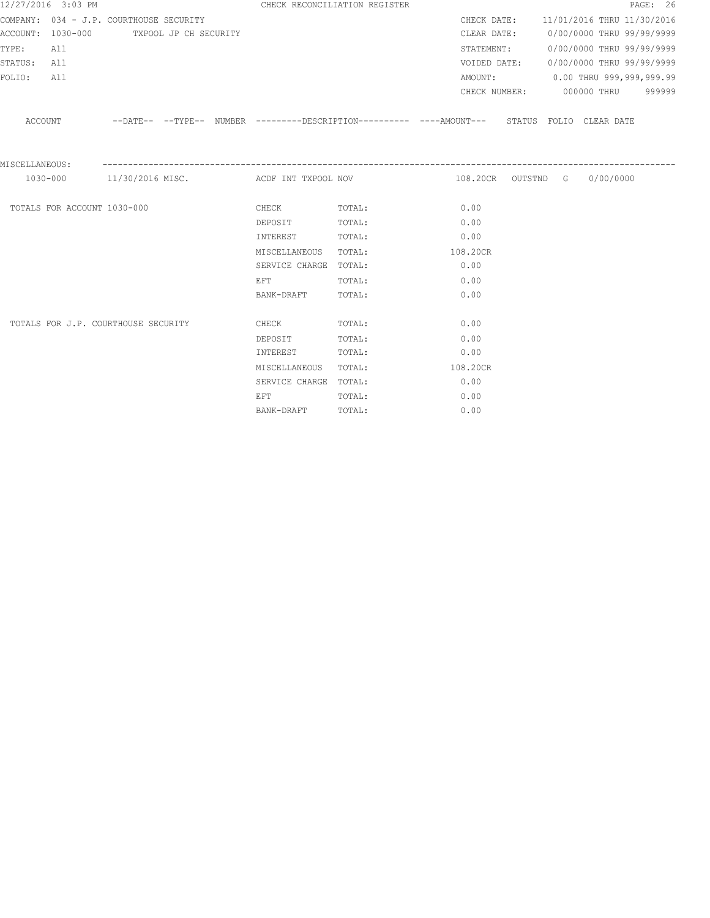|                | 12/27/2016 3:03 PM          |                                         |  |                       | CHECK RECONCILIATION REGISTER                 |             | PAGE: 26                                                                                      |
|----------------|-----------------------------|-----------------------------------------|--|-----------------------|-----------------------------------------------|-------------|-----------------------------------------------------------------------------------------------|
|                |                             | COMPANY: 034 - J.P. COURTHOUSE SECURITY |  |                       |                                               |             | CHECK DATE: 11/01/2016 THRU 11/30/2016                                                        |
|                |                             | ACCOUNT: 1030-000 TXPOOL JP CH SECURITY |  |                       |                                               | CLEAR DATE: | 0/00/0000 THRU 99/99/9999                                                                     |
| TYPE:          | All                         |                                         |  |                       |                                               | STATEMENT:  | 0/00/0000 THRU 99/99/9999                                                                     |
| STATUS:        | All                         |                                         |  |                       |                                               |             | VOIDED DATE: 0/00/0000 THRU 99/99/9999                                                        |
| FOLIO:         | All                         |                                         |  |                       |                                               |             | AMOUNT: 0.00 THRU 999,999,999.99                                                              |
|                |                             |                                         |  |                       |                                               |             | CHECK NUMBER: 000000 THRU 999999                                                              |
| ACCOUNT        |                             |                                         |  |                       |                                               |             | --DATE-- --TYPE-- NUMBER ---------DESCRIPTION---------- ----AMOUNT--- STATUS FOLIO CLEAR DATE |
| MISCELLANEOUS: |                             |                                         |  |                       | 1030-000 11/30/2016 MISC. ACDF INT TXPOOL NOV |             | 108.20CR OUTSTND G 0/00/0000                                                                  |
|                |                             |                                         |  |                       |                                               |             |                                                                                               |
|                | TOTALS FOR ACCOUNT 1030-000 |                                         |  | CHECK                 | TOTAL:                                        | 0.00        |                                                                                               |
|                |                             |                                         |  | DEPOSIT               | TOTAL:                                        | 0.00        |                                                                                               |
|                |                             |                                         |  | INTEREST              | TOTAL:                                        | 0.00        |                                                                                               |
|                |                             |                                         |  | MISCELLANEOUS TOTAL:  |                                               | 108.20CR    |                                                                                               |
|                |                             |                                         |  | SERVICE CHARGE TOTAL: |                                               | 0.00        |                                                                                               |
|                |                             |                                         |  | EFT                   | TOTAL:                                        | 0.00        |                                                                                               |
|                |                             |                                         |  | BANK-DRAFT            | TOTAL:                                        | 0.00        |                                                                                               |
|                |                             | TOTALS FOR J.P. COURTHOUSE SECURITY     |  | CHECK                 | TOTAL:                                        | 0.00        |                                                                                               |
|                |                             |                                         |  | DEPOSIT               | TOTAL:                                        | 0.00        |                                                                                               |
|                |                             |                                         |  | INTEREST              | TOTAL:                                        | 0.00        |                                                                                               |
|                |                             |                                         |  | MISCELLANEOUS         | TOTAL:                                        | 108.20CR    |                                                                                               |
|                |                             |                                         |  | SERVICE CHARGE TOTAL: |                                               | 0.00        |                                                                                               |
|                |                             |                                         |  | EFT                   | TOTAL:                                        | 0.00        |                                                                                               |
|                |                             |                                         |  | BANK-DRAFT            | TOTAL:                                        | 0.00        |                                                                                               |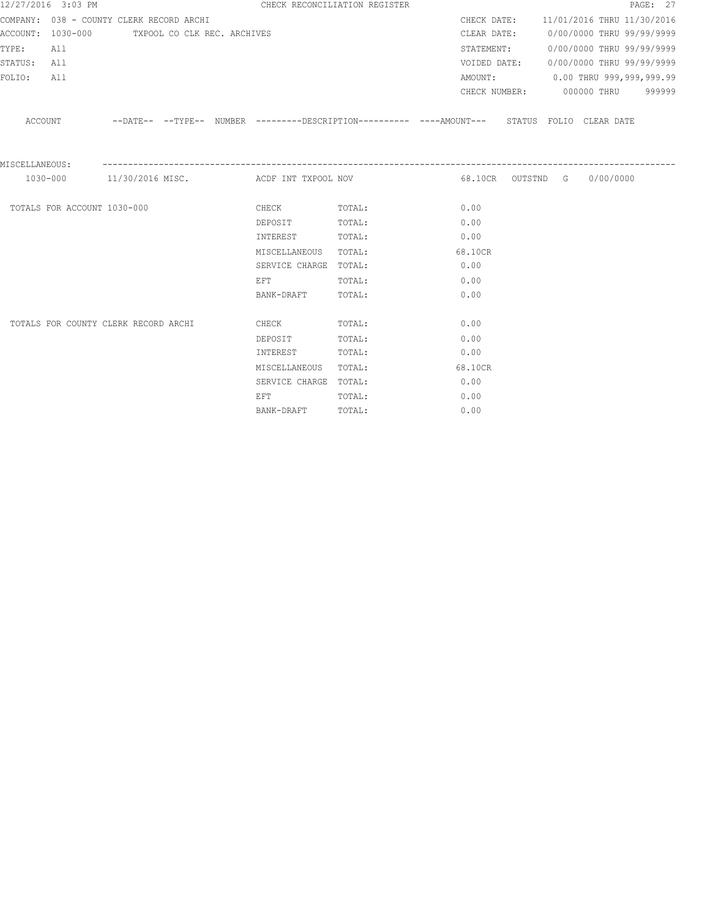|                | 12/27/2016 3:03 PM          |                                               |  |                                                                                                                | CHECK RECONCILIATION REGISTER                                                                       |         |                                        |  | PAGE: 27 |
|----------------|-----------------------------|-----------------------------------------------|--|----------------------------------------------------------------------------------------------------------------|-----------------------------------------------------------------------------------------------------|---------|----------------------------------------|--|----------|
|                |                             | COMPANY: 038 - COUNTY CLERK RECORD ARCHI      |  |                                                                                                                |                                                                                                     |         | CHECK DATE: 11/01/2016 THRU 11/30/2016 |  |          |
|                |                             | ACCOUNT: 1030-000 TXPOOL CO CLK REC. ARCHIVES |  |                                                                                                                |                                                                                                     |         | CLEAR DATE: 0/00/0000 THRU 99/99/9999  |  |          |
| TYPE:          | All                         |                                               |  |                                                                                                                |                                                                                                     |         | STATEMENT: 0/00/0000 THRU 99/99/9999   |  |          |
| STATUS: All    |                             |                                               |  |                                                                                                                |                                                                                                     |         | VOIDED DATE: 0/00/0000 THRU 99/99/9999 |  |          |
| FOLIO:         | All                         |                                               |  |                                                                                                                |                                                                                                     |         | AMOUNT: 0.00 THRU 999,999,999.99       |  |          |
|                |                             |                                               |  |                                                                                                                |                                                                                                     |         | CHECK NUMBER: 000000 THRU 999999       |  |          |
|                |                             |                                               |  |                                                                                                                | ACCOUNT --DATE-- --TYPE-- NUMBER --------DESCRIPTION---------- ---AMOUNT--- STATUS FOLIO CLEAR DATE |         |                                        |  |          |
| MISCELLANEOUS: |                             |                                               |  | 1030-000 11/30/2016 MISC. ACDF INT TXPOOL NOV                                                                  |                                                                                                     |         | 68.10CR OUTSTND G 0/00/0000            |  |          |
|                |                             |                                               |  |                                                                                                                |                                                                                                     |         |                                        |  |          |
|                | TOTALS FOR ACCOUNT 1030-000 |                                               |  | <b>CHECK</b>                                                                                                   | TOTAL:                                                                                              | 0.00    |                                        |  |          |
|                |                             |                                               |  | DEPOSIT TOTAL:                                                                                                 |                                                                                                     | 0.00    |                                        |  |          |
|                |                             |                                               |  | INTEREST TOTAL:                                                                                                |                                                                                                     | 0.00    |                                        |  |          |
|                |                             |                                               |  | MISCELLANEOUS TOTAL:                                                                                           |                                                                                                     | 68.10CR |                                        |  |          |
|                |                             |                                               |  | SERVICE CHARGE TOTAL:                                                                                          |                                                                                                     | 0.00    |                                        |  |          |
|                |                             |                                               |  | EFT FOR THE STATE OF THE STATE OF THE STATE OF THE STATE OF THE STATE OF THE STATE OF THE STATE OF THE STATE O | TOTAL:                                                                                              | 0.00    |                                        |  |          |
|                |                             |                                               |  | BANK-DRAFT                                                                                                     | TOTAL:                                                                                              | 0.00    |                                        |  |          |
|                |                             | TOTALS FOR COUNTY CLERK RECORD ARCHI          |  | <b>CHECK</b>                                                                                                   | TOTAL:                                                                                              | 0.00    |                                        |  |          |
|                |                             |                                               |  | DEPOSIT                                                                                                        | TOTAL:                                                                                              | 0.00    |                                        |  |          |
|                |                             |                                               |  | INTEREST                                                                                                       | TOTAL:                                                                                              | 0.00    |                                        |  |          |
|                |                             |                                               |  | MISCELLANEOUS                                                                                                  | TOTAL:                                                                                              | 68.10CR |                                        |  |          |
|                |                             |                                               |  | SERVICE CHARGE TOTAL:                                                                                          |                                                                                                     | 0.00    |                                        |  |          |
|                |                             |                                               |  | EFT                                                                                                            | TOTAL:                                                                                              | 0.00    |                                        |  |          |
|                |                             |                                               |  | BANK-DRAFT                                                                                                     | TOTAL:                                                                                              | 0.00    |                                        |  |          |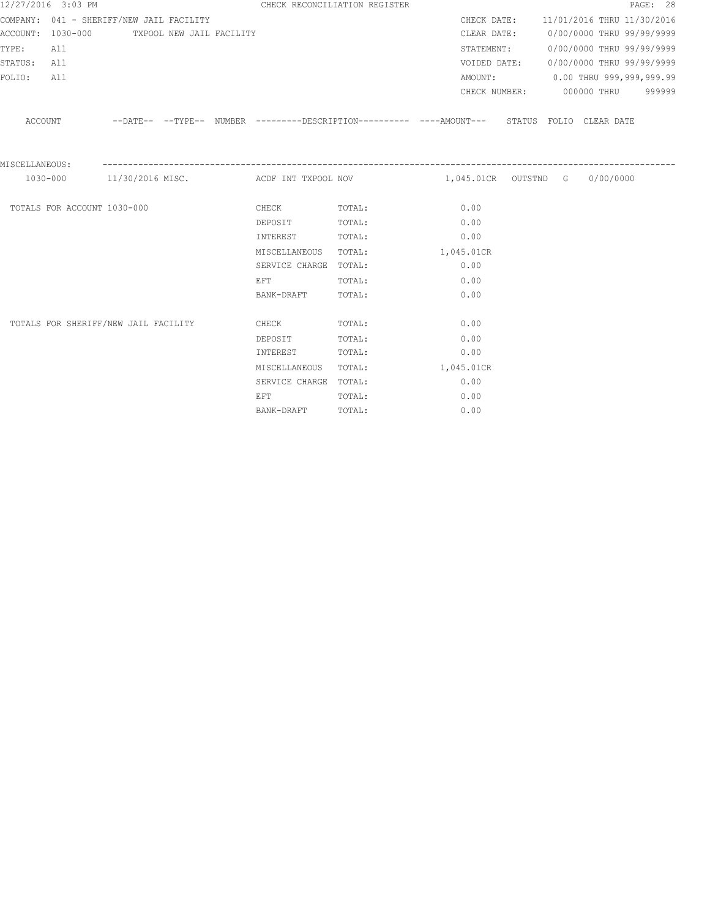|                | 12/27/2016 3:03 PM          |                                            |  |                                                                                                                | CHECK RECONCILIATION REGISTER |                                                                                                      |  |                                        | PAGE: 28 |
|----------------|-----------------------------|--------------------------------------------|--|----------------------------------------------------------------------------------------------------------------|-------------------------------|------------------------------------------------------------------------------------------------------|--|----------------------------------------|----------|
|                |                             | COMPANY: 041 - SHERIFF/NEW JAIL FACILITY   |  |                                                                                                                |                               |                                                                                                      |  | CHECK DATE: 11/01/2016 THRU 11/30/2016 |          |
|                |                             | ACCOUNT: 1030-000 TXPOOL NEW JAIL FACILITY |  |                                                                                                                |                               |                                                                                                      |  | CLEAR DATE: 0/00/0000 THRU 99/99/9999  |          |
| TYPE:          | All                         |                                            |  |                                                                                                                |                               |                                                                                                      |  | STATEMENT: 0/00/0000 THRU 99/99/9999   |          |
| STATUS: All    |                             |                                            |  |                                                                                                                |                               |                                                                                                      |  | VOIDED DATE: 0/00/0000 THRU 99/99/9999 |          |
| FOLIO:         | All                         |                                            |  |                                                                                                                |                               |                                                                                                      |  | AMOUNT: 0.00 THRU 999,999,999.99       |          |
|                |                             |                                            |  |                                                                                                                |                               |                                                                                                      |  | CHECK NUMBER: 000000 THRU 999999       |          |
|                |                             |                                            |  |                                                                                                                |                               | ACCOUNT --DATE-- --TYPE-- NUMBER --------DESCRIPTION---------- ----AMOUNT--- STATUS FOLIO CLEAR DATE |  |                                        |          |
| MISCELLANEOUS: |                             |                                            |  |                                                                                                                |                               |                                                                                                      |  |                                        |          |
|                |                             |                                            |  |                                                                                                                |                               | 1030-000 11/30/2016 MISC. ACDF INT TXPOOL NOV 1,045.01CR OUTSTND G 0/00/0000                         |  |                                        |          |
|                | TOTALS FOR ACCOUNT 1030-000 |                                            |  | CHECK TOTAL:                                                                                                   |                               | 0.00                                                                                                 |  |                                        |          |
|                |                             |                                            |  | DEPOSIT                                                                                                        | TOTAL:                        | 0.00                                                                                                 |  |                                        |          |
|                |                             |                                            |  | INTEREST                                                                                                       | TOTAL:                        | 0.00                                                                                                 |  |                                        |          |
|                |                             |                                            |  | MISCELLANEOUS                                                                                                  | TOTAL: 1,045.01CR             |                                                                                                      |  |                                        |          |
|                |                             |                                            |  | SERVICE CHARGE TOTAL:                                                                                          |                               | 0.00                                                                                                 |  |                                        |          |
|                |                             |                                            |  | EFT FOR THE STATE OF THE STATE OF THE STATE OF THE STATE OF THE STATE OF THE STATE OF THE STATE OF THE STATE O | TOTAL:                        | 0.00                                                                                                 |  |                                        |          |
|                |                             |                                            |  | BANK-DRAFT                                                                                                     | TOTAL:                        | 0.00                                                                                                 |  |                                        |          |
|                |                             | TOTALS FOR SHERIFF/NEW JAIL FACILITY       |  | CHECK                                                                                                          | TOTAL:                        | 0.00                                                                                                 |  |                                        |          |
|                |                             |                                            |  | DEPOSIT                                                                                                        | TOTAL:                        | 0.00                                                                                                 |  |                                        |          |
|                |                             |                                            |  | INTEREST                                                                                                       | TOTAL:                        | 0.00                                                                                                 |  |                                        |          |
|                |                             |                                            |  | MISCELLANEOUS                                                                                                  | TOTAL:                        | 1,045.01CR                                                                                           |  |                                        |          |
|                |                             |                                            |  | SERVICE CHARGE TOTAL:                                                                                          |                               | 0.00                                                                                                 |  |                                        |          |
|                |                             |                                            |  | EFT                                                                                                            | TOTAL:                        | 0.00                                                                                                 |  |                                        |          |
|                |                             |                                            |  | BANK-DRAFT                                                                                                     | TOTAL:                        | 0.00                                                                                                 |  |                                        |          |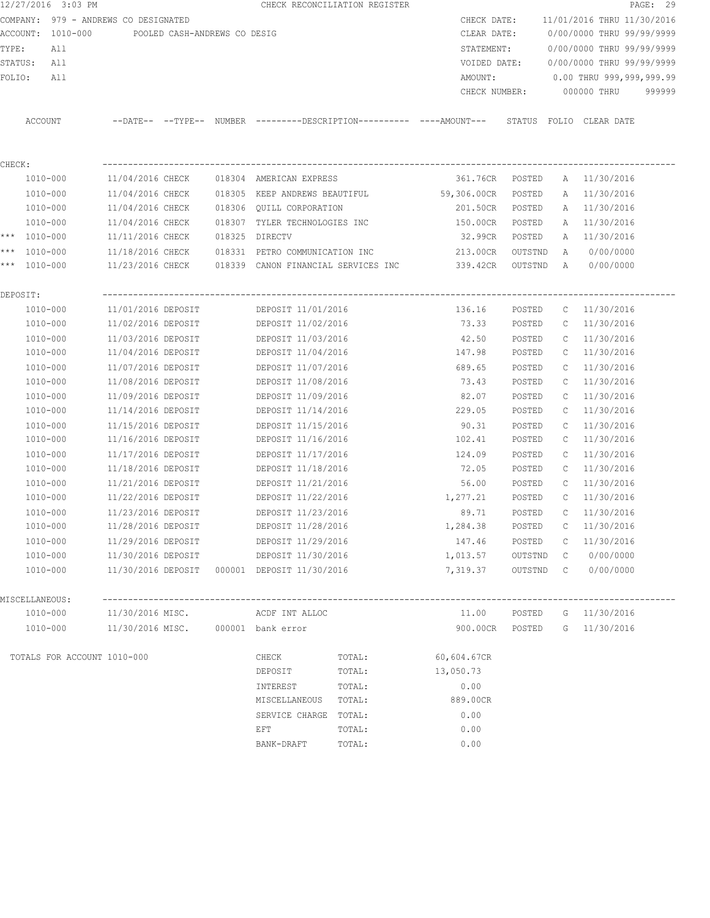|         | 12/27/2016 3:03 PM                   |                    |                              |        |                               | CHECK RECONCILIATION REGISTER       |                                                                      |         |              | PAGE: 29                   |  |
|---------|--------------------------------------|--------------------|------------------------------|--------|-------------------------------|-------------------------------------|----------------------------------------------------------------------|---------|--------------|----------------------------|--|
|         | COMPANY: 979 - ANDREWS CO DESIGNATED |                    |                              |        |                               |                                     | CHECK DATE:                                                          |         |              | 11/01/2016 THRU 11/30/2016 |  |
|         | ACCOUNT:<br>1010-000                 |                    | POOLED CASH-ANDREWS CO DESIG |        |                               |                                     | CLEAR DATE:                                                          |         |              | 0/00/0000 THRU 99/99/9999  |  |
| TYPE:   | All                                  |                    |                              |        |                               |                                     | STATEMENT:                                                           |         |              | 0/00/0000 THRU 99/99/9999  |  |
| STATUS: | All                                  |                    |                              |        |                               |                                     | VOIDED DATE:                                                         |         |              | 0/00/0000 THRU 99/99/9999  |  |
| FOLIO:  | All                                  |                    |                              |        |                               |                                     | AMOUNT:                                                              |         |              | 0.00 THRU 999,999,999.99   |  |
|         |                                      |                    |                              |        |                               |                                     | CHECK NUMBER:                                                        |         |              | 000000 THRU<br>999999      |  |
|         | ACCOUNT                              |                    |                              |        |                               |                                     | --DATE-- --TYPE-- NUMBER --------DESCRIPTION---------- ----AMOUNT--- |         |              | STATUS FOLIO CLEAR DATE    |  |
|         |                                      |                    |                              |        |                               |                                     |                                                                      |         |              |                            |  |
| CHECK:  |                                      |                    |                              |        |                               |                                     |                                                                      |         |              |                            |  |
|         | 1010-000                             | 11/04/2016 CHECK   |                              |        | 018304 AMERICAN EXPRESS       |                                     | 361.76CR                                                             | POSTED  |              | A 11/30/2016               |  |
|         | 1010-000                             | 11/04/2016 CHECK   |                              | 018305 | KEEP ANDREWS BEAUTIFUL        |                                     | 59,306.00CR                                                          | POSTED  | A            | 11/30/2016                 |  |
|         | 1010-000                             | 11/04/2016 CHECK   |                              |        | 018306 QUILL CORPORATION      |                                     | 201.50CR                                                             | POSTED  | A            | 11/30/2016                 |  |
|         | 1010-000                             | 11/04/2016 CHECK   |                              |        | 018307 TYLER TECHNOLOGIES INC |                                     | 150.00CR                                                             | POSTED  | Α            | 11/30/2016                 |  |
|         | *** 1010-000                         | 11/11/2016 CHECK   |                              | 018325 | DIRECTV                       |                                     | 32.99CR                                                              | POSTED  | Α            | 11/30/2016                 |  |
|         | *** 1010-000                         | 11/18/2016 CHECK   |                              | 018331 | PETRO COMMUNICATION INC       |                                     | 213.00CR                                                             | OUTSTND | Α            | 0/00/0000                  |  |
| $***$   | 1010-000                             | 11/23/2016 CHECK   |                              |        |                               | 018339 CANON FINANCIAL SERVICES INC | 339.42CR                                                             | OUTSTND | Α            | 0/00/0000                  |  |
|         | DEPOSIT:                             |                    |                              |        |                               |                                     |                                                                      |         |              |                            |  |
|         | 1010-000                             | 11/01/2016 DEPOSIT |                              |        | DEPOSIT 11/01/2016            |                                     | 136.16                                                               | POSTED  | $\mathbb{C}$ | 11/30/2016                 |  |
|         | 1010-000                             | 11/02/2016 DEPOSIT |                              |        | DEPOSIT 11/02/2016            |                                     | 73.33                                                                | POSTED  | C            | 11/30/2016                 |  |
|         | 1010-000                             | 11/03/2016 DEPOSIT |                              |        | DEPOSIT 11/03/2016            |                                     | 42.50                                                                | POSTED  | С            | 11/30/2016                 |  |
|         | 1010-000                             | 11/04/2016 DEPOSIT |                              |        | DEPOSIT 11/04/2016            |                                     | 147.98                                                               | POSTED  | C            | 11/30/2016                 |  |
|         | 1010-000                             | 11/07/2016 DEPOSIT |                              |        | DEPOSIT 11/07/2016            |                                     | 689.65                                                               | POSTED  | C            | 11/30/2016                 |  |
|         | 1010-000                             | 11/08/2016 DEPOSIT |                              |        | DEPOSIT 11/08/2016            |                                     | 73.43                                                                | POSTED  | C            | 11/30/2016                 |  |
|         | 1010-000                             | 11/09/2016 DEPOSIT |                              |        | DEPOSIT 11/09/2016            |                                     | 82.07                                                                | POSTED  | C            | 11/30/2016                 |  |
|         | 1010-000                             | 11/14/2016 DEPOSIT |                              |        | DEPOSIT 11/14/2016            |                                     | 229.05                                                               | POSTED  | С            | 11/30/2016                 |  |
|         | 1010-000                             | 11/15/2016 DEPOSIT |                              |        | DEPOSIT 11/15/2016            |                                     | 90.31                                                                | POSTED  | С            | 11/30/2016                 |  |
|         | 1010-000                             | 11/16/2016 DEPOSIT |                              |        | DEPOSIT 11/16/2016            |                                     | 102.41                                                               | POSTED  | С            | 11/30/2016                 |  |
|         | 1010-000                             | 11/17/2016 DEPOSIT |                              |        | DEPOSIT 11/17/2016            |                                     | 124.09                                                               | POSTED  | C            | 11/30/2016                 |  |
|         | 1010-000                             | 11/18/2016 DEPOSIT |                              |        | DEPOSIT 11/18/2016            |                                     | 72.05                                                                | POSTED  | C            | 11/30/2016                 |  |
|         | 1010-000                             | 11/21/2016 DEPOSIT |                              |        | DEPOSIT 11/21/2016            |                                     | 56.00                                                                | POSTED  | C            | 11/30/2016                 |  |
|         | 1010-000                             | 11/22/2016 DEPOSIT |                              |        | DEPOSIT 11/22/2016            |                                     | 1,277.21                                                             | POSTED  | C            | 11/30/2016                 |  |
|         | 1010-000                             | 11/23/2016 DEPOSIT |                              |        | DEPOSIT 11/23/2016            |                                     | 89.71                                                                | POSTED  | C            | 11/30/2016                 |  |
|         | 1010-000                             | 11/28/2016 DEPOSIT |                              |        | DEPOSIT 11/28/2016            |                                     | 1,284.38                                                             | POSTED  | С            | 11/30/2016                 |  |
|         | 1010-000                             | 11/29/2016 DEPOSIT |                              |        | DEPOSIT 11/29/2016            |                                     | 147.46                                                               | POSTED  | C            | 11/30/2016                 |  |
|         | 1010-000                             | 11/30/2016 DEPOSIT |                              |        | DEPOSIT 11/30/2016            |                                     | 1,013.57                                                             | OUTSTND | C            | 0/00/0000                  |  |
|         | 1010-000                             | 11/30/2016 DEPOSIT |                              |        | 000001 DEPOSIT 11/30/2016     |                                     | 7,319.37                                                             | OUTSTND | $\mathbb{C}$ | 0/00/0000                  |  |
|         | MISCELLANEOUS:                       |                    |                              |        |                               |                                     |                                                                      |         |              |                            |  |
|         | 1010-000                             | 11/30/2016 MISC.   |                              |        | ACDF INT ALLOC                |                                     | 11.00                                                                | POSTED  |              | G 11/30/2016               |  |
|         | 1010-000                             | 11/30/2016 MISC.   |                              |        | 000001 bank error             |                                     | 900.00CR                                                             | POSTED  |              | G 11/30/2016               |  |
|         |                                      |                    |                              |        |                               |                                     |                                                                      |         |              |                            |  |
|         | TOTALS FOR ACCOUNT 1010-000          |                    |                              |        | CHECK                         | TOTAL:                              | 60,604.67CR                                                          |         |              |                            |  |
|         |                                      |                    |                              |        | DEPOSIT                       | TOTAL:                              | 13,050.73                                                            |         |              |                            |  |
|         |                                      |                    |                              |        | INTEREST                      | TOTAL:                              | 0.00                                                                 |         |              |                            |  |
|         |                                      |                    |                              |        | MISCELLANEOUS                 | TOTAL:                              | 889.00CR                                                             |         |              |                            |  |
|         |                                      |                    |                              |        | SERVICE CHARGE                | TOTAL:                              | 0.00                                                                 |         |              |                            |  |
|         |                                      |                    |                              |        | EFT                           | TOTAL:                              | 0.00                                                                 |         |              |                            |  |
|         |                                      |                    |                              |        | BANK-DRAFT                    | TOTAL:                              | 0.00                                                                 |         |              |                            |  |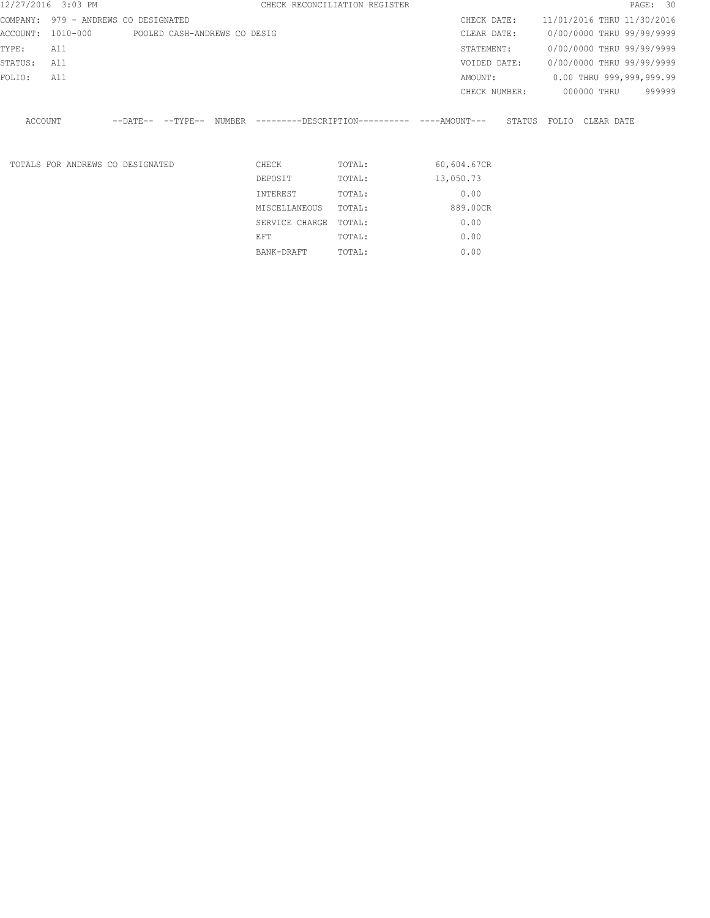|          | 12/27/2016 3:03 PM               |                              |  |                | CHECK RECONCILIATION REGISTER |                                                     |        |                            |                           | PAGE: 30 |        |
|----------|----------------------------------|------------------------------|--|----------------|-------------------------------|-----------------------------------------------------|--------|----------------------------|---------------------------|----------|--------|
| COMPANY: | 979 - ANDREWS CO DESIGNATED      |                              |  |                |                               | CHECK DATE:                                         |        | 11/01/2016 THRU 11/30/2016 |                           |          |        |
| ACCOUNT: | 1010-000                         | POOLED CASH-ANDREWS CO DESIG |  |                |                               | CLEAR DATE:                                         |        |                            | 0/00/0000 THRU 99/99/9999 |          |        |
| TYPE:    | All                              |                              |  |                |                               | STATEMENT:                                          |        |                            | 0/00/0000 THRU 99/99/9999 |          |        |
| STATUS:  | All                              |                              |  |                |                               | VOIDED DATE:                                        |        |                            | 0/00/0000 THRU 99/99/9999 |          |        |
| FOLIO:   | All                              |                              |  |                |                               | AMOUNT:                                             |        |                            | 0.00 THRU 999,999,999.99  |          |        |
|          |                                  |                              |  |                |                               | CHECK NUMBER:                                       |        |                            | 000000 THRU               |          | 999999 |
| ACCOUNT  |                                  | $--$ DATE $- --$ TYPE $--$   |  |                |                               | NUMBER ---------DESCRIPTION---------- ----AMOUNT--- | STATUS | FOLIO                      | CLEAR DATE                |          |        |
|          | TOTALS FOR ANDREWS CO DESIGNATED |                              |  | CHECK          | TOTAL:                        | 60,604.67CR                                         |        |                            |                           |          |        |
|          |                                  |                              |  | DEPOSIT        | TOTAL:                        | 13,050.73                                           |        |                            |                           |          |        |
|          |                                  |                              |  | INTEREST       | TOTAL:                        | 0.00                                                |        |                            |                           |          |        |
|          |                                  |                              |  | MISCELLANEOUS  | TOTAL:                        | 889.00CR                                            |        |                            |                           |          |        |
|          |                                  |                              |  | SERVICE CHARGE | TOTAL:                        | 0.00                                                |        |                            |                           |          |        |
|          |                                  |                              |  | EFT            | TOTAL:                        | 0.00                                                |        |                            |                           |          |        |
|          |                                  |                              |  | BANK-DRAFT     | TOTAL:                        | 0.00                                                |        |                            |                           |          |        |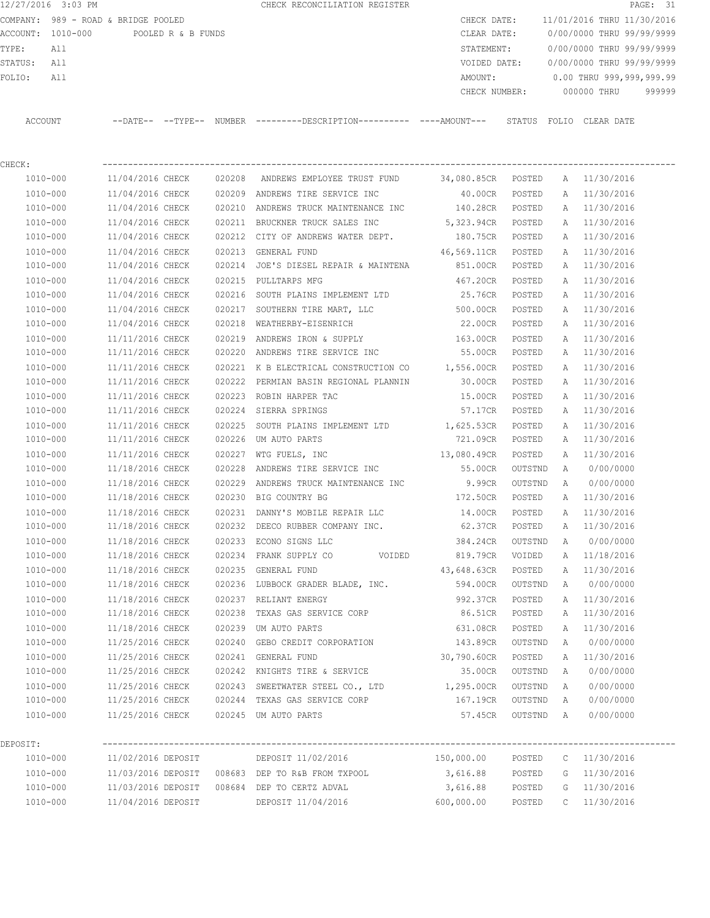12/27/2016 3:03 PM **CHECK RECONCILIATION REGISTER PAGE: 31** COMPANY: 989 - ROAD & BRIDGE POOLED COMPANY: 989 - ROAD & BRIDGE POOLED ACCOUNT: 1010-000 POOLED R & B FUNDS CLEAR DATE: 0/00/0000 THRU 99/99/9999 TYPE: All STATEMENT: 0/00/0000 THRU 99/99/9999 STATUS: All VOIDED DATE: 0/00/0000 THRU 99/99/9999 FOLIO: All 2008, 2009, 2008, 2009, 2009, 2009, 2009, 2009, 2009, 2009, 2009, 2009, 2009, 2009, 2009, 2009, 200 CHECK NUMBER: 000000 THRU 999999 ACCOUNT --DATE-- --TYPE-- NUMBER ---------DESCRIPTION---------- ----AMOUNT--- STATUS FOLIO CLEAR DATE

| CHECK:       |                                          |        |                                                                                     |                    |         |             |              |
|--------------|------------------------------------------|--------|-------------------------------------------------------------------------------------|--------------------|---------|-------------|--------------|
| 1010-000     |                                          |        | 11/04/2016 CHECK 020208 ANDREWS EMPLOYEE TRUST FUND 34,080.85CR POSTED A 11/30/2016 |                    |         |             |              |
| 1010-000     | 11/04/2016 CHECK                         |        | 020209 ANDREWS TIRE SERVICE INC                                                     | 40.00CR            | POSTED  |             | A 11/30/2016 |
| 1010-000     | 11/04/2016 CHECK                         |        | 020210 ANDREWS TRUCK MAINTENANCE INC 140.28CR                                       |                    | POSTED  | A           | 11/30/2016   |
| 1010-000     | 11/04/2016 CHECK                         |        | 020211 BRUCKNER TRUCK SALES INC 5,323.94CR                                          |                    | POSTED  | A           | 11/30/2016   |
| 1010-000     | 11/04/2016 CHECK                         |        | 020212 CITY OF ANDREWS WATER DEPT.                                                  | 180.75CR           | POSTED  |             | A 11/30/2016 |
| 1010-000     | 11/04/2016 CHECK                         | 020213 | GENERAL FUND                                                                        | 46,569.11CR        | POSTED  |             | A 11/30/2016 |
| 1010-000     | 11/04/2016 CHECK                         | 020214 | JOE'S DIESEL REPAIR & MAINTENA                                                      | 851.00CR           | POSTED  | A           | 11/30/2016   |
| 1010-000     | 11/04/2016 CHECK                         | 020215 | PULLTARPS MFG                                                                       | 467.20CR           | POSTED  | Α           | 11/30/2016   |
| 1010-000     | 11/04/2016 CHECK                         | 020216 | SOUTH PLAINS IMPLEMENT LTD 		 25.76CR                                               |                    | POSTED  | A           | 11/30/2016   |
| 1010-000     |                                          |        | 11/04/2016 CHECK 020217 SOUTHERN TIRE MART, LLC 500.00CR                            |                    | POSTED  | Α           | 11/30/2016   |
| 1010-000     |                                          |        | 11/04/2016 CHECK 020218 WEATHERBY-EISENRICH 22.00CR                                 |                    | POSTED  |             | A 11/30/2016 |
| 1010-000     | 11/11/2016 CHECK                         |        | 020219 ANDREWS IRON & SUPPLY 163.00CR                                               |                    | POSTED  |             | A 11/30/2016 |
| 1010-000     | 11/11/2016 CHECK                         |        | 020220 ANDREWS TIRE SERVICE INC                                                     | 55.00CR            | POSTED  |             | A 11/30/2016 |
| 1010-000     |                                          |        | $11/11/2016$ CHECK 020221 K B ELECTRICAL CONSTRUCTION CO $1,556.00$ CR              |                    | POSTED  |             | A 11/30/2016 |
| 1010-000     |                                          |        | 11/11/2016 CHECK 020222 PERMIAN BASIN REGIONAL PLANNIN 30.00CR                      |                    | POSTED  |             | A 11/30/2016 |
| 1010-000     | 11/11/2016 CHECK 020223 ROBIN HARPER TAC |        |                                                                                     | 15.00CR            | POSTED  |             | A 11/30/2016 |
| 1010-000     | 11/11/2016 CHECK 020224 SIERRA SPRINGS   |        |                                                                                     | 57.17CR            | POSTED  |             | A 11/30/2016 |
| 1010-000     | 11/11/2016 CHECK                         |        | 020225 SOUTH PLAINS IMPLEMENT LTD 1,625.53CR POSTED                                 |                    |         |             | A 11/30/2016 |
| 1010-000     | 11/11/2016 CHECK                         |        | 020226 UM AUTO PARTS                                                                | 721.09CR POSTED    |         |             | A 11/30/2016 |
| 1010-000     | 11/11/2016 CHECK                         |        | 020227 WTG FUELS, INC                                                               | 13,080.49CR POSTED |         |             | A 11/30/2016 |
| 1010-000     | 11/18/2016 CHECK                         |        | 020228 ANDREWS TIRE SERVICE INC                                                     | 55.00CR OUTSTND    |         |             | A 0/00/0000  |
| 1010-000     | 11/18/2016 CHECK                         |        | 020229 ANDREWS TRUCK MAINTENANCE INC 9.99CR                                         |                    | OUTSTND | A           | 0/00/0000    |
| 1010-000     |                                          |        | 11/18/2016 CHECK 020230 BIG COUNTRY BG 172.50CR                                     |                    | POSTED  |             | A 11/30/2016 |
| 1010-000     | 11/18/2016 CHECK                         |        | 020231 DANNY'S MOBILE REPAIR LLC 14.00CR                                            |                    | POSTED  | A           | 11/30/2016   |
| 1010-000     | 11/18/2016 CHECK                         |        | 020232 DEECO RUBBER COMPANY INC. 62.37CR                                            |                    | POSTED  | A           | 11/30/2016   |
| 1010-000     | 11/18/2016 CHECK                         |        | 020233 ECONO SIGNS LLC 384.24CR                                                     |                    | OUTSTND |             | A 0/00/0000  |
| 1010-000     | 11/18/2016 CHECK                         |        | 020234 FRANK SUPPLY CO  VOIDED 819.79CR                                             |                    | VOIDED  | A           | 11/18/2016   |
| 1010-000     | 11/18/2016 CHECK                         |        | 020235 GENERAL FUND                                                                 | 43,648.63CR        | POSTED  |             | A 11/30/2016 |
| 1010-000     | 11/18/2016 CHECK                         |        | 020236 LUBBOCK GRADER BLADE, INC. 594.00CR                                          |                    | OUTSTND |             | A 0/00/0000  |
| 1010-000     | 11/18/2016 CHECK                         |        | 020237 RELIANT ENERGY                                                               | 992.37CR           | POSTED  |             | A 11/30/2016 |
| 1010-000     | 11/18/2016 CHECK                         | 020238 | TEXAS GAS SERVICE CORP                                                              | 86.51CR            | POSTED  | Α           | 11/30/2016   |
| 1010-000     | 11/18/2016 CHECK                         | 020239 | UM AUTO PARTS                                                                       | 631.08CR           | POSTED  | A           | 11/30/2016   |
| 1010-000     | 11/25/2016 CHECK                         | 020240 | GEBO CREDIT CORPORATION 143.89CR OUTSTND                                            |                    |         | A           | 0/00/0000    |
| 1010-000     | 11/25/2016 CHECK 020241 GENERAL FUND     |        |                                                                                     | 30,790.60CR        | POSTED  |             | A 11/30/2016 |
| 1010-000     | 11/25/2016 CHECK                         |        | 020242 KNIGHTS TIRE & SERVICE 35.00CR                                               |                    | OUTSTND |             | A 0/00/0000  |
| $1010 - 000$ | 11/25/2016 CHECK                         |        | 020243 SWEETWATER STEEL CO., LTD                                                    | 1,295.00CR         | OUTSTND | A           | 0/00/0000    |
| 1010-000     | 11/25/2016 CHECK                         |        | 020244 TEXAS GAS SERVICE CORP                                                       | 167.19CR           | OUTSTND | A           | 0/00/0000    |
| 1010-000     | 11/25/2016 CHECK                         |        | 020245 UM AUTO PARTS                                                                | 57.45CR            | OUTSTND | A           | 0/00/0000    |
| DEPOSIT:     |                                          |        |                                                                                     |                    |         |             |              |
| 1010-000     | 11/02/2016 DEPOSIT                       |        | DEPOSIT 11/02/2016                                                                  | 150,000.00         | POSTED  | $\mathbb C$ | 11/30/2016   |
| 1010-000     | 11/03/2016 DEPOSIT                       |        | 008683 DEP TO R&B FROM TXPOOL                                                       | 3,616.88           | POSTED  | G           | 11/30/2016   |
| 1010-000     | 11/03/2016 DEPOSIT                       |        | 008684 DEP TO CERTZ ADVAL                                                           | 3,616.88           | POSTED  | G           | 11/30/2016   |

1010-000 11/04/2016 DEPOSIT DEPOSIT 11/04/2016 600,000.00 POSTED C 11/30/2016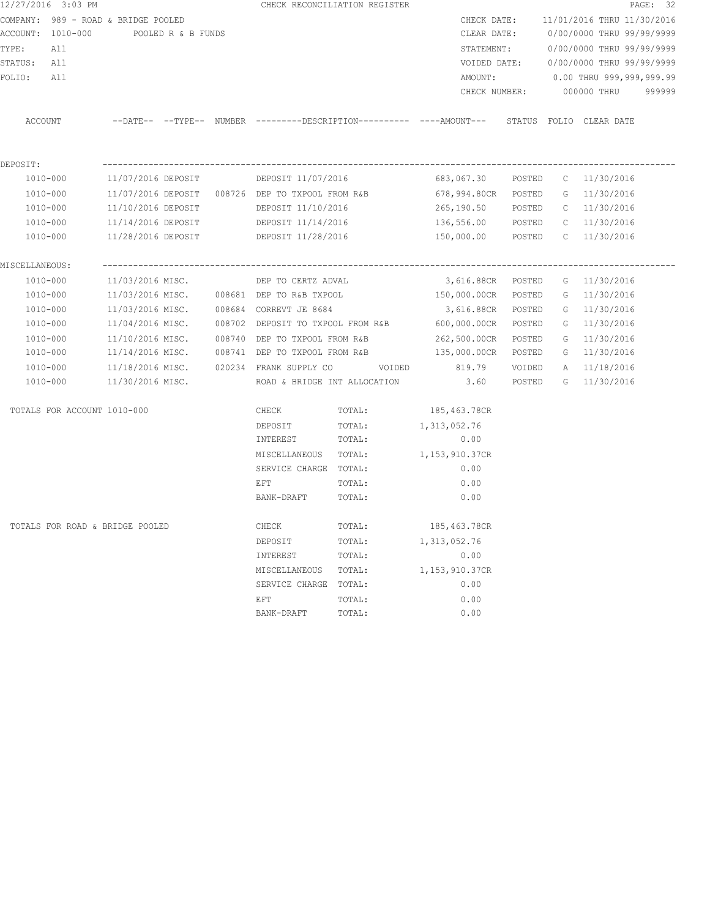|                | 12/27/2016 3:03 PM                   |                  |  | CHECK RECONCILIATION REGISTER                         |                                     |                                                                                                       |        |                                        | PAGE: 32 |
|----------------|--------------------------------------|------------------|--|-------------------------------------------------------|-------------------------------------|-------------------------------------------------------------------------------------------------------|--------|----------------------------------------|----------|
|                | COMPANY: 989 - ROAD & BRIDGE POOLED  |                  |  |                                                       |                                     |                                                                                                       |        | CHECK DATE: 11/01/2016 THRU 11/30/2016 |          |
|                | ACCOUNT: 1010-000 POOLED R & B FUNDS |                  |  |                                                       |                                     | CLEAR DATE:                                                                                           |        | 0/00/0000 THRU 99/99/9999              |          |
| TYPE:          | All                                  |                  |  |                                                       |                                     |                                                                                                       |        | STATEMENT: 0/00/0000 THRU 99/99/9999   |          |
| STATUS: All    |                                      |                  |  |                                                       |                                     |                                                                                                       |        | VOIDED DATE: 0/00/0000 THRU 99/99/9999 |          |
| FOLIO:         | All                                  |                  |  |                                                       |                                     |                                                                                                       |        | AMOUNT: 0.00 THRU 999,999,999.99       |          |
|                |                                      |                  |  |                                                       |                                     |                                                                                                       |        | CHECK NUMBER: 000000 THRU 999999       |          |
|                |                                      |                  |  |                                                       |                                     | ACCOUNT --DATE-- --TYPE-- NUMBER ---------DESCRIPTION---------- ----AMOUNT--- STATUS FOLIO CLEAR DATE |        |                                        |          |
| DEPOSIT:       |                                      |                  |  |                                                       |                                     |                                                                                                       |        |                                        |          |
|                | 1010-000                             |                  |  |                                                       |                                     | 683,067.30 POSTED C 11/30/2016                                                                        |        |                                        |          |
| 1010-000       |                                      |                  |  | $11/07/2016$ DEPOSIT $-008726$ DEP TO TXPOOL FROM R&B |                                     | 678,994.80CR POSTED G 11/30/2016                                                                      |        |                                        |          |
| 1010-000       |                                      |                  |  |                                                       |                                     | 265,190.50 POSTED C 11/30/2016                                                                        |        |                                        |          |
| 1010-000       |                                      |                  |  | 11/14/2016 DEPOSIT DEPOSIT 11/14/2016                 |                                     | 136,556.00 POSTED C 11/30/2016                                                                        |        |                                        |          |
| 1010-000       |                                      |                  |  |                                                       |                                     |                                                                                                       |        |                                        |          |
| MISCELLANEOUS: |                                      |                  |  |                                                       |                                     |                                                                                                       |        |                                        |          |
|                |                                      |                  |  | 1010-000 11/03/2016 MISC. DEP TO CERTZ ADVAL          |                                     | 3,616.88CR POSTED                                                                                     |        | G 11/30/2016                           |          |
|                |                                      |                  |  |                                                       |                                     | 1010-000 11/03/2016 MISC. 008681 DEP TO R&B TXPOOL 150,000.00CR POSTED                                |        | G 11/30/2016                           |          |
|                | 1010-000                             |                  |  | 11/03/2016 MISC. 008684 CORREVT JE 8684               |                                     | 3,616.88CR POSTED                                                                                     |        | G 11/30/2016                           |          |
|                | 1010-000                             |                  |  |                                                       |                                     | 11/04/2016 MISC. 008702 DEPOSIT TO TXPOOL FROM R&B 600,000.00CR POSTED                                |        | G 11/30/2016                           |          |
|                | 1010-000                             |                  |  | 11/10/2016 MISC. 008740 DEP TO TXPOOL FROM R&B        |                                     | 262,500.00CR                                                                                          | POSTED | G 11/30/2016                           |          |
|                | 1010-000                             |                  |  | 11/14/2016 MISC. 008741 DEP TO TXPOOL FROM R&B        |                                     | 135,000.00CR POSTED                                                                                   |        | G 11/30/2016                           |          |
|                | 1010-000                             |                  |  |                                                       |                                     | 819.79                                                                                                | VOIDED | A 11/18/2016                           |          |
|                | 1010-000                             | 11/30/2016 MISC. |  |                                                       |                                     | ROAD & BRIDGE INT ALLOCATION 3.60 POSTED                                                              |        | G 11/30/2016                           |          |
|                | TOTALS FOR ACCOUNT 1010-000          |                  |  |                                                       | CHECK TOTAL: 185,463.78CR           |                                                                                                       |        |                                        |          |
|                |                                      |                  |  |                                                       | DEPOSIT TOTAL: 1,313,052.76         |                                                                                                       |        |                                        |          |
|                |                                      |                  |  | INTEREST TOTAL:                                       |                                     | 0.00                                                                                                  |        |                                        |          |
|                |                                      |                  |  |                                                       | MISCELLANEOUS TOTAL: 1,153,910.37CR |                                                                                                       |        |                                        |          |
|                |                                      |                  |  | SERVICE CHARGE TOTAL:                                 |                                     | 0.00                                                                                                  |        |                                        |          |
|                |                                      |                  |  | EFT                                                   | TOTAL:                              | 0.00                                                                                                  |        |                                        |          |
|                |                                      |                  |  | BANK-DRAFT                                            | TOTAL:                              | 0.00                                                                                                  |        |                                        |          |
|                | TOTALS FOR ROAD & BRIDGE POOLED      |                  |  | CHECK                                                 | TOTAL:                              | 185,463.78CR                                                                                          |        |                                        |          |
|                |                                      |                  |  | DEPOSIT                                               | TOTAL:                              | 1,313,052.76                                                                                          |        |                                        |          |
|                |                                      |                  |  | INTEREST                                              | TOTAL:                              | 0.00                                                                                                  |        |                                        |          |
|                |                                      |                  |  | MISCELLANEOUS                                         | TOTAL:                              | 1,153,910.37CR                                                                                        |        |                                        |          |
|                |                                      |                  |  | SERVICE CHARGE                                        | TOTAL:                              | 0.00                                                                                                  |        |                                        |          |
|                |                                      |                  |  | EFT                                                   | TOTAL:                              | 0.00                                                                                                  |        |                                        |          |
|                |                                      |                  |  | BANK-DRAFT                                            | TOTAL:                              | 0.00                                                                                                  |        |                                        |          |
|                |                                      |                  |  |                                                       |                                     |                                                                                                       |        |                                        |          |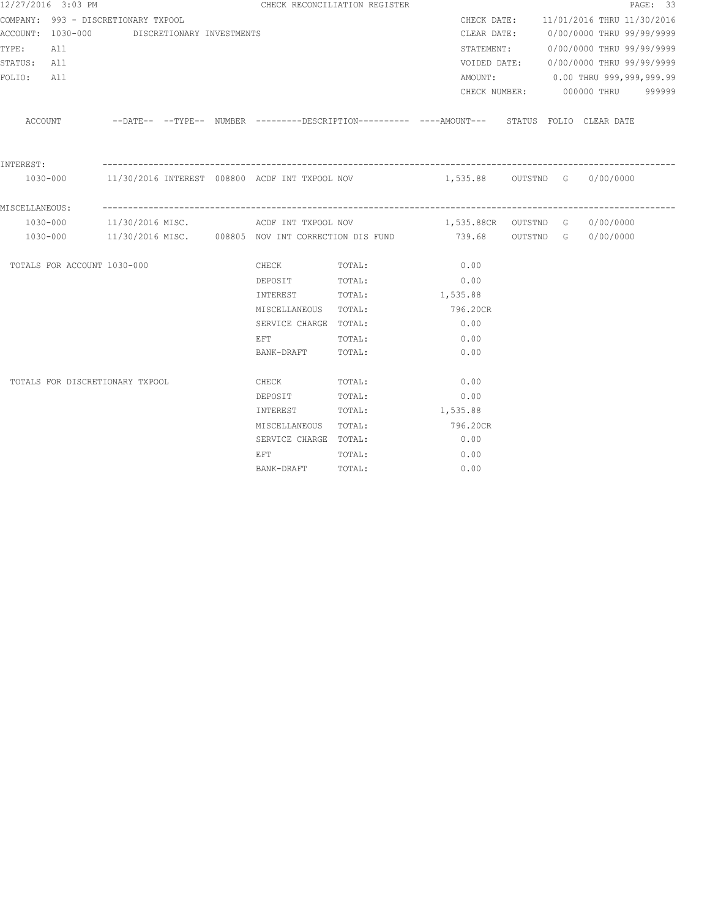|                | 12/27/2016 3:03 PM          |                                             |  | CHECK RECONCILIATION REGISTER                                                                                  |                      |                                                                                                      |  |                                        | PAGE: 33 |
|----------------|-----------------------------|---------------------------------------------|--|----------------------------------------------------------------------------------------------------------------|----------------------|------------------------------------------------------------------------------------------------------|--|----------------------------------------|----------|
|                |                             | COMPANY: 993 - DISCRETIONARY TXPOOL         |  |                                                                                                                |                      |                                                                                                      |  | CHECK DATE: 11/01/2016 THRU 11/30/2016 |          |
|                |                             | ACCOUNT: 1030-000 DISCRETIONARY INVESTMENTS |  |                                                                                                                |                      |                                                                                                      |  | CLEAR DATE: 0/00/0000 THRU 99/99/9999  |          |
| TYPE: All      |                             |                                             |  |                                                                                                                |                      |                                                                                                      |  | STATEMENT: 0/00/0000 THRU 99/99/9999   |          |
| STATUS: All    |                             |                                             |  |                                                                                                                |                      |                                                                                                      |  | VOIDED DATE: 0/00/0000 THRU 99/99/9999 |          |
| FOLIO:         | All                         |                                             |  |                                                                                                                |                      |                                                                                                      |  | AMOUNT: 0.00 THRU 999,999,999.99       |          |
|                |                             |                                             |  |                                                                                                                |                      |                                                                                                      |  | CHECK NUMBER: 000000 THRU 999999       |          |
|                |                             |                                             |  |                                                                                                                |                      | ACCOUNT -DATE-- --TYPE-- NUMBER ---------DESCRIPTION---------- ----AMOUNT--- STATUS FOLIO CLEAR DATE |  |                                        |          |
| INTEREST:      |                             |                                             |  |                                                                                                                |                      |                                                                                                      |  |                                        |          |
|                |                             |                                             |  |                                                                                                                |                      | 1030-000 11/30/2016 INTEREST 008800 ACDF INT TXPOOL NOV 1,535.88 OUTSTND G 0/00/0000                 |  |                                        |          |
| MISCELLANEOUS: |                             |                                             |  |                                                                                                                |                      |                                                                                                      |  |                                        |          |
|                |                             |                                             |  |                                                                                                                |                      | 1030-000 11/30/2016 MISC. ACDF INT TXPOOL NOV 1,535.88CR OUTSTND G 0/00/0000                         |  |                                        |          |
|                |                             |                                             |  |                                                                                                                |                      | 1030-000 11/30/2016 MISC. 008805 NOV INT CORRECTION DIS FUND 739.68 OUTSTND G 0/00/0000              |  |                                        |          |
|                | TOTALS FOR ACCOUNT 1030-000 |                                             |  | CHECK TOTAL:                                                                                                   |                      | 0.00                                                                                                 |  |                                        |          |
|                |                             |                                             |  | DEPOSIT                                                                                                        | TOTAL:               | 0.00                                                                                                 |  |                                        |          |
|                |                             |                                             |  | INTEREST                                                                                                       | TOTAL:               | 1,535.88                                                                                             |  |                                        |          |
|                |                             |                                             |  | MISCELLANEOUS TOTAL:                                                                                           |                      | 796.20CR                                                                                             |  |                                        |          |
|                |                             |                                             |  | SERVICE CHARGE TOTAL:                                                                                          |                      | 0.00                                                                                                 |  |                                        |          |
|                |                             |                                             |  | EFT FOR THE STATE OF THE STATE OF THE STATE OF THE STATE OF THE STATE OF THE STATE OF THE STATE OF THE STATE O | TOTAL:               | 0.00                                                                                                 |  |                                        |          |
|                |                             |                                             |  | BANK-DRAFT                                                                                                     | TOTAL:               | 0.00                                                                                                 |  |                                        |          |
|                |                             | TOTALS FOR DISCRETIONARY TXPOOL             |  | <b>CHECK</b>                                                                                                   | TOTAL:               | 0.00                                                                                                 |  |                                        |          |
|                |                             |                                             |  | DEPOSIT                                                                                                        | TOTAL:               | 0.00                                                                                                 |  |                                        |          |
|                |                             |                                             |  | INTEREST                                                                                                       | TOTAL:               | 1,535.88                                                                                             |  |                                        |          |
|                |                             |                                             |  |                                                                                                                | MISCELLANEOUS TOTAL: | 796.20CR                                                                                             |  |                                        |          |
|                |                             |                                             |  | SERVICE CHARGE TOTAL:                                                                                          |                      | 0.00                                                                                                 |  |                                        |          |
|                |                             |                                             |  | EFT FOR THE STATE OF THE STATE OF THE STATE OF THE STATE OF THE STATE OF THE STATE OF THE STATE OF THE STATE O | TOTAL:               | 0.00                                                                                                 |  |                                        |          |
|                |                             |                                             |  | BANK-DRAFT                                                                                                     | TOTAL:               | 0.00                                                                                                 |  |                                        |          |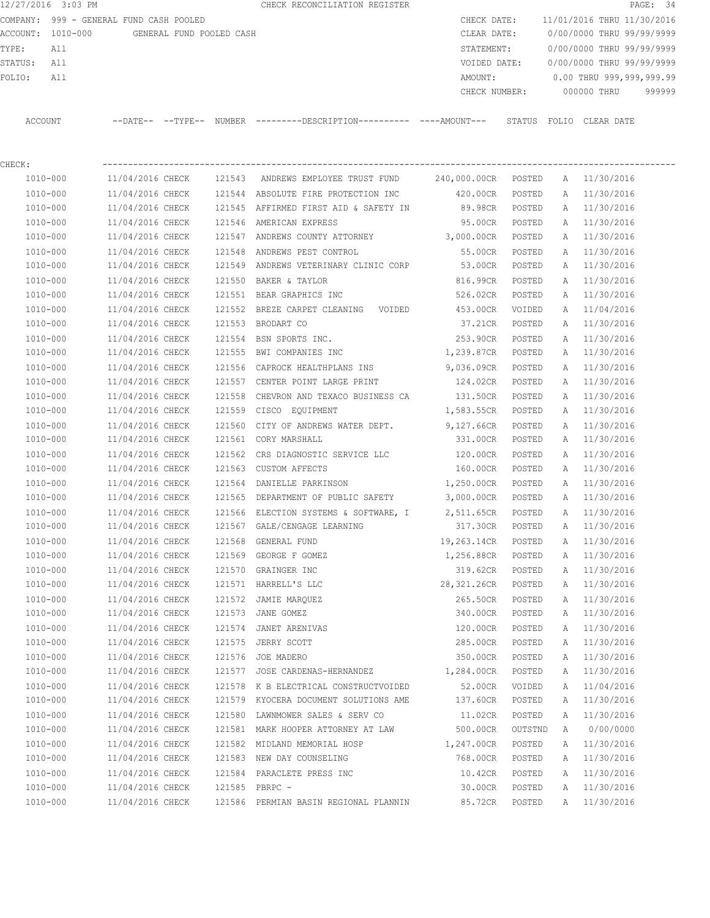COMPANY: 999 - GENERAL FUND CASH POOLED CHECK DATE: 11/01/2016 THRU 11/30/2016 ACCOUNT: 1010-000 GENERAL FUND POOLED CASH CLEAR DATE: 0/00/0000 THRU 99/99/9999 TYPE: All STATEMENT: 0/00/0000 THRU 99/99/9999 STATUS: All VOIDED DATE: 0/00/0000 THRU 99/99/9999 FOLIO: All AMOUNT: 0.00 THRU 999,999,999.99 CHECK NUMBER: 000000 THRU 999999 ACCOUNT --DATE-- --TYPE-- NUMBER ---------DESCRIPTION---------- ----AMOUNT--- STATUS FOLIO CLEAR DATE

12/27/2016 3:03 PM CHECK RECONCILIATION REGISTER **PAGE:** 34

CHECK: ---------------------------------------------------------------------------------------------------------------- 1010-000 11/04/2016 CHECK 121543 ANDREWS EMPLOYEE TRUST FUND 240,000.00CR POSTED A 11/30/2016 1010-000 11/04/2016 CHECK 121544 ABSOLUTE FIRE PROTECTION INC 420.00CR POSTED A 11/30/2016 1010-000 11/04/2016 CHECK 121545 AFFIRMED FIRST AID & SAFETY IN 89.98CR POSTED A 11/30/2016 1010-000 11/04/2016 CHECK 121546 AMERICAN EXPRESS 95.00CR POSTED A 11/30/2016 1010-000 11/04/2016 CHECK 121547 ANDREWS COUNTY ATTORNEY 3,000.00CR POSTED A 11/30/2016 1010-000 11/04/2016 CHECK 121548 ANDREWS PEST CONTROL 55.00CR POSTED A 11/30/2016 1010-000 11/04/2016 CHECK 121549 ANDREWS VETERINARY CLINIC CORP 53.00CR POSTED A 11/30/2016 1010-000 11/04/2016 CHECK 121550 BAKER & TAYLOR 816.99CR POSTED A 11/30/2016 1010-000 11/04/2016 CHECK 121551 BEAR GRAPHICS INC 526.02CR POSTED A 11/30/2016 1010-000 11/04/2016 CHECK 121552 BREZE CARPET CLEANING VOIDED 453.00CR VOIDED A 11/04/2016 1010-000 11/04/2016 CHECK 121553 BRODART CO 37.21CR POSTED A 11/30/2016 1010-000 11/04/2016 CHECK 121554 BSN SPORTS INC. 253.90CR POSTED A 11/30/2016 1010-000 11/04/2016 CHECK 121555 BWI COMPANIES INC 1,239.87CR POSTED A 11/30/2016 1010-000 11/04/2016 CHECK 121556 CAPROCK HEALTHPLANS INS 9,036.09CR POSTED A 11/30/2016 1010-000 11/04/2016 CHECK 121557 CENTER POINT LARGE PRINT 124.02CR POSTED A 11/30/2016 1010-000 11/04/2016 CHECK 121558 CHEVRON AND TEXACO BUSINESS CA 131.50CR POSTED A 11/30/2016 1010-000 11/04/2016 CHECK 121559 CISCO EQUIPMENT 1,583.55CR POSTED A 11/30/2016 1010-000 11/04/2016 CHECK 121560 CITY OF ANDREWS WATER DEPT. 9,127.66CR POSTED A 11/30/2016 1010-000 11/04/2016 CHECK 121561 CORY MARSHALL 331.00CR POSTED A 11/30/2016 1010-000 11/04/2016 CHECK 121562 CRS DIAGNOSTIC SERVICE LLC 120.00CR POSTED A 11/30/2016 1010-000 11/04/2016 CHECK 121563 CUSTOM AFFECTS 160.00CR POSTED A 11/30/2016 1010-000 11/04/2016 CHECK 121564 DANIELLE PARKINSON 1,250.00CR POSTED A 11/30/2016 1010-000 11/04/2016 CHECK 121565 DEPARTMENT OF PUBLIC SAFETY 3,000.00CR POSTED A 11/30/2016 1010-000 11/04/2016 CHECK 121566 ELECTION SYSTEMS & SOFTWARE, I 2,511.65CR POSTED A 11/30/2016 1010-000 11/04/2016 CHECK 121567 GALE/CENGAGE LEARNING 317.30CR POSTED A 11/30/2016 1010-000 11/04/2016 CHECK 121568 GENERAL FUND 19,263.14CR POSTED A 11/30/2016 1010-000 11/04/2016 CHECK 121569 GEORGE F GOMEZ 1,256.88CR POSTED A 11/30/2016 1010-000 11/04/2016 CHECK 121570 GRAINGER INC 319.62CR POSTED A 11/30/2016 1010-000 11/04/2016 CHECK 121571 HARRELL'S LLC 28,321.26CR POSTED A 11/30/2016 1010-000 11/04/2016 CHECK 121572 JAMIE MARQUEZ 265.50CR POSTED A 11/30/2016 1010-000 11/04/2016 CHECK 121573 JANE GOMEZ 340.00CR POSTED A 11/30/2016 1010-000 11/04/2016 CHECK 121574 JANET ARENIVAS 120.00CR POSTED A 11/30/2016 1010-000 11/04/2016 CHECK 121575 JERRY SCOTT 285.00CR POSTED A 11/30/2016 1010-000 11/04/2016 CHECK 121576 JOE MADERO 350.00CR POSTED A 11/30/2016 1010-000 11/04/2016 CHECK 121577 JOSE CARDENAS-HERNANDEZ 1,284.00CR POSTED A 11/30/2016 1010-000 11/04/2016 CHECK 121578 K B ELECTRICAL CONSTRUCTVOIDED 52.00CR VOIDED A 11/04/2016 1010-000 11/04/2016 CHECK 121579 KYOCERA DOCUMENT SOLUTIONS AME 137.60CR POSTED A 11/30/2016 1010-000 11/04/2016 CHECK 121580 LAWNMOWER SALES & SERV CO 11.02CR POSTED A 11/30/2016 1010-000 11/04/2016 CHECK 121581 MARK HOOPER ATTORNEY AT LAW 500.00CR OUTSTND A 0/00/0000 1010-000 11/04/2016 CHECK 121582 MIDLAND MEMORIAL HOSP 1,247.00CR POSTED A 11/30/2016 1010-000 11/04/2016 CHECK 121583 NEW DAY COUNSELING 768.00CR POSTED A 11/30/2016 1010-000 11/04/2016 CHECK 121584 PARACLETE PRESS INC 10.42CR POSTED A 11/30/2016 1010-000 11/04/2016 CHECK 121585 PBRPC - 30.00CR POSTED A 11/30/2016 1010-000 11/04/2016 CHECK 121586 PERMIAN BASIN REGIONAL PLANNIN 85.72CR POSTED A 11/30/2016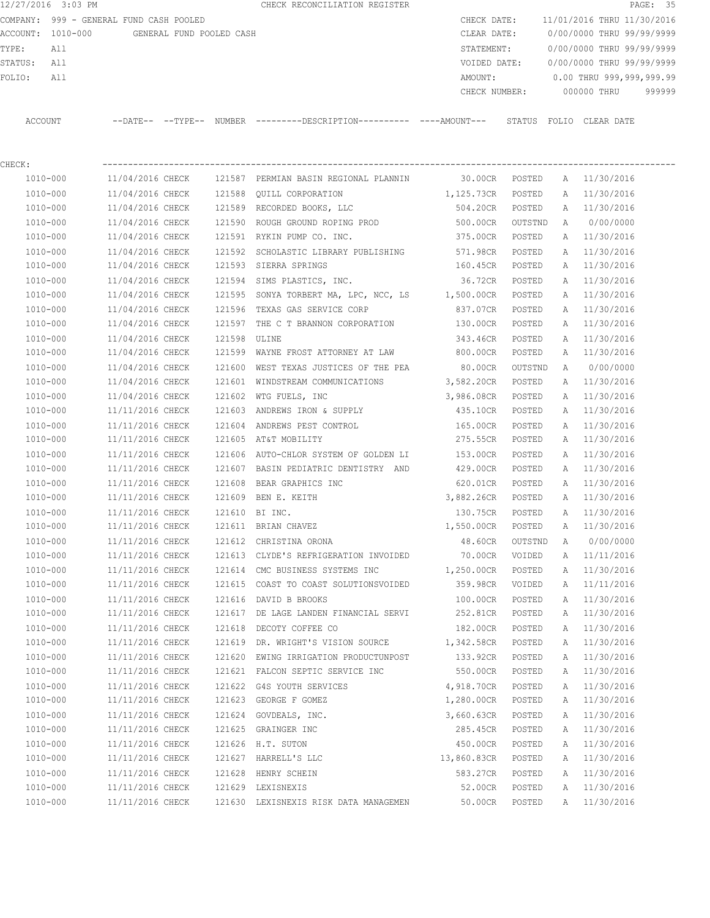12/27/2016 3:03 PM **CHECK RECONCILIATION REGISTER PAGE: 35** COMPANY: 999 - GENERAL FUND CASH POOLED CHECK DATE: 11/01/2016 THRU 11/30/2016 ACCOUNT: 1010-000 GENERAL FUND POOLED CASH CLEAR DATE: 0/00/0000 THRU 99/99/9999 TYPE: All STATEMENT: 0/00/0000 THRU 99/99/9999 STATUS: All VOIDED DATE: 0/00/0000 THRU 99/99/9999 FOLIO: All AMOUNT: 0.00 THRU 999,999,999.99 CHECK NUMBER: 000000 THRU 999999 ACCOUNT --DATE-- --TYPE-- NUMBER ---------DESCRIPTION---------- ----AMOUNT--- STATUS FOLIO CLEAR DATE

| CHECK:       |                  |        |                                                        |                |         |              |              |
|--------------|------------------|--------|--------------------------------------------------------|----------------|---------|--------------|--------------|
| 1010-000     |                  |        | 11/04/2016 CHECK 121587 PERMIAN BASIN REGIONAL PLANNIN | 30.00CR POSTED |         |              | A 11/30/2016 |
| 1010-000     | 11/04/2016 CHECK |        | 121588 OUILL CORPORATION                               | 1,125.73CR     | POSTED  | A            | 11/30/2016   |
| 1010-000     | 11/04/2016 CHECK |        | 121589 RECORDED BOOKS, LLC                             | 504.20CR       | POSTED  | A            | 11/30/2016   |
| 1010-000     | 11/04/2016 CHECK | 121590 | ROUGH GROUND ROPING PROD                               | 500.00CR       | OUTSTND | A            | 0/00/0000    |
| 1010-000     | 11/04/2016 CHECK |        | 121591 RYKIN PUMP CO. INC.                             | 375.00CR       | POSTED  | A            | 11/30/2016   |
| 1010-000     | 11/04/2016 CHECK | 121592 | SCHOLASTIC LIBRARY PUBLISHING                          | 571.98CR       | POSTED  | Α            | 11/30/2016   |
| 1010-000     | 11/04/2016 CHECK |        | 121593 SIERRA SPRINGS                                  | 160.45CR       | POSTED  | Α            | 11/30/2016   |
| 1010-000     | 11/04/2016 CHECK |        | 121594 SIMS PLASTICS, INC.                             | 36.72CR        | POSTED  | Α            | 11/30/2016   |
| 1010-000     | 11/04/2016 CHECK | 121595 | SONYA TORBERT MA, LPC, NCC, LS 1,500.00CR              |                | POSTED  | Α            | 11/30/2016   |
| 1010-000     | 11/04/2016 CHECK | 121596 | TEXAS GAS SERVICE CORP                                 | 837.07CR       | POSTED  | Α            | 11/30/2016   |
| 1010-000     | 11/04/2016 CHECK |        | 121597 THE C T BRANNON CORPORATION                     | 130.00CR       | POSTED  | Α            | 11/30/2016   |
| 1010-000     | 11/04/2016 CHECK | 121598 | ULINE                                                  | 343.46CR       | POSTED  | A            | 11/30/2016   |
| 1010-000     | 11/04/2016 CHECK |        | 121599 WAYNE FROST ATTORNEY AT LAW                     | 800.00CR       | POSTED  | Α            | 11/30/2016   |
| 1010-000     | 11/04/2016 CHECK |        | 121600 WEST TEXAS JUSTICES OF THE PEA                  | 80.00CR        | OUTSTND | A            | 0/00/0000    |
| 1010-000     | 11/04/2016 CHECK |        | 121601 WINDSTREAM COMMUNICATIONS                       | 3,582.20CR     | POSTED  | Α            | 11/30/2016   |
| 1010-000     | 11/04/2016 CHECK | 121602 | WTG FUELS, INC                                         | 3,986.08CR     | POSTED  | A            | 11/30/2016   |
| 1010-000     | 11/11/2016 CHECK |        | 121603 ANDREWS IRON & SUPPLY                           | 435.10CR       | POSTED  | A            | 11/30/2016   |
| 1010-000     | 11/11/2016 CHECK |        | 121604 ANDREWS PEST CONTROL                            | 165.00CR       | POSTED  | A            | 11/30/2016   |
| 1010-000     | 11/11/2016 CHECK | 121605 | AT&T MOBILITY                                          | 275.55CR       | POSTED  | A            | 11/30/2016   |
| 1010-000     | 11/11/2016 CHECK |        | 121606 AUTO-CHLOR SYSTEM OF GOLDEN LI                  | 153.00CR       | POSTED  | A            | 11/30/2016   |
| 1010-000     | 11/11/2016 CHECK |        | 121607 BASIN PEDIATRIC DENTISTRY AND 429.00CR          |                | POSTED  | A            | 11/30/2016   |
| 1010-000     | 11/11/2016 CHECK | 121608 | BEAR GRAPHICS INC                                      | 620.01CR       | POSTED  | Α            | 11/30/2016   |
| 1010-000     | 11/11/2016 CHECK |        | 121609 BEN E. KEITH                                    | 3,882.26CR     | POSTED  | Α            | 11/30/2016   |
| 1010-000     | 11/11/2016 CHECK |        | 121610 BI INC.                                         | 130.75CR       | POSTED  | Α            | 11/30/2016   |
| 1010-000     | 11/11/2016 CHECK |        | 121611 BRIAN CHAVEZ                                    | 1,550.00CR     | POSTED  | Α            | 11/30/2016   |
| 1010-000     | 11/11/2016 CHECK |        | 121612 CHRISTINA ORONA                                 | 48.60CR        | OUTSTND | A            | 0/00/0000    |
| 1010-000     | 11/11/2016 CHECK |        | 121613 CLYDE'S REFRIGERATION INVOIDED                  | 70.00CR        | VOIDED  | Α            | 11/11/2016   |
| 1010-000     | 11/11/2016 CHECK |        | 121614 CMC BUSINESS SYSTEMS INC                        | 1,250.00CR     | POSTED  | Α            | 11/30/2016   |
| 1010-000     | 11/11/2016 CHECK |        | 121615 COAST TO COAST SOLUTIONSVOIDED                  | 359.98CR       | VOIDED  | A            | 11/11/2016   |
| 1010-000     | 11/11/2016 CHECK |        | 121616 DAVID B BROOKS                                  | 100.00CR       | POSTED  | $\mathbb{A}$ | 11/30/2016   |
| 1010-000     | 11/11/2016 CHECK |        | 121617 DE LAGE LANDEN FINANCIAL SERVI                  | 252.81CR       | POSTED  | A            | 11/30/2016   |
| 1010-000     | 11/11/2016 CHECK | 121618 | DECOTY COFFEE CO                                       | 182.00CR       | POSTED  | A            | 11/30/2016   |
| 1010-000     | 11/11/2016 CHECK |        | 121619 DR. WRIGHT'S VISION SOURCE 1,342.58CR           |                | POSTED  | A            | 11/30/2016   |
| 1010-000     | 11/11/2016 CHECK | 121620 | EWING IRRIGATION PRODUCTUNPOST                         | 133.92CR       | POSTED  | A            | 11/30/2016   |
| $1010 - 000$ | 11/11/2016 CHECK |        | 121621 FALCON SEPTIC SERVICE INC                       | 550.00CR       | POSTED  | A            | 11/30/2016   |

 1010-000 11/11/2016 CHECK 121622 G4S YOUTH SERVICES 4,918.70CR POSTED A 11/30/2016 1010-000 11/11/2016 CHECK 121623 GEORGE F GOMEZ 1,280.00CR POSTED A 11/30/2016 1010-000 11/11/2016 CHECK 121624 GOVDEALS, INC. 3,660.63CR POSTED A 11/30/2016 1010-000 11/11/2016 CHECK 121625 GRAINGER INC 285.45CR POSTED A 11/30/2016 1010-000 11/11/2016 CHECK 121626 H.T. SUTON 450.00CR POSTED A 11/30/2016 1010-000 11/11/2016 CHECK 121627 HARRELL'S LLC 13,860.83CR POSTED A 11/30/2016 1010-000 11/11/2016 CHECK 121628 HENRY SCHEIN 583.27CR POSTED A 11/30/2016 1010-000 11/11/2016 CHECK 121629 LEXISNEXIS 52.00CR POSTED A 11/30/2016 1010-000 11/11/2016 CHECK 121630 LEXISNEXIS RISK DATA MANAGEMEN 50.00CR POSTED A 11/30/2016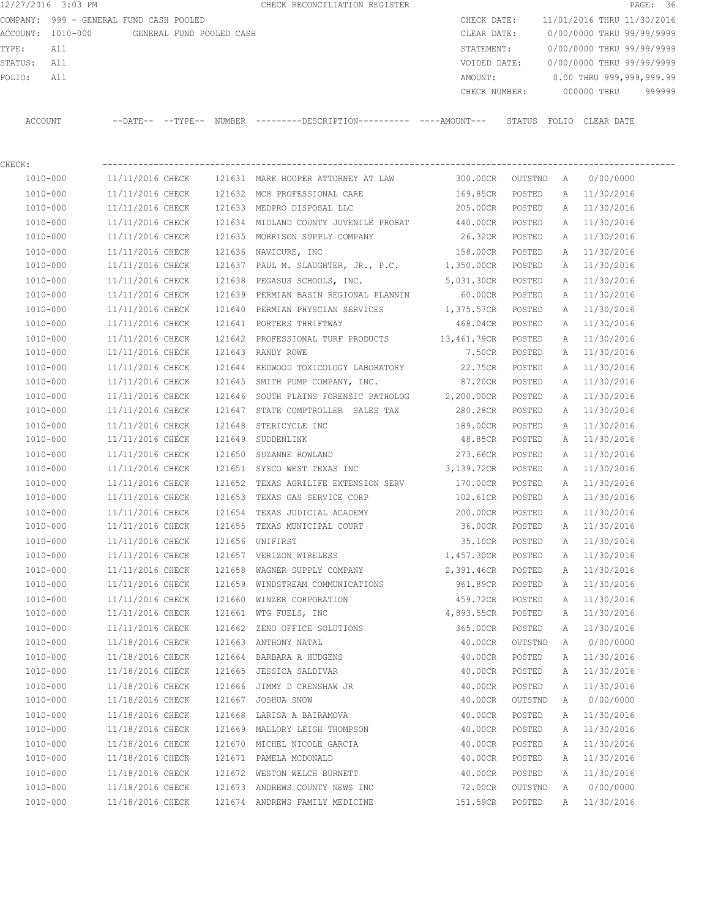12/27/2016 3:03 PM CHECK RECONCILIATION REGISTER **PAGE:** 36 COMPANY: 999 - GENERAL FUND CASH POOLED CHECK DATE: 11/01/2016 THRU 11/30/2016 ACCOUNT: 1010-000 GENERAL FUND POOLED CASH CLEAR DATE: 0/00/0000 THRU 99/99/9999 TYPE: All STATEMENT: 0/00/0000 THRU 99/99/9999 STATUS: All VOIDED DATE: 0/00/0000 THRU 99/99/9999 FOLIO: All 2009, 2009, 2009, 2009, 2009, 2009, 2009, 2009, 2009, 2009, 2009, 2009, 2009, 2009, 2009, 2009, 200 CHECK NUMBER: 000000 THRU 999999 ACCOUNT --DATE-- --TYPE-- NUMBER ---------DESCRIPTION---------- ----AMOUNT--- STATUS FOLIO CLEAR DATE

| CHECK:       |                  |        |                                                |                 |         |   |              |
|--------------|------------------|--------|------------------------------------------------|-----------------|---------|---|--------------|
| 1010-000     | 11/11/2016 CHECK |        | 121631 MARK HOOPER ATTORNEY AT LAW             | 300.00CR        | OUTSTND | A | 0/00/0000    |
| 1010-000     | 11/11/2016 CHECK |        | 121632 MCH PROFESSIONAL CARE                   | 169.85CR        | POSTED  |   | A 11/30/2016 |
| 1010-000     | 11/11/2016 CHECK |        | 121633 MEDPRO DISPOSAL LLC                     | 205.00CR        | POSTED  | Α | 11/30/2016   |
| 1010-000     | 11/11/2016 CHECK |        | 121634 MIDLAND COUNTY JUVENILE PROBAT          | 440.00CR        | POSTED  | Α | 11/30/2016   |
| 1010-000     | 11/11/2016 CHECK |        | 121635 MORRISON SUPPLY COMPANY                 | 26.32CR         | POSTED  | A | 11/30/2016   |
| 1010-000     | 11/11/2016 CHECK |        | 121636 NAVICURE, INC                           | 158.00CR        | POSTED  | A | 11/30/2016   |
| 1010-000     | 11/11/2016 CHECK |        | 121637 PAUL M. SLAUGHTER, JR., P.C. 1,350.00CR |                 | POSTED  | Α | 11/30/2016   |
| $1010 - 000$ | 11/11/2016 CHECK |        | 121638 PEGASUS SCHOOLS, INC.                   | 5,031.30CR      | POSTED  | A | 11/30/2016   |
| 1010-000     | 11/11/2016 CHECK |        | 121639 PERMIAN BASIN REGIONAL PLANNIN          | 60.00CR         | POSTED  | A | 11/30/2016   |
| 1010-000     | 11/11/2016 CHECK |        | 121640 PERMIAN PHYSCIAN SERVICES 1,375.57CR    |                 | POSTED  | Α | 11/30/2016   |
| 1010-000     | 11/11/2016 CHECK |        | 121641 PORTERS THRIFTWAY                       | 468.04CR        | POSTED  | Α | 11/30/2016   |
| 1010-000     | 11/11/2016 CHECK |        | 121642 PROFESSIONAL TURF PRODUCTS 13,461.79CR  |                 | POSTED  | Α | 11/30/2016   |
| 1010-000     | 11/11/2016 CHECK |        | 121643 RANDY ROWE                              | 7.50CR          | POSTED  | Α | 11/30/2016   |
| 1010-000     | 11/11/2016 CHECK | 121644 | REDWOOD TOXICOLOGY LABORATORY                  | 22.75CR         | POSTED  | Α | 11/30/2016   |
| 1010-000     | 11/11/2016 CHECK |        | 121645 SMITH PUMP COMPANY, INC.                | 87.20CR         | POSTED  | Α | 11/30/2016   |
| 1010-000     | 11/11/2016 CHECK | 121646 | SOUTH PLAINS FORENSIC PATHOLOG 2,200.00CR      |                 | POSTED  | Α | 11/30/2016   |
| 1010-000     | 11/11/2016 CHECK | 121647 | STATE COMPTROLLER SALES TAX                    | 280.28CR        | POSTED  | Α | 11/30/2016   |
| 1010-000     | 11/11/2016 CHECK |        | 121648 STERICYCLE INC                          | 189.00CR        | POSTED  | A | 11/30/2016   |
| 1010-000     | 11/11/2016 CHECK |        | 121649 SUDDENLINK                              | 48.85CR         | POSTED  | A | 11/30/2016   |
| $1010 - 000$ | 11/11/2016 CHECK | 121650 | SUZANNE ROWLAND                                | 273.66CR        | POSTED  | A | 11/30/2016   |
| 1010-000     | 11/11/2016 CHECK |        | 121651 SYSCO WEST TEXAS INC                    | 3,139.72CR      | POSTED  | Α | 11/30/2016   |
| 1010-000     | 11/11/2016 CHECK | 121652 | TEXAS AGRILIFE EXTENSION SERV                  | 170.00CR        | POSTED  | Α | 11/30/2016   |
| 1010-000     | 11/11/2016 CHECK | 121653 | TEXAS GAS SERVICE CORP                         | 102.61CR        | POSTED  | Α | 11/30/2016   |
| 1010-000     | 11/11/2016 CHECK | 121654 | TEXAS JUDICIAL ACADEMY                         | 200.00CR        | POSTED  | Α | 11/30/2016   |
| 1010-000     | 11/11/2016 CHECK | 121655 | TEXAS MUNICIPAL COURT                          | 36.00CR         | POSTED  | Α | 11/30/2016   |
| 1010-000     | 11/11/2016 CHECK |        | 121656 UNIFIRST                                | 35.10CR         | POSTED  | Α | 11/30/2016   |
| 1010-000     | 11/11/2016 CHECK |        | 121657 VERIZON WIRELESS                        | 1,457.30CR      | POSTED  | Α | 11/30/2016   |
| 1010-000     | 11/11/2016 CHECK | 121658 | WAGNER SUPPLY COMPANY                          | 2,391.46CR      | POSTED  | Α | 11/30/2016   |
| 1010-000     | 11/11/2016 CHECK |        | 121659 WINDSTREAM COMMUNICATIONS               | 961.89CR        | POSTED  | Α | 11/30/2016   |
| 1010-000     | 11/11/2016 CHECK |        | 121660 WINZER CORPORATION                      | 459.72CR        | POSTED  | Α | 11/30/2016   |
| 1010-000     | 11/11/2016 CHECK |        | 121661 WTG FUELS, INC                          | 4,893.55CR      | POSTED  | A | 11/30/2016   |
| 1010-000     | 11/11/2016 CHECK |        | 121662 ZENO OFFICE SOLUTIONS                   | 365.00CR        | POSTED  | Α | 11/30/2016   |
| 1010-000     | 11/18/2016 CHECK |        | 121663 ANTHONY NATAL                           | 40.00CR OUTSTND |         | A | 0/00/0000    |
| 1010-000     | 11/18/2016 CHECK | 121664 | BARBARA A HUDGENS                              | 40.00CR         | POSTED  | A | 11/30/2016   |
| 1010-000     | 11/18/2016 CHECK |        | 121665 JESSICA SALDIVAR                        | 40.00CR         | POSTED  | Α | 11/30/2016   |
| $1010 - 000$ | 11/18/2016 CHECK |        | 121666 JIMMY D CRENSHAW JR                     | 40.00CR         | POSTED  | Α | 11/30/2016   |
| 1010-000     | 11/18/2016 CHECK | 121667 | JOSHUA SNOW                                    | 40.00CR         | OUTSTND | Α | 0/00/0000    |
| 1010-000     | 11/18/2016 CHECK |        | 121668 LARISA A BAIRAMOVA                      | 40.00CR         | POSTED  | Α | 11/30/2016   |
| 1010-000     | 11/18/2016 CHECK | 121669 | MALLORY LEIGH THOMPSON                         | 40.00CR         | POSTED  | Α | 11/30/2016   |
| 1010-000     | 11/18/2016 CHECK | 121670 | MICHEL NICOLE GARCIA                           | 40.00CR         | POSTED  | Α | 11/30/2016   |
| 1010-000     | 11/18/2016 CHECK |        | 121671 PAMELA MCDONALD                         | 40.00CR         | POSTED  | Α | 11/30/2016   |
| 1010-000     | 11/18/2016 CHECK |        | 121672 WESTON WELCH BURNETT                    | 40.00CR         | POSTED  | Α | 11/30/2016   |

 1010-000 11/18/2016 CHECK 121673 ANDREWS COUNTY NEWS INC 72.00CR OUTSTND A 0/00/0000 1010-000 11/18/2016 CHECK 121674 ANDREWS FAMILY MEDICINE 151.59CR POSTED A 11/30/2016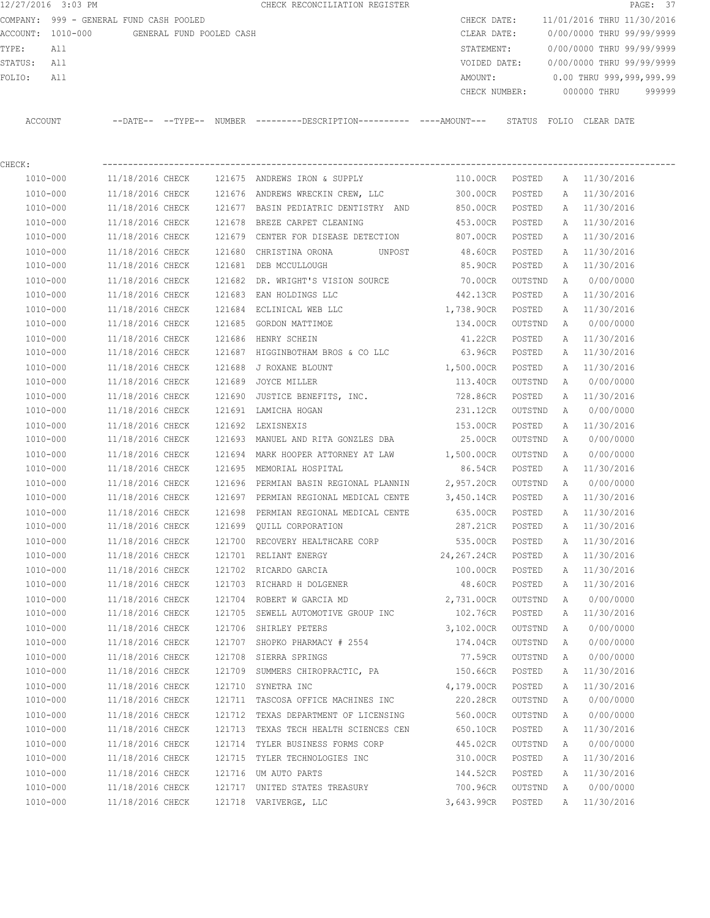| COMPANY:  |              | 999 - GENERAL FUND CASH POOLED    |        |                                                                                              | CHECK DATE:    |         |               | 11/01/2016 THRU 11/30/2016 |        |
|-----------|--------------|-----------------------------------|--------|----------------------------------------------------------------------------------------------|----------------|---------|---------------|----------------------------|--------|
| ACCOUNT : |              | 1010-000 GENERAL FUND POOLED CASH |        |                                                                                              | CLEAR DATE:    |         |               | 0/00/0000 THRU 99/99/9999  |        |
| TYPE:     | All          |                                   |        |                                                                                              | STATEMENT:     |         |               | 0/00/0000 THRU 99/99/9999  |        |
| STATUS:   | All          |                                   |        |                                                                                              | VOIDED DATE:   |         |               | 0/00/0000 THRU 99/99/9999  |        |
| FOLIO:    | All          |                                   |        |                                                                                              | AMOUNT:        |         |               | 0.00 THRU 999,999,999.99   |        |
|           |              |                                   |        |                                                                                              | CHECK NUMBER:  |         |               | 000000 THRU                | 999999 |
| ACCOUNT   |              |                                   |        | --DATE-- --TYPE-- NUMBER --------DESCRIPTION---------- ----AMOUNT--- STATUS FOLIO CLEAR DATE |                |         |               |                            |        |
| CHECK:    |              |                                   |        |                                                                                              |                |         |               |                            |        |
|           | 1010-000     | 11/18/2016 CHECK                  | 121675 | ANDREWS IRON & SUPPLY                                                                        | 110.00CR       | POSTED  |               | A 11/30/2016               |        |
|           | 1010-000     | 11/18/2016 CHECK                  | 121676 | ANDREWS WRECKIN CREW, LLC                                                                    | 300.00CR       | POSTED  |               | A 11/30/2016               |        |
|           | 1010-000     | 11/18/2016 CHECK                  | 121677 | BASIN PEDIATRIC DENTISTRY AND                                                                | 850.00CR       | POSTED  | A             | 11/30/2016                 |        |
|           | 1010-000     | 11/18/2016 CHECK                  | 121678 | BREZE CARPET CLEANING                                                                        | 453.00CR       | POSTED  | A             | 11/30/2016                 |        |
|           | 1010-000     | 11/18/2016 CHECK                  | 121679 | CENTER FOR DISEASE DETECTION                                                                 | 807.00CR       | POSTED  | $\mathbb{A}$  | 11/30/2016                 |        |
|           | $1010 - 000$ | 11/18/2016 CHECK                  | 121680 | CHRISTINA ORONA<br>UNPOST                                                                    | 48.60CR        | POSTED  | A             | 11/30/2016                 |        |
|           | 1010-000     | 11/18/2016 CHECK                  | 121681 | DEB MCCULLOUGH                                                                               | 85.90CR        | POSTED  |               | A 11/30/2016               |        |
|           | $1010 - 000$ | 11/18/2016 CHECK                  | 121682 | DR. WRIGHT'S VISION SOURCE                                                                   | <b>20.00CR</b> | OUTSTND | $\mathbb{A}$  | 0/00/0000                  |        |
|           | 1010-000     | 11/18/2016 CHECK                  | 121683 | EAN HOLDINGS LLC                                                                             | 442.13CR       | POSTED  |               | A 11/30/2016               |        |
|           | $1010 - 000$ | 11/18/2016 CHECK                  | 121684 | ECLINICAL WEB LLC                                                                            | 1,738.90CR     | POSTED  | $\lambda$     | 11/30/2016                 |        |
|           | 1010-000     | 11/18/2016 CHECK                  | 121685 | GORDON MATTIMOE                                                                              | 134.00CR       | OUTSTND | $\lambda$     | 0/00/0000                  |        |
|           | $1010 - 000$ | 11/18/2016 CHECK                  | 121686 | HENRY SCHEIN                                                                                 | 41.22CR        | POSTED  | $\mathsf{A}$  | 11/30/2016                 |        |
|           | $1010 - 000$ | 11/18/2016 CHECK                  | 121687 | HIGGINBOTHAM BROS & CO LLC                                                                   | 63.96CR        | POSTED  | $\mathcal{A}$ | 11/30/2016                 |        |

 1010-000 11/18/2016 CHECK 121688 J ROXANE BLOUNT 1,500.00CR POSTED A 11/30/2016 1010-000 11/18/2016 CHECK 121689 JOYCE MILLER 113.40CR OUTSTND A 0/00/0000 1010-000 11/18/2016 CHECK 121690 JUSTICE BENEFITS, INC. 728.86CR POSTED A 11/30/2016 1010-000 11/18/2016 CHECK 121691 LAMICHA HOGAN 231.12CR OUTSTND A 0/00/0000 1010-000 11/18/2016 CHECK 121692 LEXISNEXIS 153.00CR POSTED A 11/30/2016 1010-000 11/18/2016 CHECK 121693 MANUEL AND RITA GONZLES DBA 25.00CR OUTSTND A 0/00/0000 1010-000 11/18/2016 CHECK 121694 MARK HOOPER ATTORNEY AT LAW 1,500.00CR OUTSTND A 0/00/0000 1010-000 11/18/2016 CHECK 121695 MEMORIAL HOSPITAL 86.54CR POSTED A 11/30/2016 1010-000 11/18/2016 CHECK 121696 PERMIAN BASIN REGIONAL PLANNIN 2,957.20CR OUTSTND A 0/00/0000 1010-000 11/18/2016 CHECK 121697 PERMIAN REGIONAL MEDICAL CENTE 3,450.14CR POSTED A 11/30/2016 1010-000 11/18/2016 CHECK 121698 PERMIAN REGIONAL MEDICAL CENTE 635.00CR POSTED A 11/30/2016 1010-000 11/18/2016 CHECK 121699 QUILL CORPORATION 287.21CR POSTED A 11/30/2016 1010-000 11/18/2016 CHECK 121700 RECOVERY HEALTHCARE CORP 535.00CR POSTED A 11/30/2016 1010-000 11/18/2016 CHECK 121701 RELIANT ENERGY 24,267.24CR POSTED A 11/30/2016 1010-000 11/18/2016 CHECK 121702 RICARDO GARCIA 100.00CR POSTED A 11/30/2016 1010-000 11/18/2016 CHECK 121703 RICHARD H DOLGENER 48.60CR POSTED A 11/30/2016 1010-000 11/18/2016 CHECK 121704 ROBERT W GARCIA MD 2,731.00CR OUTSTND A 0/00/0000 1010-000 11/18/2016 CHECK 121705 SEWELL AUTOMOTIVE GROUP INC 102.76CR POSTED A 11/30/2016 1010-000 11/18/2016 CHECK 121706 SHIRLEY PETERS 3,102.00CR OUTSTND A 0/00/0000 1010-000 11/18/2016 CHECK 121707 SHOPKO PHARMACY # 2554 174.04CR OUTSTND A 0/00/0000 1010-000 11/18/2016 CHECK 121708 SIERRA SPRINGS 77.59CR OUTSTND A 0/00/0000 1010-000 11/18/2016 CHECK 121709 SUMMERS CHIROPRACTIC, PA 150.66CR POSTED A 11/30/2016 1010-000 11/18/2016 CHECK 121710 SYNETRA INC 4,179.00CR POSTED A 11/30/2016 1010-000 11/18/2016 CHECK 121711 TASCOSA OFFICE MACHINES INC 220.28CR OUTSTND A 0/00/0000 1010-000 11/18/2016 CHECK 121712 TEXAS DEPARTMENT OF LICENSING 560.00CR OUTSTND A 0/00/0000 1010-000 11/18/2016 CHECK 121713 TEXAS TECH HEALTH SCIENCES CEN 650.10CR POSTED A 11/30/2016 1010-000 11/18/2016 CHECK 121714 TYLER BUSINESS FORMS CORP 445.02CR OUTSTND A 0/00/0000 1010-000 11/18/2016 CHECK 121715 TYLER TECHNOLOGIES INC 310.00CR POSTED A 11/30/2016 1010-000 11/18/2016 CHECK 121716 UM AUTO PARTS 144.52CR POSTED A 11/30/2016 1010-000 11/18/2016 CHECK 121717 UNITED STATES TREASURY 700.96CR OUTSTND A 0/00/0000 1010-000 11/18/2016 CHECK 121718 VARIVERGE, LLC 3,643.99CR POSTED A 11/30/2016

12/27/2016 3:03 PM CHECK RECONCILIATION REGISTER PAGE: 37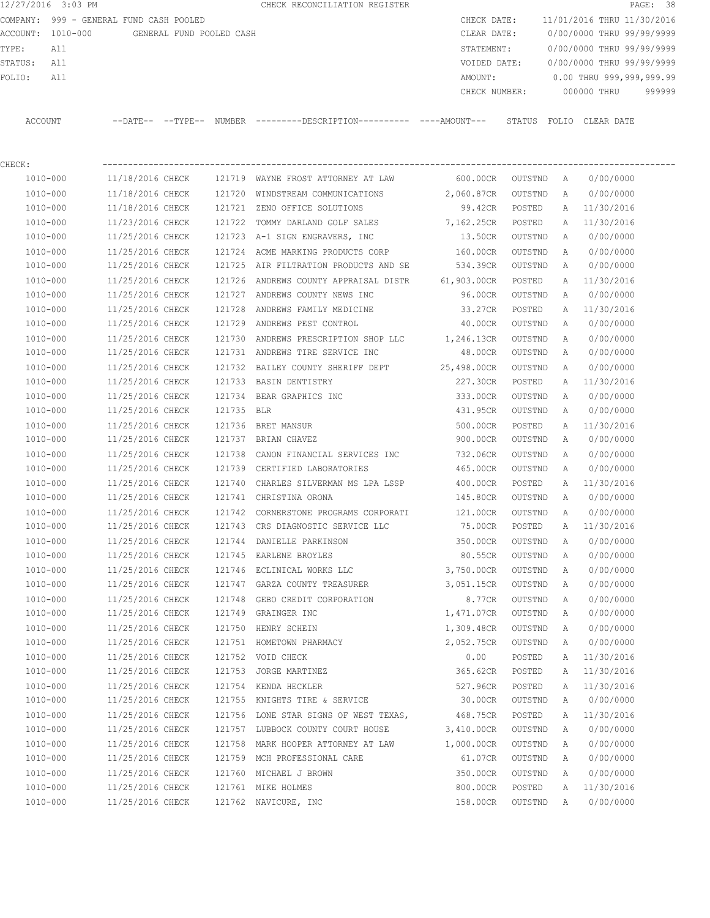|                   | COMPANY: 999 - GENERAL FUND CASH POOLED |                   |                          |                                                     | CHECK DATE:   | 11/01/2016 THRU 11/30/2016 |             |                          |        |
|-------------------|-----------------------------------------|-------------------|--------------------------|-----------------------------------------------------|---------------|----------------------------|-------------|--------------------------|--------|
| ACCOUNT: 1010-000 |                                         |                   | GENERAL FUND POOLED CASH |                                                     | CLEAR DATE:   | 0/00/0000 THRU 99/99/9999  |             |                          |        |
| TYPE:             | All                                     |                   |                          |                                                     | STATEMENT:    | 0/00/0000 THRU 99/99/9999  |             |                          |        |
| STATUS:           | All                                     |                   |                          |                                                     | VOIDED DATE:  | 0/00/0000 THRU 99/99/9999  |             |                          |        |
| FOLIO:            | All                                     |                   |                          |                                                     | AMOUNT:       |                            |             | 0.00 THRU 999,999,999.99 |        |
|                   |                                         |                   |                          |                                                     | CHECK NUMBER: |                            | 000000 THRU |                          | 999999 |
|                   |                                         |                   |                          |                                                     |               |                            |             |                          |        |
| ACCOUNT           |                                         | --DATE-- --TYPE-- |                          | NUMBER ---------DESCRIPTION---------- ----AMOUNT--- |               | STATUS FOLIO CLEAR DATE    |             |                          |        |
|                   |                                         |                   |                          |                                                     |               |                            |             |                          |        |

12/27/2016 3:03 PM **CHECK RECONCILIATION REGISTER PAGE: 38** PAGE: 38

| CHECK:       |                  |            |                                               |             |         |   |            |
|--------------|------------------|------------|-----------------------------------------------|-------------|---------|---|------------|
| 1010-000     | 11/18/2016 CHECK |            | 121719 WAYNE FROST ATTORNEY AT LAW            | 600.00CR    | OUTSTND | A | 0/00/0000  |
| 1010-000     | 11/18/2016 CHECK |            | 121720 WINDSTREAM COMMUNICATIONS              | 2,060.87CR  | OUTSTND | A | 0/00/0000  |
| 1010-000     | 11/18/2016 CHECK | 121721     | ZENO OFFICE SOLUTIONS                         | 99.42CR     | POSTED  | Α | 11/30/2016 |
| 1010-000     | 11/23/2016 CHECK | 121722     | TOMMY DARLAND GOLF SALES                      | 7,162.25CR  | POSTED  | Α | 11/30/2016 |
| 1010-000     | 11/25/2016 CHECK |            | 121723 A-1 SIGN ENGRAVERS, INC                | 13.50CR     | OUTSTND | Α | 0/00/0000  |
| 1010-000     | 11/25/2016 CHECK |            | 121724 ACME MARKING PRODUCTS CORP             | 160.00CR    | OUTSTND | A | 0/00/0000  |
| 1010-000     | 11/25/2016 CHECK |            | 121725 AIR FILTRATION PRODUCTS AND SE         | 534.39CR    | OUTSTND | A | 0/00/0000  |
| 1010-000     | 11/25/2016 CHECK | 121726     | ANDREWS COUNTY APPRAISAL DISTR                | 61,903.00CR | POSTED  | Α | 11/30/2016 |
| 1010-000     | 11/25/2016 CHECK |            | 121727 ANDREWS COUNTY NEWS INC                | 96.00CR     | OUTSTND | A | 0/00/0000  |
| 1010-000     | 11/25/2016 CHECK | 121728     | ANDREWS FAMILY MEDICINE                       | 33.27CR     | POSTED  | Α | 11/30/2016 |
| 1010-000     | 11/25/2016 CHECK | 121729     | ANDREWS PEST CONTROL                          | 40.00CR     | OUTSTND | Α | 0/00/0000  |
| 1010-000     | 11/25/2016 CHECK | 121730     | ANDREWS PRESCRIPTION SHOP LLC 1, 246.13CR     |             | OUTSTND | Α | 0/00/0000  |
| 1010-000     | 11/25/2016 CHECK |            | 121731 ANDREWS TIRE SERVICE INC               | 48.00CR     | OUTSTND | Α | 0/00/0000  |
| 1010-000     | 11/25/2016 CHECK |            | 121732 BAILEY COUNTY SHERIFF DEPT 25,498.00CR |             | OUTSTND | A | 0/00/0000  |
| 1010-000     | 11/25/2016 CHECK |            | 121733 BASIN DENTISTRY                        | 227.30CR    | POSTED  | Α | 11/30/2016 |
| 1010-000     | 11/25/2016 CHECK | 121734     | BEAR GRAPHICS INC                             | 333.00CR    | OUTSTND | Α | 0/00/0000  |
| 1010-000     | 11/25/2016 CHECK | 121735 BLR |                                               | 431.95CR    | OUTSTND | Α | 0/00/0000  |
| 1010-000     | 11/25/2016 CHECK | 121736     | BRET MANSUR                                   | 500.00CR    | POSTED  | Α | 11/30/2016 |
| 1010-000     | 11/25/2016 CHECK |            | 121737 BRIAN CHAVEZ                           | 900.00CR    | OUTSTND | Α | 0/00/0000  |
| 1010-000     | 11/25/2016 CHECK | 121738     | CANON FINANCIAL SERVICES INC                  | 732.06CR    | OUTSTND | Α | 0/00/0000  |
| 1010-000     | 11/25/2016 CHECK | 121739     | CERTIFIED LABORATORIES                        | 465.00CR    | OUTSTND | A | 0/00/0000  |
| 1010-000     | 11/25/2016 CHECK | 121740     | CHARLES SILVERMAN MS LPA LSSP                 | 400.00CR    | POSTED  | Α | 11/30/2016 |
| 1010-000     | 11/25/2016 CHECK | 121741     | CHRISTINA ORONA                               | 145.80CR    | OUTSTND | Α | 0/00/0000  |
| 1010-000     | 11/25/2016 CHECK | 121742     | CORNERSTONE PROGRAMS CORPORATI                | 121.00CR    | OUTSTND | Α | 0/00/0000  |
| 1010-000     | 11/25/2016 CHECK | 121743     | CRS DIAGNOSTIC SERVICE LLC                    | 75.00CR     | POSTED  | Α | 11/30/2016 |
| 1010-000     | 11/25/2016 CHECK | 121744     | DANIELLE PARKINSON                            | 350.00CR    | OUTSTND | Α | 0/00/0000  |
| 1010-000     | 11/25/2016 CHECK | 121745     | EARLENE BROYLES                               | 80.55CR     | OUTSTND | Α | 0/00/0000  |
| 1010-000     | 11/25/2016 CHECK |            | 121746 ECLINICAL WORKS LLC                    | 3,750.00CR  | OUTSTND | Α | 0/00/0000  |
| 1010-000     | 11/25/2016 CHECK |            | 121747 GARZA COUNTY TREASURER                 | 3,051.15CR  | OUTSTND | Α | 0/00/0000  |
| 1010-000     | 11/25/2016 CHECK | 121748     | GEBO CREDIT CORPORATION                       | 8.77CR      | OUTSTND | Α | 0/00/0000  |
| 1010-000     | 11/25/2016 CHECK |            | 121749 GRAINGER INC                           | 1,471.07CR  | OUTSTND | Α | 0/00/0000  |
| 1010-000     | 11/25/2016 CHECK | 121750     | HENRY SCHEIN                                  | 1,309.48CR  | OUTSTND | Α | 0/00/0000  |
| 1010-000     | 11/25/2016 CHECK |            | 121751 HOMETOWN PHARMACY                      | 2,052.75CR  | OUTSTND | A | 0/00/0000  |
| 1010-000     | 11/25/2016 CHECK |            | 121752 VOID CHECK                             | 0.00        | POSTED  | Α | 11/30/2016 |
| 1010-000     | 11/25/2016 CHECK |            | 121753 JORGE MARTINEZ                         | 365.62CR    | POSTED  | Α | 11/30/2016 |
| 1010-000     | 11/25/2016 CHECK |            | 121754 KENDA HECKLER                          | 527.96CR    | POSTED  | Α | 11/30/2016 |
| 1010-000     | 11/25/2016 CHECK |            | 121755 KNIGHTS TIRE & SERVICE                 | 30.00CR     | OUTSTND | Α | 0/00/0000  |
| 1010-000     | 11/25/2016 CHECK |            | 121756 LONE STAR SIGNS OF WEST TEXAS,         | 468.75CR    | POSTED  | Α | 11/30/2016 |
| 1010-000     | 11/25/2016 CHECK |            | 121757 LUBBOCK COUNTY COURT HOUSE             | 3,410.00CR  | OUTSTND | Α | 0/00/0000  |
| $1010 - 000$ | 11/25/2016 CHECK | 121758     | MARK HOOPER ATTORNEY AT LAW                   | 1,000.00CR  | OUTSTND | Α | 0/00/0000  |
| 1010-000     | 11/25/2016 CHECK | 121759     | MCH PROFESSIONAL CARE                         | 61.07CR     | OUTSTND | Α | 0/00/0000  |
| 1010-000     | 11/25/2016 CHECK |            | 121760 MICHAEL J BROWN                        | 350.00CR    | OUTSTND | Α | 0/00/0000  |
| $1010 - 000$ | 11/25/2016 CHECK |            | 121761 MIKE HOLMES                            | 800.00CR    | POSTED  | Α | 11/30/2016 |
| 1010-000     | 11/25/2016 CHECK |            | 121762 NAVICURE, INC                          | 158.00CR    | OUTSTND | Α | 0/00/0000  |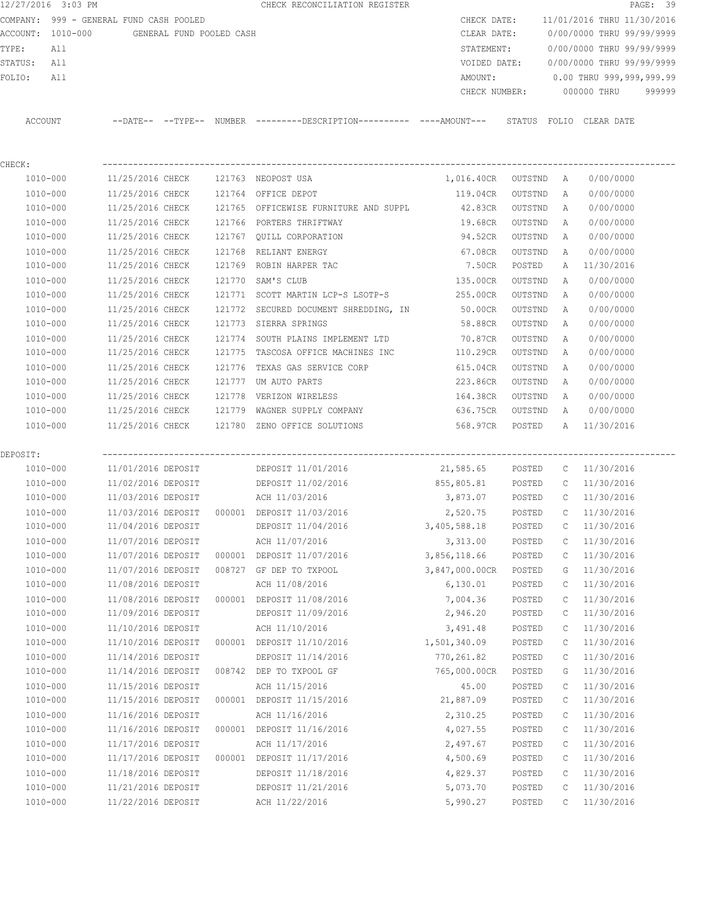|                | 12/27/2016 3:03 PM                            |                                      |  |        | CHECK RECONCILIATION REGISTER                                        |                      |         |                           |                            | PAGE: 39 |  |
|----------------|-----------------------------------------------|--------------------------------------|--|--------|----------------------------------------------------------------------|----------------------|---------|---------------------------|----------------------------|----------|--|
|                | COMPANY: 999 - GENERAL FUND CASH POOLED       |                                      |  |        |                                                                      | CHECK DATE:          |         |                           | 11/01/2016 THRU 11/30/2016 |          |  |
|                | ACCOUNT: 1010-000<br>GENERAL FUND POOLED CASH |                                      |  |        |                                                                      | CLEAR DATE:          |         | 0/00/0000 THRU 99/99/9999 |                            |          |  |
| TYPE:          | All                                           |                                      |  |        |                                                                      | STATEMENT:           |         | 0/00/0000 THRU 99/99/9999 |                            |          |  |
| STATUS:<br>All |                                               |                                      |  |        |                                                                      | VOIDED DATE:         |         | 0/00/0000 THRU 99/99/9999 |                            |          |  |
| FOLIO:         | All                                           |                                      |  |        |                                                                      | AMOUNT:              |         |                           | 0.00 THRU 999,999,999.99   |          |  |
|                |                                               |                                      |  |        |                                                                      | CHECK NUMBER:        |         | 000000 THRU<br>999999     |                            |          |  |
|                | ACCOUNT                                       |                                      |  |        | --DATE-- --TYPE-- NUMBER --------DESCRIPTION---------- ----AMOUNT--- |                      |         |                           | STATUS FOLIO CLEAR DATE    |          |  |
| CHECK:         |                                               |                                      |  |        |                                                                      |                      |         |                           |                            |          |  |
|                | 1010-000                                      | 11/25/2016 CHECK                     |  |        | 121763 NEOPOST USA                                                   | 1,016.40CR OUTSTND A |         |                           | 0/00/0000                  |          |  |
|                | 1010-000                                      | 11/25/2016 CHECK                     |  |        | 121764 OFFICE DEPOT                                                  | 119.04CR             | OUTSTND | Α                         | 0/00/0000                  |          |  |
|                | 1010-000                                      | 11/25/2016 CHECK                     |  |        | 121765 OFFICEWISE FURNITURE AND SUPPL                                | 42.83CR              | OUTSTND | Α                         | 0/00/0000                  |          |  |
|                |                                               |                                      |  |        |                                                                      |                      |         |                           |                            |          |  |
|                | 1010-000                                      | 11/25/2016 CHECK<br>11/25/2016 CHECK |  |        | 121766 PORTERS THRIFTWAY                                             | 19.68CR              | OUTSTND | Α                         | 0/00/0000                  |          |  |
|                | 1010-000                                      |                                      |  |        | 121767 QUILL CORPORATION                                             | 94.52CR              | OUTSTND | Α                         | 0/00/0000                  |          |  |
|                | 1010-000                                      | 11/25/2016 CHECK                     |  | 121768 | RELIANT ENERGY                                                       | 67.08CR              | OUTSTND | A                         | 0/00/0000                  |          |  |
|                | 1010-000                                      | 11/25/2016 CHECK                     |  |        | 121769 ROBIN HARPER TAC                                              | 7.50CR               | POSTED  | Α                         | 11/30/2016                 |          |  |
|                | 1010-000                                      | 11/25/2016 CHECK                     |  | 121770 | SAM'S CLUB                                                           | 135.00CR             | OUTSTND | Α                         | 0/00/0000                  |          |  |
|                | 1010-000                                      | 11/25/2016 CHECK                     |  |        | 121771 SCOTT MARTIN LCP-S LSOTP-S                                    | 255.00CR             | OUTSTND | A                         | 0/00/0000                  |          |  |
|                | 1010-000                                      | 11/25/2016 CHECK                     |  | 121772 | SECURED DOCUMENT SHREDDING, IN 50.00CR                               |                      | OUTSTND | Α                         | 0/00/0000                  |          |  |
|                | 1010-000                                      | 11/25/2016 CHECK                     |  |        | 121773 SIERRA SPRINGS                                                | 58.88CR              | OUTSTND | Α                         | 0/00/0000                  |          |  |
|                | 1010-000                                      | 11/25/2016 CHECK                     |  | 121774 | SOUTH PLAINS IMPLEMENT LTD                                           | 70.87CR              | OUTSTND | Α                         | 0/00/0000                  |          |  |
|                | 1010-000                                      | 11/25/2016 CHECK                     |  | 121775 | TASCOSA OFFICE MACHINES INC                                          | 110.29CR             | OUTSTND | Α                         | 0/00/0000                  |          |  |
|                | 1010-000                                      | 11/25/2016 CHECK                     |  | 121776 | TEXAS GAS SERVICE CORP                                               | 615.04CR             | OUTSTND | Α                         | 0/00/0000                  |          |  |
|                | 1010-000                                      | 11/25/2016 CHECK                     |  | 121777 | UM AUTO PARTS                                                        | 223.86CR             | OUTSTND | Α                         | 0/00/0000                  |          |  |
|                | 1010-000                                      | 11/25/2016 CHECK                     |  | 121778 | VERIZON WIRELESS                                                     | 164.38CR             | OUTSTND | Α                         | 0/00/0000                  |          |  |
|                | 1010-000                                      | 11/25/2016 CHECK                     |  |        | 121779 WAGNER SUPPLY COMPANY                                         | 636.75CR             | OUTSTND | A                         | 0/00/0000                  |          |  |
|                | 1010-000                                      | 11/25/2016 CHECK                     |  |        | 121780 ZENO OFFICE SOLUTIONS                                         | 568.97CR             | POSTED  | Α                         | 11/30/2016                 |          |  |
| DEPOSIT:       |                                               |                                      |  |        |                                                                      |                      |         |                           |                            |          |  |
|                | 1010-000                                      | 11/01/2016 DEPOSIT                   |  |        | DEPOSIT 11/01/2016                                                   | 21,585.65            | POSTED  |                           | $C = 11/30/2016$           |          |  |
|                | 1010-000                                      | 11/02/2016 DEPOSIT                   |  |        | DEPOSIT 11/02/2016                                                   | 855,805.81           | POSTED  | $\mathbb{C}$              | 11/30/2016                 |          |  |
|                | 1010-000                                      | 11/03/2016 DEPOSIT                   |  |        | ACH 11/03/2016                                                       | 3,873.07             | POSTED  | $\mathbb{C}$              | 11/30/2016                 |          |  |
|                | 1010-000                                      | 11/03/2016 DEPOSIT                   |  |        | 000001 DEPOSIT 11/03/2016                                            | 2,520.75             | POSTED  | $\mathbb{C}$              | 11/30/2016                 |          |  |
|                | $1010 - 000$                                  | 11/04/2016 DEPOSIT                   |  |        | DEPOSIT 11/04/2016                                                   | 3,405,588.18         | POSTED  | С                         | 11/30/2016                 |          |  |
|                | 1010-000                                      | 11/07/2016 DEPOSIT                   |  |        | ACH 11/07/2016                                                       | 3,313.00             | POSTED  | С                         | 11/30/2016                 |          |  |
|                | 1010-000                                      | 11/07/2016 DEPOSIT                   |  |        | 000001 DEPOSIT 11/07/2016                                            | 3,856,118.66         | POSTED  | С                         | 11/30/2016                 |          |  |
|                | 1010-000                                      | 11/07/2016 DEPOSIT                   |  |        | 008727 GF DEP TO TXPOOL                                              | 3,847,000.00CR       | POSTED  | G                         | 11/30/2016                 |          |  |
|                | $1010 - 000$                                  | 11/08/2016 DEPOSIT                   |  |        | ACH 11/08/2016                                                       | 6,130.01             | POSTED  | С                         | 11/30/2016                 |          |  |
|                | 1010-000                                      | 11/08/2016 DEPOSIT                   |  |        | 000001 DEPOSIT 11/08/2016                                            | 7,004.36             | POSTED  | С                         | 11/30/2016                 |          |  |
|                | 1010-000                                      | 11/09/2016 DEPOSIT                   |  |        | DEPOSIT 11/09/2016                                                   | 2,946.20             | POSTED  | С                         | 11/30/2016                 |          |  |
|                | $1010 - 000$                                  | 11/10/2016 DEPOSIT                   |  |        | ACH 11/10/2016                                                       | 3,491.48             | POSTED  | С                         | 11/30/2016                 |          |  |
|                | 1010-000                                      | 11/10/2016 DEPOSIT                   |  |        | 000001 DEPOSIT 11/10/2016                                            | 1,501,340.09         | POSTED  | С                         | 11/30/2016                 |          |  |
|                |                                               |                                      |  |        | DEPOSIT 11/14/2016                                                   |                      |         |                           |                            |          |  |
|                | 1010-000                                      | 11/14/2016 DEPOSIT                   |  |        |                                                                      | 770, 261.82          | POSTED  | С                         | 11/30/2016                 |          |  |
|                | $1010 - 000$                                  | 11/14/2016 DEPOSIT                   |  |        | 008742 DEP TO TXPOOL GF                                              | 765,000.00CR         | POSTED  | G                         | 11/30/2016                 |          |  |
|                | 1010-000                                      | 11/15/2016 DEPOSIT                   |  |        | ACH 11/15/2016                                                       | 45.00                | POSTED  | С                         | 11/30/2016                 |          |  |
|                | $1010 - 000$                                  | 11/15/2016 DEPOSIT                   |  |        | 000001 DEPOSIT 11/15/2016                                            | 21,887.09            | POSTED  | С                         | 11/30/2016                 |          |  |
|                | 1010-000                                      | 11/16/2016 DEPOSIT                   |  |        | ACH 11/16/2016                                                       | 2,310.25             | POSTED  | С                         | 11/30/2016                 |          |  |
|                | $1010 - 000$                                  | 11/16/2016 DEPOSIT                   |  |        | 000001 DEPOSIT 11/16/2016                                            | 4,027.55             | POSTED  | С                         | 11/30/2016                 |          |  |
|                | 1010-000                                      | 11/17/2016 DEPOSIT                   |  |        | ACH 11/17/2016                                                       | 2,497.67             | POSTED  | С                         | 11/30/2016                 |          |  |
|                | $1010 - 000$                                  | 11/17/2016 DEPOSIT                   |  |        | 000001 DEPOSIT 11/17/2016                                            | 4,500.69             | POSTED  | С                         | 11/30/2016                 |          |  |
|                | 1010-000                                      | 11/18/2016 DEPOSIT                   |  |        | DEPOSIT 11/18/2016                                                   | 4,829.37             | POSTED  | С                         | 11/30/2016                 |          |  |
|                | $1010 - 000$                                  | 11/21/2016 DEPOSIT                   |  |        | DEPOSIT 11/21/2016                                                   | 5,073.70             | POSTED  | С                         | 11/30/2016                 |          |  |
|                | $1010 - 000$                                  | 11/22/2016 DEPOSIT                   |  |        | ACH 11/22/2016                                                       | 5,990.27             | POSTED  | C                         | 11/30/2016                 |          |  |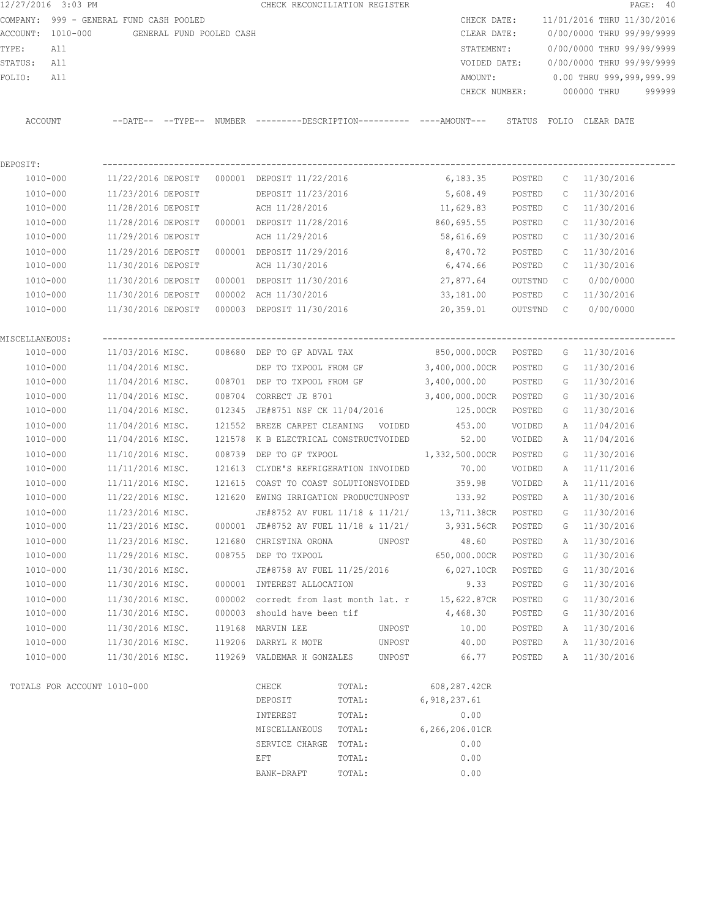| 12/27/2016 3:03 PM                      |                    |                          | CHECK RECONCILIATION REGISTER                                                                |                          |                           |                           | PAGE: 40                         |  |  |  |
|-----------------------------------------|--------------------|--------------------------|----------------------------------------------------------------------------------------------|--------------------------|---------------------------|---------------------------|----------------------------------|--|--|--|
| COMPANY: 999 - GENERAL FUND CASH POOLED |                    |                          |                                                                                              | CHECK DATE:              |                           |                           | 11/01/2016 THRU 11/30/2016       |  |  |  |
| ACCOUNT: 1010-000                       |                    | GENERAL FUND POOLED CASH |                                                                                              | CLEAR DATE:              | 0/00/0000 THRU 99/99/9999 |                           |                                  |  |  |  |
| TYPE:<br>All                            |                    |                          |                                                                                              | STATEMENT:               |                           |                           | 0/00/0000 THRU 99/99/9999        |  |  |  |
| STATUS:<br>All                          |                    |                          |                                                                                              | VOIDED DATE:             |                           | 0/00/0000 THRU 99/99/9999 |                                  |  |  |  |
| FOLIO:<br>All                           |                    |                          |                                                                                              | AMOUNT:                  |                           |                           | $0.00$ THRU 999,999,999.99       |  |  |  |
|                                         |                    |                          |                                                                                              |                          |                           |                           | CHECK NUMBER: 000000 THRU 999999 |  |  |  |
| ACCOUNT                                 |                    |                          | --DATE-- --TYPE-- NUMBER --------DESCRIPTION---------- ----AMOUNT--- STATUS FOLIO CLEAR DATE |                          |                           |                           |                                  |  |  |  |
| DEPOSIT:                                |                    |                          |                                                                                              |                          |                           |                           |                                  |  |  |  |
| 1010-000                                |                    |                          |                                                                                              | 6,183.35                 | POSTED                    |                           | $C = 11/30/2016$                 |  |  |  |
| 1010-000                                | 11/23/2016 DEPOSIT |                          | DEPOSIT 11/23/2016                                                                           | 5,608.49                 | POSTED                    |                           | $C = 11/30/2016$                 |  |  |  |
| 1010-000                                | 11/28/2016 DEPOSIT |                          | ACH 11/28/2016                                                                               | 11,629.83                | POSTED                    |                           | $C = 11/30/2016$                 |  |  |  |
| 1010-000                                | 11/28/2016 DEPOSIT |                          | 000001 DEPOSIT 11/28/2016                                                                    | 860,695.55               | POSTED                    |                           | $C = 11/30/2016$                 |  |  |  |
| 1010-000                                | 11/29/2016 DEPOSIT |                          | ACH 11/29/2016                                                                               | 58,616.69                | POSTED                    |                           | $C = 11/30/2016$                 |  |  |  |
| 1010-000                                | 11/29/2016 DEPOSIT |                          | 000001 DEPOSIT 11/29/2016                                                                    | 8,470.72                 | POSTED                    |                           | $C = 11/30/2016$                 |  |  |  |
| 1010-000                                | 11/30/2016 DEPOSIT |                          | ACH 11/30/2016                                                                               | 6,474.66                 | POSTED                    |                           | $C = 11/30/2016$                 |  |  |  |
| 1010-000                                | 11/30/2016 DEPOSIT |                          | 000001 DEPOSIT 11/30/2016                                                                    | 27,877.64                | OUTSTND                   | $\mathbb{C}$              | 0/00/0000                        |  |  |  |
| 1010-000                                | 11/30/2016 DEPOSIT |                          | 000002 ACH 11/30/2016                                                                        | 33,181.00                | POSTED                    |                           | $C = 11/30/2016$                 |  |  |  |
| 1010-000                                |                    |                          |                                                                                              | 20,359.01                |                           |                           | OUTSTND C 0/00/0000              |  |  |  |
| MISCELLANEOUS:                          |                    |                          |                                                                                              |                          |                           |                           |                                  |  |  |  |
| 1010-000                                |                    |                          | 11/03/2016 MISC. 008680 DEP TO GF ADVAL TAX                                                  | 850,000.00CR POSTED      |                           |                           | G 11/30/2016                     |  |  |  |
| 1010-000                                | 11/04/2016 MISC.   |                          | DEP TO TXPOOL FROM GF                                                                        | 3,400,000.00CR           | POSTED                    |                           | G 11/30/2016                     |  |  |  |
| 1010-000                                | 11/04/2016 MISC.   |                          | 008701 DEP TO TXPOOL FROM GF                                                                 | 3,400,000.00             | POSTED                    |                           | G 11/30/2016                     |  |  |  |
| 1010-000                                | 11/04/2016 MISC.   |                          | 008704 CORRECT JE 8701                                                                       | $3,400,000.00 \text{CR}$ | POSTED                    |                           | G 11/30/2016                     |  |  |  |
| 1010-000                                | 11/04/2016 MISC.   |                          | 012345 JE#8751 NSF CK 11/04/2016                                                             | 125.00CR                 | POSTED                    |                           | G 11/30/2016                     |  |  |  |
| 1010-000                                | 11/04/2016 MISC.   |                          | 121552 BREZE CARPET CLEANING VOIDED 453.00                                                   |                          | VOIDED                    |                           | A 11/04/2016                     |  |  |  |
| 1010-000                                | 11/04/2016 MISC.   |                          | 121578 K B ELECTRICAL CONSTRUCTVOIDED 52.00                                                  |                          | VOIDED                    |                           | A 11/04/2016                     |  |  |  |
| 1010-000                                | 11/10/2016 MISC.   |                          | 008739 DEP TO GF TXPOOL                                                                      | 1,332,500.00CR           | POSTED                    | G                         | 11/30/2016                       |  |  |  |
| 1010-000                                | 11/11/2016 MISC.   |                          | 121613 CLYDE'S REFRIGERATION INVOIDED                                                        | 70.00                    | VOIDED                    |                           | A 11/11/2016                     |  |  |  |
| 1010-000                                | 11/11/2016 MISC.   |                          | 121615 COAST TO COAST SOLUTIONSVOIDED                                                        | 359.98                   | VOIDED                    | A                         | 11/11/2016                       |  |  |  |
| 1010-000                                |                    |                          | 11/22/2016 MISC. 121620 EWING IRRIGATION PRODUCTUNPOST                                       | 133.92                   | POSTED                    |                           | A 11/30/2016                     |  |  |  |
| $1010 - 000$                            | 11/23/2016 MISC.   |                          | JE#8752 AV FUEL 11/18 & 11/21/ 13,711.38CR                                                   |                          | POSTED                    |                           | G 11/30/2016                     |  |  |  |
| 1010-000                                | 11/23/2016 MISC.   |                          | 000001 JE#8752 AV FUEL 11/18 & 11/21/                                                        | 3,931.56CR               | POSTED                    | G                         | 11/30/2016                       |  |  |  |
| 1010-000                                | 11/23/2016 MISC.   |                          | 121680 CHRISTINA ORONA<br>UNPOST                                                             | 48.60                    | POSTED                    | Α                         | 11/30/2016                       |  |  |  |
| 1010-000                                | 11/29/2016 MISC.   |                          | 008755 DEP TO TXPOOL                                                                         | 650,000.00CR             | POSTED                    | G                         | 11/30/2016                       |  |  |  |
| $1010 - 000$                            | 11/30/2016 MISC.   |                          | JE#8758 AV FUEL 11/25/2016                                                                   | 6,027.10CR               | POSTED                    | G                         | 11/30/2016                       |  |  |  |
| 1010-000                                | 11/30/2016 MISC.   |                          | 000001 INTEREST ALLOCATION                                                                   | 9.33                     | POSTED                    | G                         | 11/30/2016                       |  |  |  |
| $1010 - 000$                            | 11/30/2016 MISC.   | 000002                   | corredt from last month lat. r                                                               | 15,622.87CR              | POSTED                    | G                         | 11/30/2016                       |  |  |  |
| 1010-000                                | 11/30/2016 MISC.   | 000003                   | should have been tif                                                                         | 4,468.30                 | POSTED                    | G                         | 11/30/2016                       |  |  |  |
| $1010 - 000$                            | 11/30/2016 MISC.   | 119168                   | MARVIN LEE<br>UNPOST                                                                         | 10.00                    | POSTED                    | Α                         | 11/30/2016                       |  |  |  |
| 1010-000                                | 11/30/2016 MISC.   |                          | 119206 DARRYL K MOTE<br>UNPOST                                                               | 40.00                    | POSTED                    | Α                         | 11/30/2016                       |  |  |  |
| 1010-000                                | 11/30/2016 MISC.   |                          | 119269 VALDEMAR H GONZALES<br>UNPOST                                                         | 66.77                    | POSTED                    | Α                         | 11/30/2016                       |  |  |  |
|                                         |                    |                          |                                                                                              |                          |                           |                           |                                  |  |  |  |

 TOTALS FOR ACCOUNT 1010-000 CHECK TOTAL: 608,287.42CR DEPOSIT TOTAL: 6,918,237.61  $\texttt{INTEREST} \quad \texttt{TOTAL:} \quad 0.00$ INTEREST TOTAL: 0.00<br>MISCELLANEOUS TOTAL: 6,266,206.01CR SERVICE CHARGE TOTAL: 0.00 expressed to the extent of the extreme of  $\Gamma$  to  $\Gamma$  to  $\Gamma$  of  $\Gamma$  . Obtaining the  $\Gamma$  of  $\Gamma$  of  $\Gamma$  of  $\Gamma$  of  $\Gamma$  of  $\Gamma$  of  $\Gamma$  of  $\Gamma$  of  $\Gamma$  of  $\Gamma$  of  $\Gamma$  of  $\Gamma$  of  $\Gamma$  of  $\Gamma$  of  $\Gamma$  of  $\Gamma$  of  $\Gamma$  of BANK-DRAFT TOTAL:  $0.00$